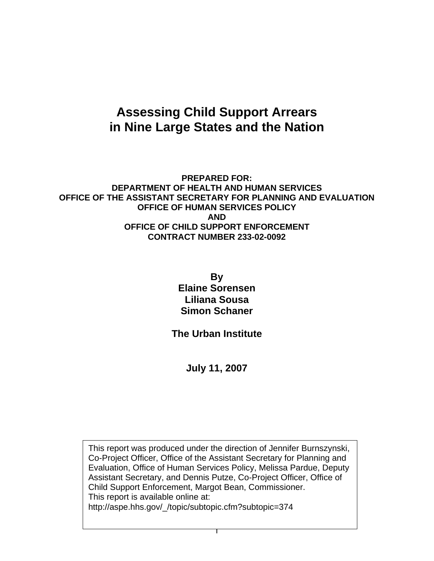# **Assessing Child Support Arrears in Nine Large States and the Nation**

#### **PREPARED FOR: DEPARTMENT OF HEALTH AND HUMAN SERVICES OFFICE OF THE ASSISTANT SECRETARY FOR PLANNING AND EVALUATION OFFICE OF HUMAN SERVICES POLICY AND OFFICE OF CHILD SUPPORT ENFORCEMENT CONTRACT NUMBER 233-02-0092**

**By Elaine Sorensen Liliana Sousa Simon Schaner** 

**The Urban Institute** 

**July 11, 2007** 

This report was produced under the direction of Jennifer Burnszynski, Co-Project Officer, Office of the Assistant Secretary for Planning and Evaluation, Office of Human Services Policy, Melissa Pardue, Deputy Assistant Secretary, and Dennis Putze, Co-Project Officer, Office of Child Support Enforcement, Margot Bean, Commissioner. This report is available online at: http://aspe.hhs.gov/\_/topic/subtopic.cfm?subtopic=374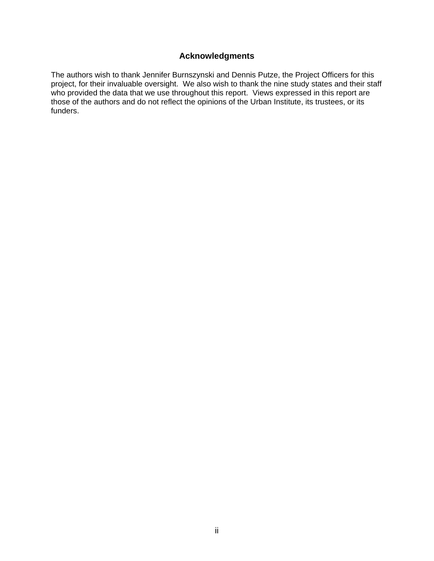#### **Acknowledgments**

The authors wish to thank Jennifer Burnszynski and Dennis Putze, the Project Officers for this project, for their invaluable oversight. We also wish to thank the nine study states and their staff who provided the data that we use throughout this report. Views expressed in this report are those of the authors and do not reflect the opinions of the Urban Institute, its trustees, or its funders.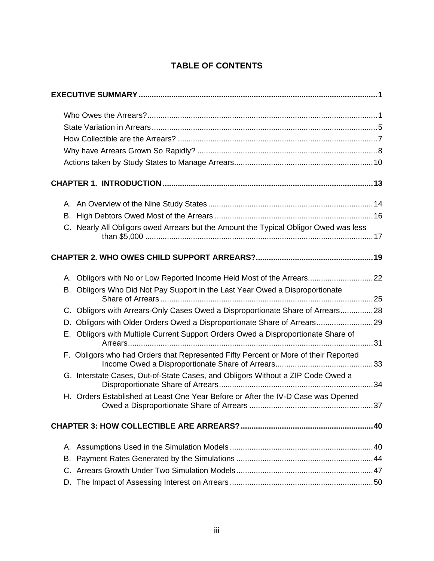## **TABLE OF CONTENTS**

| C. Nearly All Obligors owed Arrears but the Amount the Typical Obligor Owed was less |  |
|--------------------------------------------------------------------------------------|--|
|                                                                                      |  |
| A. Obligors with No or Low Reported Income Held Most of the Arrears22                |  |
| B. Obligors Who Did Not Pay Support in the Last Year Owed a Disproportionate         |  |
| C. Obligors with Arrears-Only Cases Owed a Disproportionate Share of Arrears28       |  |
|                                                                                      |  |
| E. Obligors with Multiple Current Support Orders Owed a Disproportionate Share of    |  |
| F. Obligors who had Orders that Represented Fifty Percent or More of their Reported  |  |
| G. Interstate Cases, Out-of-State Cases, and Obligors Without a ZIP Code Owed a      |  |
| H. Orders Established at Least One Year Before or After the IV-D Case was Opened     |  |
|                                                                                      |  |
|                                                                                      |  |
| В.                                                                                   |  |
|                                                                                      |  |
|                                                                                      |  |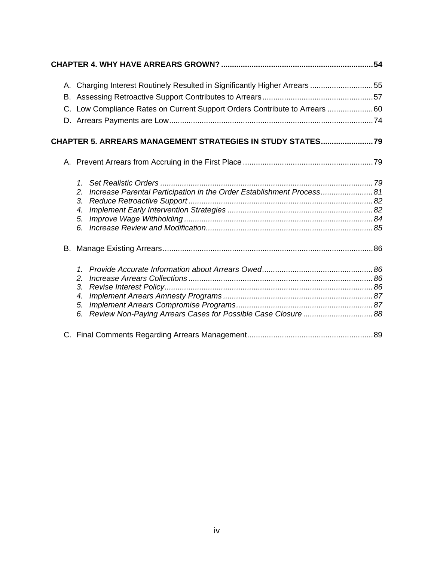| A. Charging Interest Routinely Resulted in Significantly Higher Arrears 55 |        |
|----------------------------------------------------------------------------|--------|
|                                                                            |        |
| C. Low Compliance Rates on Current Support Orders Contribute to Arrears 60 |        |
|                                                                            |        |
|                                                                            |        |
| <b>CHAPTER 5. ARREARS MANAGEMENT STRATEGIES IN STUDY STATES?</b>           |        |
|                                                                            |        |
|                                                                            |        |
| Increase Parental Participation in the Order Establishment Process81<br>2. |        |
| 3.                                                                         |        |
| 4.                                                                         |        |
| 5.                                                                         |        |
| 6.                                                                         |        |
|                                                                            |        |
|                                                                            |        |
| $\overline{2}$ .                                                           |        |
| 3.                                                                         |        |
| 4.                                                                         |        |
| 5.                                                                         |        |
| Review Non-Paying Arrears Cases for Possible Case Closure 88<br>6.         |        |
| Final Osmanasha Demonding America Menerus professor                        | $\sim$ |

[C. Final Comments Regarding Arrears Management..........................................................89](#page-96-0)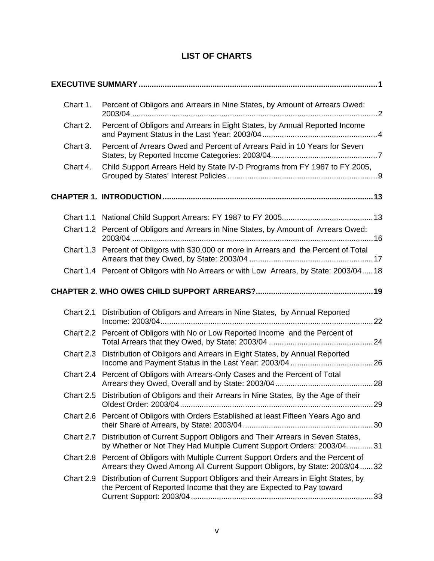## **LIST OF CHARTS**

| Chart 1.  | Percent of Obligors and Arrears in Nine States, by Amount of Arrears Owed:                                                                                         |
|-----------|--------------------------------------------------------------------------------------------------------------------------------------------------------------------|
| Chart 2.  | Percent of Obligors and Arrears in Eight States, by Annual Reported Income                                                                                         |
| Chart 3.  | Percent of Arrears Owed and Percent of Arrears Paid in 10 Years for Seven                                                                                          |
| Chart 4.  | Child Support Arrears Held by State IV-D Programs from FY 1987 to FY 2005,                                                                                         |
|           |                                                                                                                                                                    |
|           |                                                                                                                                                                    |
|           | Chart 1.2 Percent of Obligors and Arrears in Nine States, by Amount of Arrears Owed:                                                                               |
|           | Chart 1.3 Percent of Obligors with \$30,000 or more in Arrears and the Percent of Total                                                                            |
|           | Chart 1.4 Percent of Obligors with No Arrears or with Low Arrears, by State: 2003/04 18                                                                            |
|           |                                                                                                                                                                    |
| Chart 2.1 | Distribution of Obligors and Arrears in Nine States, by Annual Reported                                                                                            |
|           | Chart 2.2 Percent of Obligors with No or Low Reported Income and the Percent of                                                                                    |
| Chart 2.3 | Distribution of Obligors and Arrears in Eight States, by Annual Reported                                                                                           |
|           | Chart 2.4 Percent of Obligors with Arrears-Only Cases and the Percent of Total                                                                                     |
|           | Chart 2.5 Distribution of Obligors and their Arrears in Nine States, By the Age of their                                                                           |
|           | Chart 2.6 Percent of Obligors with Orders Established at least Fifteen Years Ago and                                                                               |
| Chart 2.7 | Distribution of Current Support Obligors and Their Arrears in Seven States,<br>by Whether or Not They Had Multiple Current Support Orders: 2003/0431               |
|           | Chart 2.8 Percent of Obligors with Multiple Current Support Orders and the Percent of<br>Arrears they Owed Among All Current Support Obligors, by State: 2003/0432 |
| Chart 2.9 | Distribution of Current Support Obligors and their Arrears in Eight States, by<br>the Percent of Reported Income that they are Expected to Pay toward              |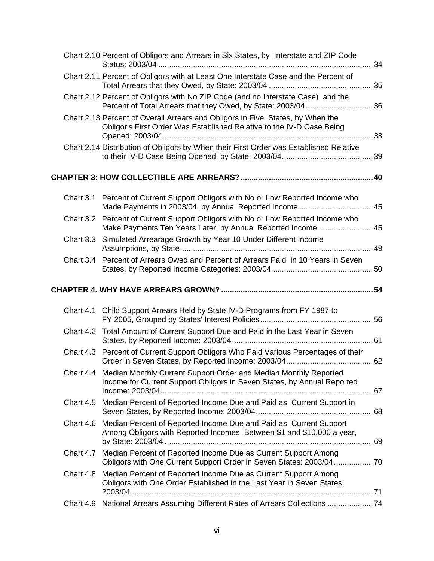|           | Chart 2.10 Percent of Obligors and Arrears in Six States, by Interstate and ZIP Code                                                                    |  |
|-----------|---------------------------------------------------------------------------------------------------------------------------------------------------------|--|
|           | Chart 2.11 Percent of Obligors with at Least One Interstate Case and the Percent of                                                                     |  |
|           | Chart 2.12 Percent of Obligors with No ZIP Code (and no Interstate Case) and the<br>Percent of Total Arrears that they Owed, by State: 2003/0436        |  |
|           | Chart 2.13 Percent of Overall Arrears and Obligors in Five States, by When the<br>Obligor's First Order Was Established Relative to the IV-D Case Being |  |
|           | Chart 2.14 Distribution of Obligors by When their First Order was Established Relative                                                                  |  |
|           |                                                                                                                                                         |  |
|           | Chart 3.1 Percent of Current Support Obligors with No or Low Reported Income who<br>Made Payments in 2003/04, by Annual Reported Income 45              |  |
|           | Chart 3.2 Percent of Current Support Obligors with No or Low Reported Income who<br>Make Payments Ten Years Later, by Annual Reported Income  45        |  |
|           | Chart 3.3 Simulated Arrearage Growth by Year 10 Under Different Income                                                                                  |  |
| Chart 3.4 | Percent of Arrears Owed and Percent of Arrears Paid in 10 Years in Seven                                                                                |  |
|           |                                                                                                                                                         |  |
|           |                                                                                                                                                         |  |
|           | Chart 4.1 Child Support Arrears Held by State IV-D Programs from FY 1987 to                                                                             |  |
|           | Chart 4.2 Total Amount of Current Support Due and Paid in the Last Year in Seven                                                                        |  |
|           | Chart 4.3 Percent of Current Support Obligors Who Paid Various Percentages of their                                                                     |  |
|           | Chart 4.4 Median Monthly Current Support Order and Median Monthly Reported<br>Income for Current Support Obligors in Seven States, by Annual Reported   |  |
|           | Chart 4.5 Median Percent of Reported Income Due and Paid as Current Support in                                                                          |  |
|           | Chart 4.6 Median Percent of Reported Income Due and Paid as Current Support<br>Among Obligors with Reported Incomes Between \$1 and \$10,000 a year,    |  |
|           | Chart 4.7 Median Percent of Reported Income Due as Current Support Among                                                                                |  |
|           | Chart 4.8 Median Percent of Reported Income Due as Current Support Among<br>Obligors with One Order Established in the Last Year in Seven States:       |  |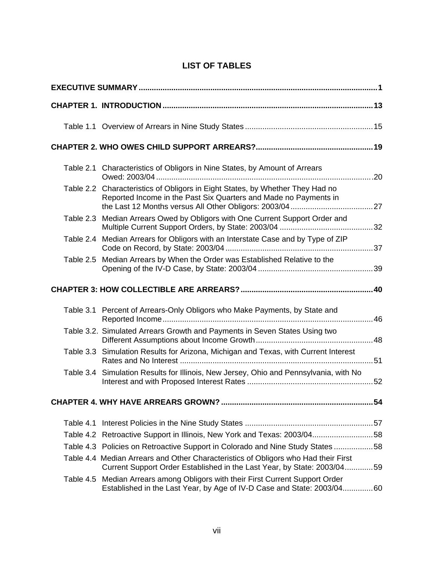## **LIST OF TABLES**

| Table 2.1 | Characteristics of Obligors in Nine States, by Amount of Arrears                                                                                              |
|-----------|---------------------------------------------------------------------------------------------------------------------------------------------------------------|
|           | Table 2.2 Characteristics of Obligors in Eight States, by Whether They Had no<br>Reported Income in the Past Six Quarters and Made no Payments in             |
| Table 2.3 | Median Arrears Owed by Obligors with One Current Support Order and                                                                                            |
|           | Table 2.4 Median Arrears for Obligors with an Interstate Case and by Type of ZIP                                                                              |
| Table 2.5 | Median Arrears by When the Order was Established Relative to the                                                                                              |
|           |                                                                                                                                                               |
|           | Table 3.1 Percent of Arrears-Only Obligors who Make Payments, by State and                                                                                    |
|           | Table 3.2. Simulated Arrears Growth and Payments in Seven States Using two                                                                                    |
| Table 3.3 | Simulation Results for Arizona, Michigan and Texas, with Current Interest                                                                                     |
| Table 3.4 | Simulation Results for Illinois, New Jersey, Ohio and Pennsylvania, with No<br>52                                                                             |
|           |                                                                                                                                                               |
| Table 4.1 |                                                                                                                                                               |
|           | Table 4.2 Retroactive Support in Illinois, New York and Texas: 2003/0458                                                                                      |
|           | Table 4.3 Policies on Retroactive Support in Colorado and Nine Study States 58                                                                                |
|           | Table 4.4 Median Arrears and Other Characteristics of Obligors who Had their First<br>Current Support Order Established in the Last Year, by State: 2003/0459 |
| Table 4.5 | Median Arrears among Obligors with their First Current Support Order<br>Established in the Last Year, by Age of IV-D Case and State: 2003/0460                |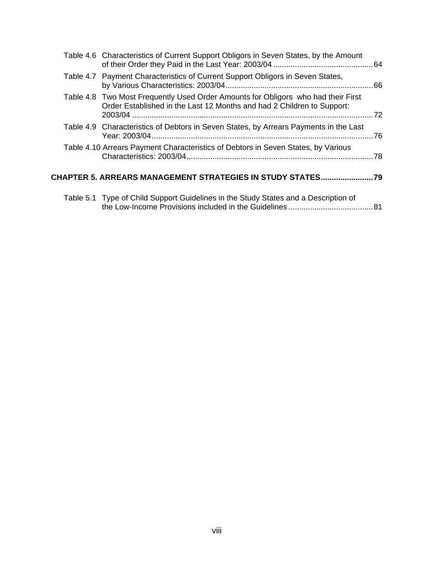| Table 4.6 Characteristics of Current Support Obligors in Seven States, by the Amount                                                                        |     |
|-------------------------------------------------------------------------------------------------------------------------------------------------------------|-----|
| Table 4.7 Payment Characteristics of Current Support Obligors in Seven States,                                                                              |     |
| Table 4.8 Two Most Frequently Used Order Amounts for Obligors who had their First<br>Order Established in the Last 12 Months and had 2 Children to Support: | -72 |
| Table 4.9 Characteristics of Debtors in Seven States, by Arrears Payments in the Last                                                                       | 76  |
| Table 4.10 Arrears Payment Characteristics of Debtors in Seven States, by Various                                                                           | -78 |
| BO MANA OFMENT OTRATEOIFO IN OTHRY OT                                                                                                                       |     |

## **[CHAPTER 5. ARREARS MANAGEMENT STRATEGIES IN STUDY STATES........................79](#page-86-0)**

| Table 5.1 Type of Child Support Guidelines in the Study States and a Description of |  |
|-------------------------------------------------------------------------------------|--|
|                                                                                     |  |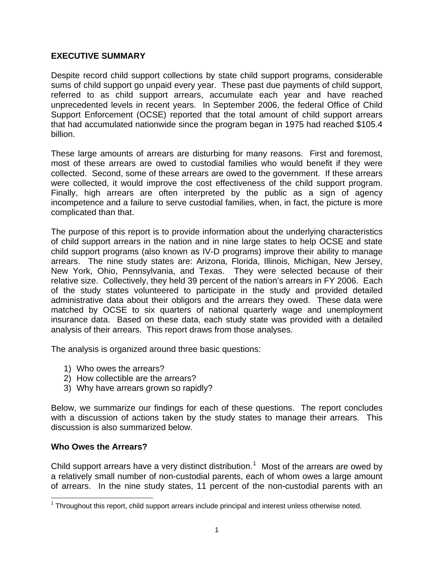#### <span id="page-8-0"></span>**EXECUTIVE SUMMARY**

Despite record child support collections by state child support programs, considerable sums of child support go unpaid every year. These past due payments of child support, referred to as child support arrears, accumulate each year and have reached unprecedented levels in recent years. In September 2006, the federal Office of Child Support Enforcement (OCSE) reported that the total amount of child support arrears that had accumulated nationwide since the program began in 1975 had reached \$105.4 billion.

These large amounts of arrears are disturbing for many reasons. First and foremost, most of these arrears are owed to custodial families who would benefit if they were collected. Second, some of these arrears are owed to the government. If these arrears were collected, it would improve the cost effectiveness of the child support program. Finally, high arrears are often interpreted by the public as a sign of agency incompetence and a failure to serve custodial families, when, in fact, the picture is more complicated than that.

The purpose of this report is to provide information about the underlying characteristics of child support arrears in the nation and in nine large states to help OCSE and state child support programs (also known as IV-D programs) improve their ability to manage arrears. The nine study states are: Arizona, Florida, Illinois, Michigan, New Jersey, New York, Ohio, Pennsylvania, and Texas. They were selected because of their relative size. Collectively, they held 39 percent of the nation's arrears in FY 2006. Each of the study states volunteered to participate in the study and provided detailed administrative data about their obligors and the arrears they owed. These data were matched by OCSE to six quarters of national quarterly wage and unemployment insurance data. Based on these data, each study state was provided with a detailed analysis of their arrears. This report draws from those analyses.

The analysis is organized around three basic questions:

- 1) Who owes the arrears?
- 2) How collectible are the arrears?
- 3) Why have arrears grown so rapidly?

Below, we summarize our findings for each of these questions. The report concludes with a discussion of actions taken by the study states to manage their arrears. This discussion is also summarized below.

#### **Who Owes the Arrears?**

Child support arrears have a very distinct distribution.<sup>[1](#page-8-1)</sup> Most of the arrears are owed by a relatively small number of non-custodial parents, each of whom owes a large amount of arrears. In the nine study states, 11 percent of the non-custodial parents with an

<span id="page-8-1"></span>**Throughout this report, child support arrears include principal and interest unless otherwise noted.**<br><sup>1</sup> Throughout this report, child support arrears include principal and interest unless otherwise noted.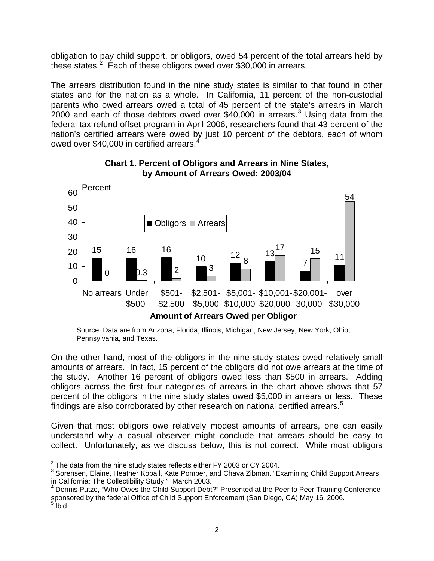<span id="page-9-0"></span>obligation to pay child support, or obligors, owed 54 percent of the total arrears held by these states.<sup>[2](#page-9-1)</sup> Each of these obligors owed over \$30,000 in arrears.

The arrears distribution found in the nine study states is similar to that found in other states and for the nation as a whole. In California, 11 percent of the non-custodial parents who owed arrears owed a total of 45 percent of the state's arrears in March  $2000$  and each of those debtors owed over \$40,000 in arrears.<sup>[3](#page-9-2)</sup> Using data from the federal tax refund offset program in April 2006, researchers found that 43 percent of the nation's certified arrears were owed by just 10 percent of the debtors, each of whom owed over \$[4](#page-9-3)0,000 in certified arrears.<sup>4</sup>



#### **Chart 1. Percent of Obligors and Arrears in Nine States, by Amount of Arrears Owed: 2003/04**

Source: Data are from Arizona, Florida, Illinois, Michigan, New Jersey, New York, Ohio, Pennsylvania, and Texas.

On the other hand, most of the obligors in the nine study states owed relatively small amounts of arrears. In fact, 15 percent of the obligors did not owe arrears at the time of the study. Another 16 percent of obligors owed less than \$500 in arrears. Adding obligors across the first four categories of arrears in the chart above shows that 57 percent of the obligors in the nine study states owed \$5,000 in arrears or less. These findings are also corroborated by other research on national certified arrears.<sup>[5](#page-9-4)</sup>

Given that most obligors owe relatively modest amounts of arrears, one can easily understand why a casual observer might conclude that arrears should be easy to collect. Unfortunately, as we discuss below, this is not correct. While most obligors

<sup>1</sup>  $2$  The data from the nine study states reflects either FY 2003 or CY 2004.

<span id="page-9-2"></span><span id="page-9-1"></span> $3$  Sorensen, Elaine, Heather Koball, Kate Pomper, and Chava Zibman. "Examining Child Support Arrears in California: The Collectibility Study." March 2003.

<span id="page-9-4"></span><span id="page-9-3"></span><sup>&</sup>lt;sup>4</sup> Dennis Putze, "Who Owes the Child Support Debt?" Presented at the Peer to Peer Training Conference sponsored by the federal Office of Child Support Enforcement (San Diego, CA) May 16, 2006.<br><sup>5</sup> Ibid.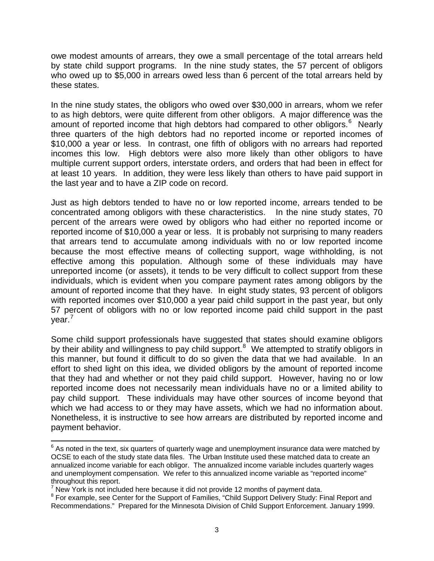owe modest amounts of arrears, they owe a small percentage of the total arrears held by state child support programs. In the nine study states, the 57 percent of obligors who owed up to \$5,000 in arrears owed less than 6 percent of the total arrears held by these states.

In the nine study states, the obligors who owed over \$30,000 in arrears, whom we refer to as high debtors, were quite different from other obligors. A major difference was the amount of reported income that high debtors had compared to other obligors.<sup>[6](#page-10-0)</sup> Nearly three quarters of the high debtors had no reported income or reported incomes of \$10,000 a year or less. In contrast, one fifth of obligors with no arrears had reported incomes this low. High debtors were also more likely than other obligors to have multiple current support orders, interstate orders, and orders that had been in effect for at least 10 years. In addition, they were less likely than others to have paid support in the last year and to have a ZIP code on record.

Just as high debtors tended to have no or low reported income, arrears tended to be concentrated among obligors with these characteristics. In the nine study states, 70 percent of the arrears were owed by obligors who had either no reported income or reported income of \$10,000 a year or less. It is probably not surprising to many readers that arrears tend to accumulate among individuals with no or low reported income because the most effective means of collecting support, wage withholding, is not effective among this population. Although some of these individuals may have unreported income (or assets), it tends to be very difficult to collect support from these individuals, which is evident when you compare payment rates among obligors by the amount of reported income that they have. In eight study states, 93 percent of obligors with reported incomes over \$10,000 a vear paid child support in the past year, but only 57 percent of obligors with no or low reported income paid child support in the past year.<sup>[7](#page-10-1)</sup>

Some child support professionals have suggested that states should examine obligors by their ability and willingness to pay child support.<sup>[8](#page-10-2)</sup> We attempted to stratify obligors in this manner, but found it difficult to do so given the data that we had available. In an effort to shed light on this idea, we divided obligors by the amount of reported income that they had and whether or not they paid child support. However, having no or low reported income does not necessarily mean individuals have no or a limited ability to pay child support. These individuals may have other sources of income beyond that which we had access to or they may have assets, which we had no information about. Nonetheless, it is instructive to see how arrears are distributed by reported income and payment behavior.

 $\overline{a}$ 

<span id="page-10-0"></span> $^6$  As noted in the text, six quarters of quarterly wage and unemployment insurance data were matched by OCSE to each of the study state data files. The Urban Institute used these matched data to create an annualized income variable for each obligor. The annualized income variable includes quarterly wages and unemployment compensation. We refer to this annualized income variable as "reported income" throughout this report.

New York is not included here because it did not provide 12 months of payment data.<br>8 Eas example, see Contes for the Support of Eamilies, "Child Support Delivery Study: E

<span id="page-10-2"></span><span id="page-10-1"></span><sup>&</sup>lt;sup>8</sup> For example, see Center for the Support of Families, "Child Support Delivery Study: Final Report and Recommendations." Prepared for the Minnesota Division of Child Support Enforcement. January 1999.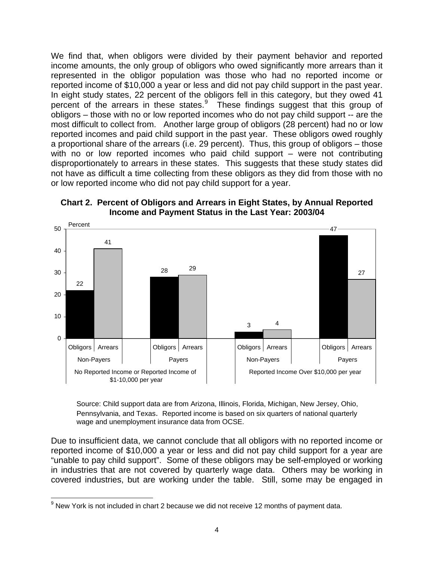<span id="page-11-0"></span>We find that, when obligors were divided by their payment behavior and reported income amounts, the only group of obligors who owed significantly more arrears than it represented in the obligor population was those who had no reported income or reported income of \$10,000 a year or less and did not pay child support in the past year. In eight study states, 22 percent of the obligors fell in this category, but they owed 41 percent of the arrears in these states. $9$  These findings suggest that this group of obligors – those with no or low reported incomes who do not pay child support -- are the most difficult to collect from. Another large group of obligors (28 percent) had no or low reported incomes and paid child support in the past year. These obligors owed roughly a proportional share of the arrears (i.e. 29 percent). Thus, this group of obligors – those with no or low reported incomes who paid child support – were not contributing disproportionately to arrears in these states. This suggests that these study states did not have as difficult a time collecting from these obligors as they did from those with no or low reported income who did not pay child support for a year.





Source: Child support data are from Arizona, Illinois, Florida, Michigan, New Jersey, Ohio, Pennsylvania, and Texas. Reported income is based on six quarters of national quarterly wage and unemployment insurance data from OCSE.

Due to insufficient data, we cannot conclude that all obligors with no reported income or reported income of \$10,000 a year or less and did not pay child support for a year are "unable to pay child support". Some of these obligors may be self-employed or working in industries that are not covered by quarterly wage data. Others may be working in covered industries, but are working under the table. Still, some may be engaged in

 $\overline{a}$ 

<span id="page-11-1"></span> $9$  New York is not included in chart 2 because we did not receive 12 months of payment data.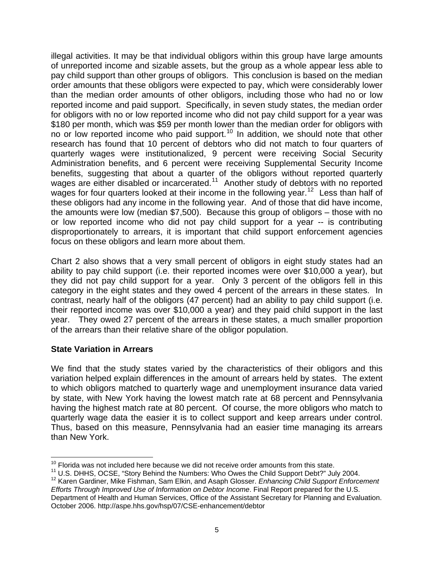<span id="page-12-0"></span>illegal activities. It may be that individual obligors within this group have large amounts of unreported income and sizable assets, but the group as a whole appear less able to pay child support than other groups of obligors. This conclusion is based on the median order amounts that these obligors were expected to pay, which were considerably lower than the median order amounts of other obligors, including those who had no or low reported income and paid support. Specifically, in seven study states, the median order for obligors with no or low reported income who did not pay child support for a year was \$180 per month, which was \$59 per month lower than the median order for obligors with no or low reported income who paid support.<sup>[10](#page-12-1)</sup> In addition, we should note that other research has found that 10 percent of debtors who did not match to four quarters of quarterly wages were institutionalized, 9 percent were receiving Social Security Administration benefits, and 6 percent were receiving Supplemental Security Income benefits, suggesting that about a quarter of the obligors without reported quarterly wages are either disabled or incarcerated.<sup>[11](#page-12-2)</sup> Another study of debtors with no reported wages for four quarters looked at their income in the following year.<sup>[12](#page-12-3)</sup> Less than half of these obligors had any income in the following year. And of those that did have income, the amounts were low (median \$7,500). Because this group of obligors – those with no or low reported income who did not pay child support for a year -- is contributing disproportionately to arrears, it is important that child support enforcement agencies focus on these obligors and learn more about them.

Chart 2 also shows that a very small percent of obligors in eight study states had an ability to pay child support (i.e. their reported incomes were over \$10,000 a year), but they did not pay child support for a year. Only 3 percent of the obligors fell in this category in the eight states and they owed 4 percent of the arrears in these states. In contrast, nearly half of the obligors (47 percent) had an ability to pay child support (i.e. their reported income was over \$10,000 a year) and they paid child support in the last year. They owed 27 percent of the arrears in these states, a much smaller proportion of the arrears than their relative share of the obligor population.

#### **State Variation in Arrears**

We find that the study states varied by the characteristics of their obligors and this variation helped explain differences in the amount of arrears held by states. The extent to which obligors matched to quarterly wage and unemployment insurance data varied by state, with New York having the lowest match rate at 68 percent and Pennsylvania having the highest match rate at 80 percent. Of course, the more obligors who match to quarterly wage data the easier it is to collect support and keep arrears under control. Thus, based on this measure, Pennsylvania had an easier time managing its arrears than New York.

<sup>1</sup> 

<span id="page-12-2"></span><span id="page-12-1"></span> $10$  Florida was not included here because we did not receive order amounts from this state.<br> $11$  U.S. DHHS, OCSE, "Story Behind the Numbers: Who Owes the Child Support Debt?" July 2004.

<span id="page-12-3"></span><sup>&</sup>lt;sup>12</sup> Karen Gardiner, Mike Fishman, Sam Elkin, and Asaph Glosser. *Enhancing Child Support Enforcement Efforts Through Improved Use of Information on Debtor Income*. Final Report prepared for the U.S. Department of Health and Human Services, Office of the Assistant Secretary for Planning and Evaluation.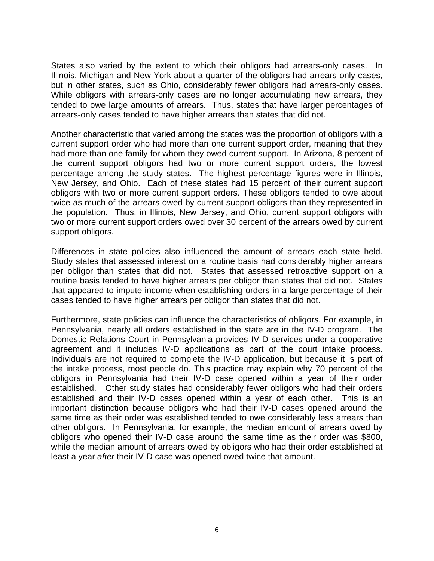States also varied by the extent to which their obligors had arrears-only cases. In Illinois, Michigan and New York about a quarter of the obligors had arrears-only cases, but in other states, such as Ohio, considerably fewer obligors had arrears-only cases. While obligors with arrears-only cases are no longer accumulating new arrears, they tended to owe large amounts of arrears. Thus, states that have larger percentages of arrears-only cases tended to have higher arrears than states that did not.

Another characteristic that varied among the states was the proportion of obligors with a current support order who had more than one current support order, meaning that they had more than one family for whom they owed current support. In Arizona, 8 percent of the current support obligors had two or more current support orders, the lowest percentage among the study states. The highest percentage figures were in Illinois, New Jersey, and Ohio. Each of these states had 15 percent of their current support obligors with two or more current support orders. These obligors tended to owe about twice as much of the arrears owed by current support obligors than they represented in the population. Thus, in Illinois, New Jersey, and Ohio, current support obligors with two or more current support orders owed over 30 percent of the arrears owed by current support obligors.

Differences in state policies also influenced the amount of arrears each state held. Study states that assessed interest on a routine basis had considerably higher arrears per obligor than states that did not. States that assessed retroactive support on a routine basis tended to have higher arrears per obligor than states that did not. States that appeared to impute income when establishing orders in a large percentage of their cases tended to have higher arrears per obligor than states that did not.

Furthermore, state policies can influence the characteristics of obligors. For example, in Pennsylvania, nearly all orders established in the state are in the IV-D program. The Domestic Relations Court in Pennsylvania provides IV-D services under a cooperative agreement and it includes IV-D applications as part of the court intake process. Individuals are not required to complete the IV-D application, but because it is part of the intake process, most people do. This practice may explain why 70 percent of the obligors in Pennsylvania had their IV-D case opened within a year of their order established. Other study states had considerably fewer obligors who had their orders established and their IV-D cases opened within a year of each other. This is an important distinction because obligors who had their IV-D cases opened around the same time as their order was established tended to owe considerably less arrears than other obligors. In Pennsylvania, for example, the median amount of arrears owed by obligors who opened their IV-D case around the same time as their order was \$800, while the median amount of arrears owed by obligors who had their order established at least a year *after* their IV-D case was opened owed twice that amount.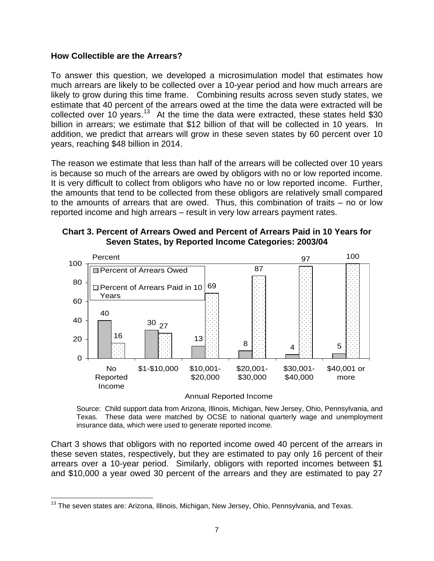#### <span id="page-14-0"></span>**How Collectible are the Arrears?**

To answer this question, we developed a microsimulation model that estimates how much arrears are likely to be collected over a 10-year period and how much arrears are likely to grow during this time frame. Combining results across seven study states, we estimate that 40 percent of the arrears owed at the time the data were extracted will be collected over 10 years.<sup>[13](#page-14-1)</sup> At the time the data were extracted, these states held \$30 billion in arrears; we estimate that \$12 billion of that will be collected in 10 years. In addition, we predict that arrears will grow in these seven states by 60 percent over 10 years, reaching \$48 billion in 2014.

The reason we estimate that less than half of the arrears will be collected over 10 years is because so much of the arrears are owed by obligors with no or low reported income. It is very difficult to collect from obligors who have no or low reported income. Further, the amounts that tend to be collected from these obligors are relatively small compared to the amounts of arrears that are owed. Thus, this combination of traits – no or low reported income and high arrears – result in very low arrears payment rates.





Annual Reported Income

Source: Child support data from Arizona, Illinois, Michigan, New Jersey, Ohio, Pennsylvania, and Texas. These data were matched by OCSE to national quarterly wage and unemployment insurance data, which were used to generate reported income.

Chart 3 shows that obligors with no reported income owed 40 percent of the arrears in these seven states, respectively, but they are estimated to pay only 16 percent of their arrears over a 10-year period. Similarly, obligors with reported incomes between \$1 and \$10,000 a year owed 30 percent of the arrears and they are estimated to pay 27

 $\overline{a}$ 

<span id="page-14-1"></span> $13$  The seven states are: Arizona, Illinois, Michigan, New Jersey, Ohio, Pennsylvania, and Texas.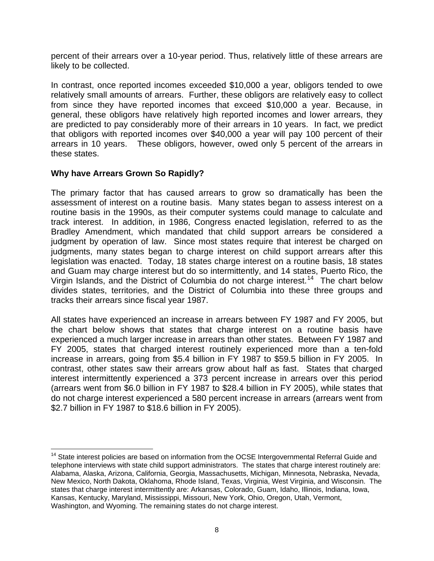<span id="page-15-0"></span>percent of their arrears over a 10-year period. Thus, relatively little of these arrears are likely to be collected.

In contrast, once reported incomes exceeded \$10,000 a year, obligors tended to owe relatively small amounts of arrears. Further, these obligors are relatively easy to collect from since they have reported incomes that exceed \$10,000 a year. Because, in general, these obligors have relatively high reported incomes and lower arrears, they are predicted to pay considerably more of their arrears in 10 years. In fact, we predict that obligors with reported incomes over \$40,000 a year will pay 100 percent of their arrears in 10 years. These obligors, however, owed only 5 percent of the arrears in these states.

#### **Why have Arrears Grown So Rapidly?**

The primary factor that has caused arrears to grow so dramatically has been the assessment of interest on a routine basis. Many states began to assess interest on a routine basis in the 1990s, as their computer systems could manage to calculate and track interest. In addition, in 1986, Congress enacted legislation, referred to as the Bradley Amendment, which mandated that child support arrears be considered a judgment by operation of law. Since most states require that interest be charged on judgments, many states began to charge interest on child support arrears after this legislation was enacted. Today, 18 states charge interest on a routine basis, 18 states and Guam may charge interest but do so intermittently, and 14 states, Puerto Rico, the Virgin Islands, and the District of Columbia do not charge interest.<sup>[14](#page-15-1)</sup> The chart below divides states, territories, and the District of Columbia into these three groups and tracks their arrears since fiscal year 1987.

All states have experienced an increase in arrears between FY 1987 and FY 2005, but the chart below shows that states that charge interest on a routine basis have experienced a much larger increase in arrears than other states. Between FY 1987 and FY 2005, states that charged interest routinely experienced more than a ten-fold increase in arrears, going from \$5.4 billion in FY 1987 to \$59.5 billion in FY 2005. In contrast, other states saw their arrears grow about half as fast. States that charged interest intermittently experienced a 373 percent increase in arrears over this period (arrears went from \$6.0 billion in FY 1987 to \$28.4 billion in FY 2005), while states that do not charge interest experienced a 580 percent increase in arrears (arrears went from \$2.7 billion in FY 1987 to \$18.6 billion in FY 2005).

<span id="page-15-1"></span> $\overline{a}$  $14$  State interest policies are based on information from the OCSE Intergovernmental Referral Guide and telephone interviews with state child support administrators. The states that charge interest routinely are: Alabama, Alaska, Arizona, California, Georgia, Massachusetts, Michigan, Minnesota, Nebraska, Nevada, New Mexico, North Dakota, Oklahoma, Rhode Island, Texas, Virginia, West Virginia, and Wisconsin. The states that charge interest intermittently are: Arkansas, Colorado, Guam, Idaho, Illinois, Indiana, Iowa, Kansas, Kentucky, Maryland, Mississippi, Missouri, New York, Ohio, Oregon, Utah, Vermont, Washington, and Wyoming. The remaining states do not charge interest.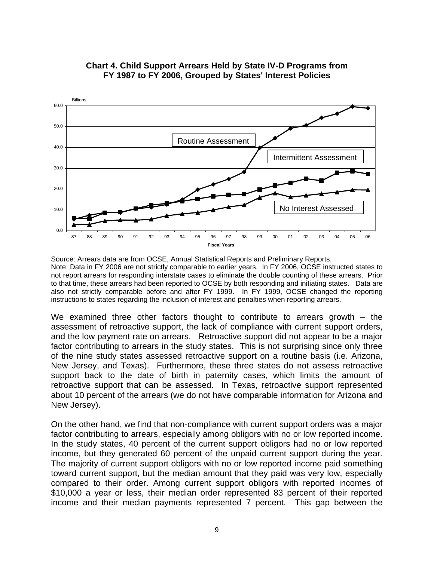

#### <span id="page-16-0"></span>**Chart 4. Child Support Arrears Held by State IV-D Programs from FY 1987 to FY 2006, Grouped by States' Interest Policies**

Source: Arrears data are from OCSE, Annual Statistical Reports and Preliminary Reports. Note: Data in FY 2006 are not strictly comparable to earlier years. In FY 2006, OCSE instructed states to not report arrears for responding interstate cases to eliminate the double counting of these arrears. Prior to that time, these arrears had been reported to OCSE by both responding and initiating states. Data are also not strictly comparable before and after FY 1999. In FY 1999, OCSE changed the reporting instructions to states regarding the inclusion of interest and penalties when reporting arrears.

We examined three other factors thought to contribute to arrears growth – the assessment of retroactive support, the lack of compliance with current support orders, and the low payment rate on arrears. Retroactive support did not appear to be a major factor contributing to arrears in the study states. This is not surprising since only three of the nine study states assessed retroactive support on a routine basis (i.e. Arizona, New Jersey, and Texas). Furthermore, these three states do not assess retroactive support back to the date of birth in paternity cases, which limits the amount of retroactive support that can be assessed. In Texas, retroactive support represented about 10 percent of the arrears (we do not have comparable information for Arizona and New Jersey).

On the other hand, we find that non-compliance with current support orders was a major factor contributing to arrears, especially among obligors with no or low reported income. In the study states, 40 percent of the current support obligors had no or low reported income, but they generated 60 percent of the unpaid current support during the year. The majority of current support obligors with no or low reported income paid something toward current support, but the median amount that they paid was very low, especially compared to their order. Among current support obligors with reported incomes of \$10,000 a year or less, their median order represented 83 percent of their reported income and their median payments represented 7 percent. This gap between the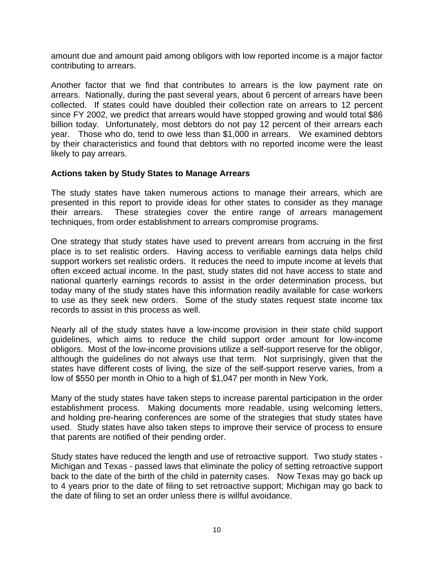<span id="page-17-0"></span>amount due and amount paid among obligors with low reported income is a major factor contributing to arrears.

Another factor that we find that contributes to arrears is the low payment rate on arrears. Nationally, during the past several years, about 6 percent of arrears have been collected. If states could have doubled their collection rate on arrears to 12 percent since FY 2002, we predict that arrears would have stopped growing and would total \$86 billion today. Unfortunately, most debtors do not pay 12 percent of their arrears each year. Those who do, tend to owe less than \$1,000 in arrears. We examined debtors by their characteristics and found that debtors with no reported income were the least likely to pay arrears.

#### **Actions taken by Study States to Manage Arrears**

The study states have taken numerous actions to manage their arrears, which are presented in this report to provide ideas for other states to consider as they manage their arrears. These strategies cover the entire range of arrears management techniques, from order establishment to arrears compromise programs.

One strategy that study states have used to prevent arrears from accruing in the first place is to set realistic orders. Having access to verifiable earnings data helps child support workers set realistic orders. It reduces the need to impute income at levels that often exceed actual income. In the past, study states did not have access to state and national quarterly earnings records to assist in the order determination process, but today many of the study states have this information readily available for case workers to use as they seek new orders. Some of the study states request state income tax records to assist in this process as well.

Nearly all of the study states have a low-income provision in their state child support guidelines, which aims to reduce the child support order amount for low-income obligors. Most of the low-income provisions utilize a self-support reserve for the obligor, although the guidelines do not always use that term. Not surprisingly, given that the states have different costs of living, the size of the self-support reserve varies, from a low of \$550 per month in Ohio to a high of \$1,047 per month in New York.

Many of the study states have taken steps to increase parental participation in the order establishment process. Making documents more readable, using welcoming letters, and holding pre-hearing conferences are some of the strategies that study states have used. Study states have also taken steps to improve their service of process to ensure that parents are notified of their pending order.

Study states have reduced the length and use of retroactive support. Two study states - Michigan and Texas - passed laws that eliminate the policy of setting retroactive support back to the date of the birth of the child in paternity cases. Now Texas may go back up to 4 years prior to the date of filing to set retroactive support; Michigan may go back to the date of filing to set an order unless there is willful avoidance.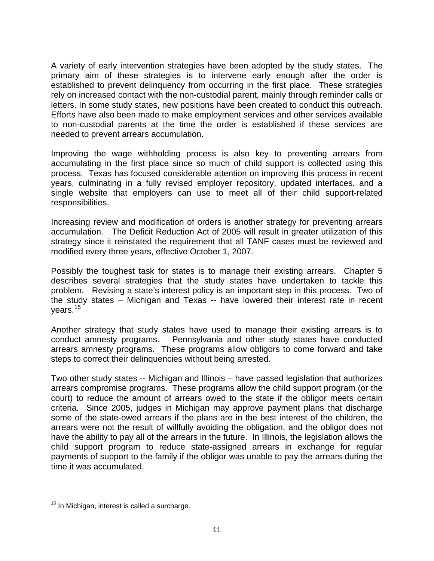A variety of early intervention strategies have been adopted by the study states. The primary aim of these strategies is to intervene early enough after the order is established to prevent delinquency from occurring in the first place. These strategies rely on increased contact with the non-custodial parent, mainly through reminder calls or letters. In some study states, new positions have been created to conduct this outreach. Efforts have also been made to make employment services and other services available to non-custodial parents at the time the order is established if these services are needed to prevent arrears accumulation.

Improving the wage withholding process is also key to preventing arrears from accumulating in the first place since so much of child support is collected using this process. Texas has focused considerable attention on improving this process in recent years, culminating in a fully revised employer repository, updated interfaces, and a single website that employers can use to meet all of their child support-related responsibilities.

Increasing review and modification of orders is another strategy for preventing arrears accumulation. The Deficit Reduction Act of 2005 will result in greater utilization of this strategy since it reinstated the requirement that all TANF cases must be reviewed and modified every three years, effective October 1, 2007.

Possibly the toughest task for states is to manage their existing arrears. Chapter 5 describes several strategies that the study states have undertaken to tackle this problem. Revising a state's interest policy is an important step in this process. Two of the study states – Michigan and Texas -- have lowered their interest rate in recent vears. $15$ 

Another strategy that study states have used to manage their existing arrears is to conduct amnesty programs. Pennsylvania and other study states have conducted arrears amnesty programs. These programs allow obligors to come forward and take steps to correct their delinquencies without being arrested.

Two other study states -- Michigan and Illinois – have passed legislation that authorizes arrears compromise programs. These programs allow the child support program (or the court) to reduce the amount of arrears owed to the state if the obligor meets certain criteria. Since 2005, judges in Michigan may approve payment plans that discharge some of the state-owed arrears if the plans are in the best interest of the children, the arrears were not the result of willfully avoiding the obligation, and the obligor does not have the ability to pay all of the arrears in the future. In Illinois, the legislation allows the child support program to reduce state-assigned arrears in exchange for regular payments of support to the family if the obligor was unable to pay the arrears during the time it was accumulated.

<span id="page-18-0"></span> $\overline{a}$  $15$  In Michigan, interest is called a surcharge.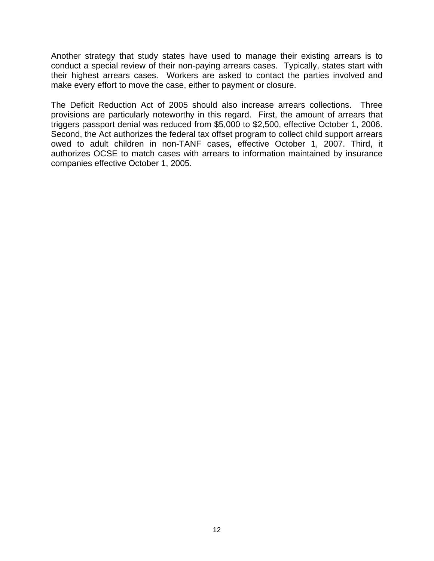Another strategy that study states have used to manage their existing arrears is to conduct a special review of their non-paying arrears cases. Typically, states start with their highest arrears cases. Workers are asked to contact the parties involved and make every effort to move the case, either to payment or closure.

The Deficit Reduction Act of 2005 should also increase arrears collections. Three provisions are particularly noteworthy in this regard. First, the amount of arrears that triggers passport denial was reduced from \$5,000 to \$2,500, effective October 1, 2006. Second, the Act authorizes the federal tax offset program to collect child support arrears owed to adult children in non-TANF cases, effective October 1, 2007. Third, it authorizes OCSE to match cases with arrears to information maintained by insurance companies effective October 1, 2005.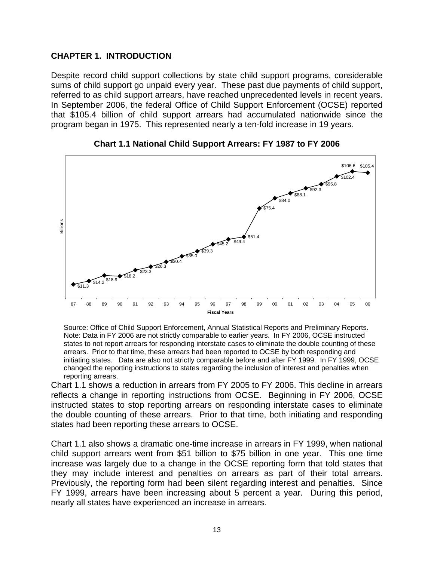#### <span id="page-20-0"></span>**CHAPTER 1. INTRODUCTION**

Despite record child support collections by state child support programs, considerable sums of child support go unpaid every year. These past due payments of child support, referred to as child support arrears, have reached unprecedented levels in recent years. In September 2006, the federal Office of Child Support Enforcement (OCSE) reported that \$105.4 billion of child support arrears had accumulated nationwide since the program began in 1975. This represented nearly a ten-fold increase in 19 years.





Source: Office of Child Support Enforcement, Annual Statistical Reports and Preliminary Reports. Note: Data in FY 2006 are not strictly comparable to earlier years. In FY 2006, OCSE instructed states to not report arrears for responding interstate cases to eliminate the double counting of these arrears. Prior to that time, these arrears had been reported to OCSE by both responding and initiating states. Data are also not strictly comparable before and after FY 1999. In FY 1999, OCSE changed the reporting instructions to states regarding the inclusion of interest and penalties when reporting arrears.

Chart 1.1 shows a reduction in arrears from FY 2005 to FY 2006. This decline in arrears reflects a change in reporting instructions from OCSE. Beginning in FY 2006, OCSE instructed states to stop reporting arrears on responding interstate cases to eliminate the double counting of these arrears. Prior to that time, both initiating and responding states had been reporting these arrears to OCSE.

Chart 1.1 also shows a dramatic one-time increase in arrears in FY 1999, when national child support arrears went from \$51 billion to \$75 billion in one year. This one time increase was largely due to a change in the OCSE reporting form that told states that they may include interest and penalties on arrears as part of their total arrears. Previously, the reporting form had been silent regarding interest and penalties. Since FY 1999, arrears have been increasing about 5 percent a year. During this period, nearly all states have experienced an increase in arrears.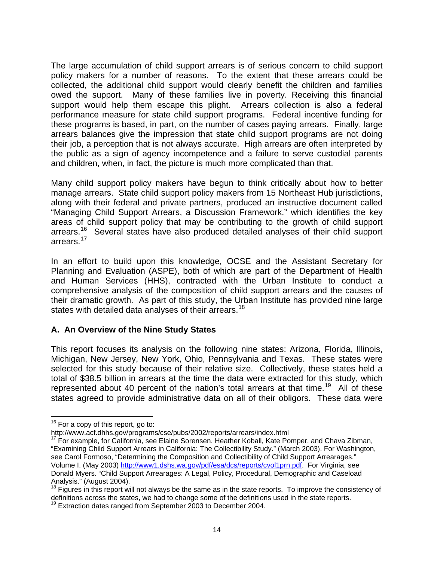<span id="page-21-0"></span>The large accumulation of child support arrears is of serious concern to child support policy makers for a number of reasons. To the extent that these arrears could be collected, the additional child support would clearly benefit the children and families owed the support. Many of these families live in poverty. Receiving this financial support would help them escape this plight. Arrears collection is also a federal performance measure for state child support programs. Federal incentive funding for these programs is based, in part, on the number of cases paying arrears. Finally, large arrears balances give the impression that state child support programs are not doing their job, a perception that is not always accurate. High arrears are often interpreted by the public as a sign of agency incompetence and a failure to serve custodial parents and children, when, in fact, the picture is much more complicated than that.

Many child support policy makers have begun to think critically about how to better manage arrears. State child support policy makers from 15 Northeast Hub jurisdictions, along with their federal and private partners, produced an instructive document called "Managing Child Support Arrears, a Discussion Framework," which identifies the key areas of child support policy that may be contributing to the growth of child support arrears.<sup>[16](#page-21-1)</sup> Several states have also produced detailed analyses of their child support arrears.<sup>[17](#page-21-2)</sup>

In an effort to build upon this knowledge, OCSE and the Assistant Secretary for Planning and Evaluation (ASPE), both of which are part of the Department of Health and Human Services (HHS), contracted with the Urban Institute to conduct a comprehensive analysis of the composition of child support arrears and the causes of their dramatic growth. As part of this study, the Urban Institute has provided nine large states with detailed data analyses of their arrears.<sup>[18](#page-21-3)</sup>

#### **A. An Overview of the Nine Study States**

This report focuses its analysis on the following nine states: Arizona, Florida, Illinois, Michigan, New Jersey, New York, Ohio, Pennsylvania and Texas. These states were selected for this study because of their relative size. Collectively, these states held a total of \$38.5 billion in arrears at the time the data were extracted for this study, which represented about 40 percent of the nation's total arrears at that time.<sup>[19](#page-21-4)</sup> All of these states agreed to provide administrative data on all of their obligors. These data were

1

<span id="page-21-2"></span> $17$  For example, for California, see Elaine Sorensen, Heather Koball, Kate Pomper, and Chava Zibman, "Examining Child Support Arrears in California: The Collectibility Study." (March 2003). For Washington, see Carol Formoso, "Determining the Composition and Collectibility of Child Support Arrearages." Volume I. (May 2003)<http://www1.dshs.wa.gov/pdf/esa/dcs/reports/cvol1prn.pdf>. For Virginia, see Donald Myers. "Child Support Arrearages: A Legal, Policy, Procedural, Demographic and Caseload Analysis." (August 2004).

<span id="page-21-1"></span> $16$  For a copy of this report, go to:<br>http://www.acf.dhhs.gov/programs/cse/pubs/2002/reports/arrears/index.html

<span id="page-21-3"></span> $18$  Figures in this report will not always be the same as in the state reports. To improve the consistency of definitions across the states, we had to change some of the definitions used in the state reports. 19 Extraction dates ranged from September 2003 to December 2004.

<span id="page-21-4"></span>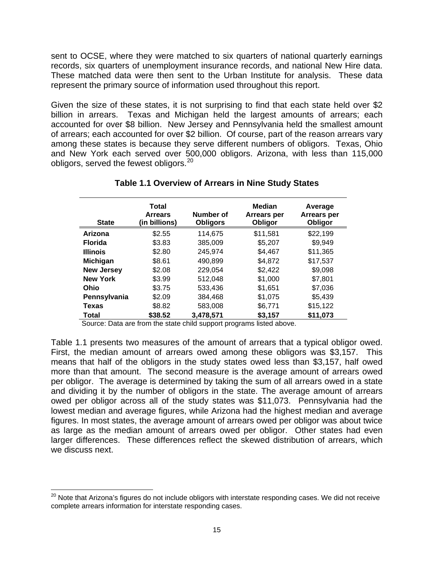<span id="page-22-0"></span>sent to OCSE, where they were matched to six quarters of national quarterly earnings records, six quarters of unemployment insurance records, and national New Hire data. These matched data were then sent to the Urban Institute for analysis. These data represent the primary source of information used throughout this report.

Given the size of these states, it is not surprising to find that each state held over \$2 billion in arrears. Texas and Michigan held the largest amounts of arrears; each accounted for over \$8 billion. New Jersey and Pennsylvania held the smallest amount of arrears; each accounted for over \$2 billion. Of course, part of the reason arrears vary among these states is because they serve different numbers of obligors. Texas, Ohio and New York each served over 500,000 obligors. Arizona, with less than 115,000 obligors, served the fewest obligors.<sup>[20](#page-22-1)</sup>

| <b>State</b>      | Total<br><b>Arrears</b><br>(in billions) | Number of<br><b>Obligors</b> | <b>Median</b><br>Arrears per<br>Obligor | Average<br>Arrears per<br>Obligor |
|-------------------|------------------------------------------|------------------------------|-----------------------------------------|-----------------------------------|
| Arizona           | \$2.55                                   | 114,675                      | \$11,581                                | \$22,199                          |
| <b>Florida</b>    | \$3.83                                   | 385,009                      | \$5,207                                 | \$9,949                           |
| <b>Illinois</b>   | \$2.80                                   | 245,974                      | \$4,467                                 | \$11,365                          |
| <b>Michigan</b>   | \$8.61                                   | 490,899                      | \$4,872                                 | \$17,537                          |
| <b>New Jersey</b> | \$2.08                                   | 229.054                      | \$2,422                                 | \$9.098                           |
| <b>New York</b>   | \$3.99                                   | 512.048                      | \$1,000                                 | \$7,801                           |
| Ohio              | \$3.75                                   | 533,436                      | \$1,651                                 | \$7,036                           |
| Pennsylvania      | \$2.09                                   | 384,468                      | \$1,075                                 | \$5,439                           |
| <b>Texas</b>      | \$8.82                                   | 583,008                      | \$6,771                                 | \$15,122                          |
| Total             | \$38.52                                  | 3,478,571                    | \$3,157                                 | \$11,073                          |

#### **Table 1.1 Overview of Arrears in Nine Study States**

Source: Data are from the state child support programs listed above.

Table 1.1 presents two measures of the amount of arrears that a typical obligor owed. First, the median amount of arrears owed among these obligors was \$3,157. This means that half of the obligors in the study states owed less than \$3,157, half owed more than that amount. The second measure is the average amount of arrears owed per obligor. The average is determined by taking the sum of all arrears owed in a state and dividing it by the number of obligors in the state. The average amount of arrears owed per obligor across all of the study states was \$11,073. Pennsylvania had the lowest median and average figures, while Arizona had the highest median and average figures. In most states, the average amount of arrears owed per obligor was about twice as large as the median amount of arrears owed per obligor. Other states had even larger differences. These differences reflect the skewed distribution of arrears, which we discuss next.

1

<span id="page-22-1"></span><sup>&</sup>lt;sup>20</sup> Note that Arizona's figures do not include obligors with interstate responding cases. We did not receive complete arrears information for interstate responding cases.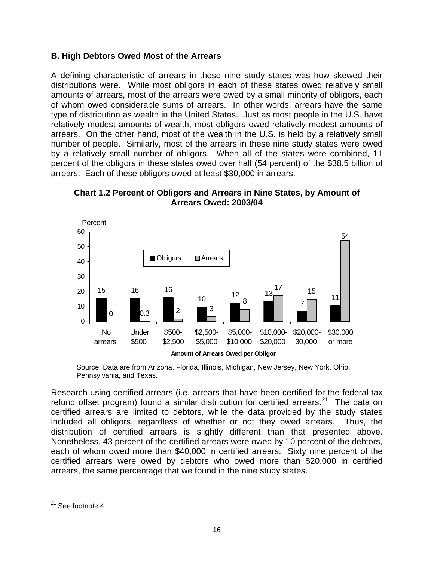#### <span id="page-23-0"></span>**B. High Debtors Owed Most of the Arrears**

A defining characteristic of arrears in these nine study states was how skewed their distributions were. While most obligors in each of these states owed relatively small amounts of arrears, most of the arrears were owed by a small minority of obligors, each of whom owed considerable sums of arrears. In other words, arrears have the same type of distribution as wealth in the United States. Just as most people in the U.S. have relatively modest amounts of wealth, most obligors owed relatively modest amounts of arrears. On the other hand, most of the wealth in the U.S. is held by a relatively small number of people. Similarly, most of the arrears in these nine study states were owed by a relatively small number of obligors. When all of the states were combined, 11 percent of the obligors in these states owed over half (54 percent) of the \$38.5 billion of arrears. Each of these obligors owed at least \$30,000 in arrears.



**Chart 1.2 Percent of Obligors and Arrears in Nine States, by Amount of Arrears Owed: 2003/04** 

Source: Data are from Arizona, Florida, Illinois, Michigan, New Jersey, New York, Ohio, Pennsylvania, and Texas.

Research using certified arrears (i.e. arrears that have been certified for the federal tax refund offset program) found a similar distribution for certified arrears.<sup>[21](#page-23-1)</sup> The data on certified arrears are limited to debtors, while the data provided by the study states included all obligors, regardless of whether or not they owed arrears. Thus, the distribution of certified arrears is slightly different than that presented above. Nonetheless, 43 percent of the certified arrears were owed by 10 percent of the debtors, each of whom owed more than \$40,000 in certified arrears. Sixty nine percent of the certified arrears were owed by debtors who owed more than \$20,000 in certified arrears, the same percentage that we found in the nine study states.

<span id="page-23-1"></span> $\overline{a}$  $21$  See footnote 4.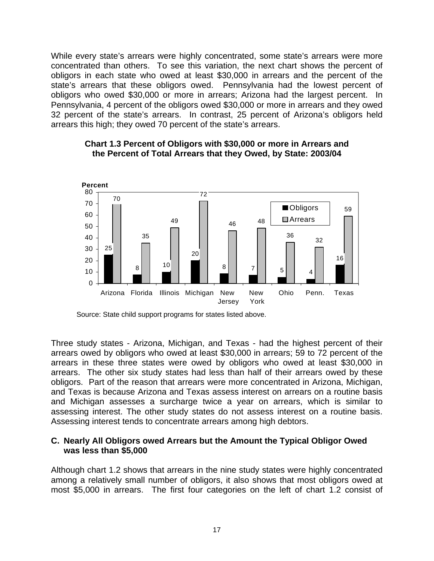<span id="page-24-0"></span>While every state's arrears were highly concentrated, some state's arrears were more concentrated than others. To see this variation, the next chart shows the percent of obligors in each state who owed at least \$30,000 in arrears and the percent of the state's arrears that these obligors owed. Pennsylvania had the lowest percent of obligors who owed \$30,000 or more in arrears; Arizona had the largest percent. In Pennsylvania, 4 percent of the obligors owed \$30,000 or more in arrears and they owed 32 percent of the state's arrears. In contrast, 25 percent of Arizona's obligors held arrears this high; they owed 70 percent of the state's arrears.



#### **Chart 1.3 Percent of Obligors with \$30,000 or more in Arrears and the Percent of Total Arrears that they Owed, by State: 2003/04**

Three study states - Arizona, Michigan, and Texas - had the highest percent of their arrears owed by obligors who owed at least \$30,000 in arrears; 59 to 72 percent of the arrears in these three states were owed by obligors who owed at least \$30,000 in arrears. The other six study states had less than half of their arrears owed by these obligors. Part of the reason that arrears were more concentrated in Arizona, Michigan, and Texas is because Arizona and Texas assess interest on arrears on a routine basis and Michigan assesses a surcharge twice a year on arrears, which is similar to assessing interest. The other study states do not assess interest on a routine basis. Assessing interest tends to concentrate arrears among high debtors.

#### **C. Nearly All Obligors owed Arrears but the Amount the Typical Obligor Owed was less than \$5,000**

Although chart 1.2 shows that arrears in the nine study states were highly concentrated among a relatively small number of obligors, it also shows that most obligors owed at most \$5,000 in arrears. The first four categories on the left of chart 1.2 consist of

Source: State child support programs for states listed above.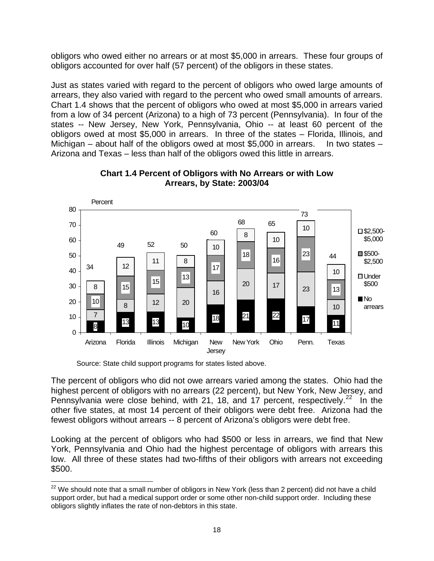<span id="page-25-0"></span>obligors who owed either no arrears or at most \$5,000 in arrears. These four groups of obligors accounted for over half (57 percent) of the obligors in these states.

Just as states varied with regard to the percent of obligors who owed large amounts of arrears, they also varied with regard to the percent who owed small amounts of arrears. Chart 1.4 shows that the percent of obligors who owed at most \$5,000 in arrears varied from a low of 34 percent (Arizona) to a high of 73 percent (Pennsylvania). In four of the states -- New Jersey, New York, Pennsylvania, Ohio -- at least 60 percent of the obligors owed at most \$5,000 in arrears. In three of the states – Florida, Illinois, and Michigan – about half of the obligors owed at most  $$5,000$  in arrears. In two states – Arizona and Texas – less than half of the obligors owed this little in arrears.





The percent of obligors who did not owe arrears varied among the states. Ohio had the highest percent of obligors with no arrears (22 percent), but New York, New Jersey, and Pennsylvania were close behind, with 21, 18, and 17 percent, respectively.<sup>[22](#page-25-1)</sup> In the other five states, at most 14 percent of their obligors were debt free. Arizona had the fewest obligors without arrears -- 8 percent of Arizona's obligors were debt free.

Looking at the percent of obligors who had \$500 or less in arrears, we find that New York, Pennsylvania and Ohio had the highest percentage of obligors with arrears this low. All three of these states had two-fifths of their obligors with arrears not exceeding \$500.

Source: State child support programs for states listed above.

<span id="page-25-1"></span><sup>1</sup>  $22$  We should note that a small number of obligors in New York (less than 2 percent) did not have a child support order, but had a medical support order or some other non-child support order. Including these obligors slightly inflates the rate of non-debtors in this state.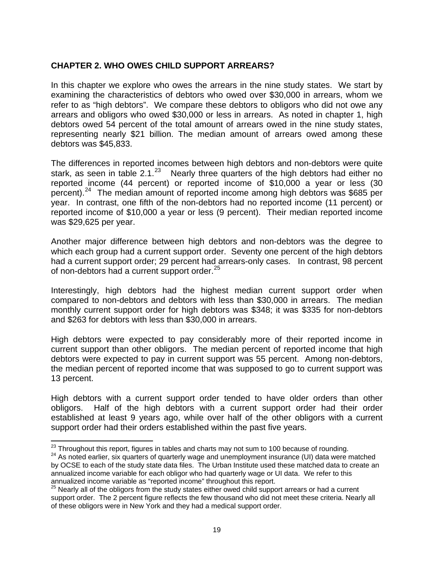#### <span id="page-26-0"></span>**CHAPTER 2. WHO OWES CHILD SUPPORT ARREARS?**

In this chapter we explore who owes the arrears in the nine study states. We start by examining the characteristics of debtors who owed over \$30,000 in arrears, whom we refer to as "high debtors". We compare these debtors to obligors who did not owe any arrears and obligors who owed \$30,000 or less in arrears. As noted in chapter 1, high debtors owed 54 percent of the total amount of arrears owed in the nine study states, representing nearly \$21 billion. The median amount of arrears owed among these debtors was \$45,833.

The differences in reported incomes between high debtors and non-debtors were quite stark, as seen in table 2.1. $^{23}$  $^{23}$  $^{23}$  Nearly three quarters of the high debtors had either no reported income (44 percent) or reported income of \$10,000 a year or less (30 percent).<sup>[24](#page-26-2)</sup> The median amount of reported income among high debtors was \$685 per year. In contrast, one fifth of the non-debtors had no reported income (11 percent) or reported income of \$10,000 a year or less (9 percent). Their median reported income was \$29,625 per year.

Another major difference between high debtors and non-debtors was the degree to which each group had a current support order. Seventy one percent of the high debtors had a current support order; 29 percent had arrears-only cases. In contrast, 98 percent of non-debtors had a current support order.<sup>[25](#page-26-3)</sup>

Interestingly, high debtors had the highest median current support order when compared to non-debtors and debtors with less than \$30,000 in arrears. The median monthly current support order for high debtors was \$348; it was \$335 for non-debtors and \$263 for debtors with less than \$30,000 in arrears.

High debtors were expected to pay considerably more of their reported income in current support than other obligors. The median percent of reported income that high debtors were expected to pay in current support was 55 percent. Among non-debtors, the median percent of reported income that was supposed to go to current support was 13 percent.

High debtors with a current support order tended to have older orders than other obligors. Half of the high debtors with a current support order had their order established at least 9 years ago, while over half of the other obligors with a current support order had their orders established within the past five years.

<sup>&</sup>lt;sup>23</sup> Throughout this report, figures in tables and charts may not sum to 100 because of rounding.

<span id="page-26-2"></span><span id="page-26-1"></span><sup>&</sup>lt;sup>24</sup> As noted earlier, six quarters of quarterly wage and unemployment insurance (UI) data were matched by OCSE to each of the study state data files. The Urban Institute used these matched data to create an annualized income variable for each obligor who had quarterly wage or UI data. We refer to this annualized income variable as "reported income" throughout this report.

<span id="page-26-3"></span> $25$  Nearly all of the obligors from the study states either owed child support arrears or had a current support order. The 2 percent figure reflects the few thousand who did not meet these criteria. Nearly all of these obligors were in New York and they had a medical support order.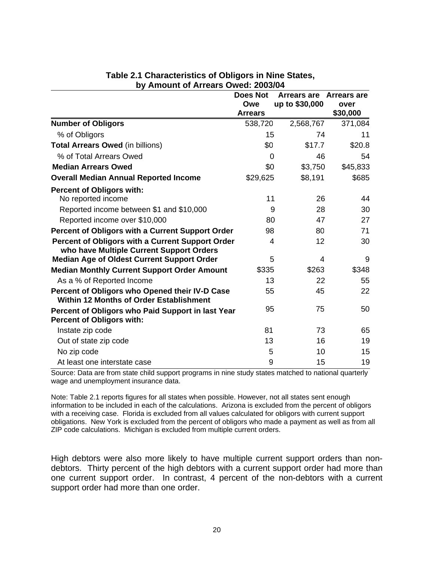<span id="page-27-0"></span>

|                                                                                                  | <b>Does Not</b><br>Owe<br><b>Arrears</b> | Arrears are Arrears are<br>up to \$30,000 | over<br>\$30,000 |
|--------------------------------------------------------------------------------------------------|------------------------------------------|-------------------------------------------|------------------|
| <b>Number of Obligors</b>                                                                        | 538,720                                  | 2,568,767                                 | 371,084          |
| % of Obligors                                                                                    | 15                                       | 74                                        | 11               |
| <b>Total Arrears Owed (in billions)</b>                                                          | \$0                                      | \$17.7                                    | \$20.8           |
| % of Total Arrears Owed                                                                          | 0                                        | 46                                        | 54               |
| <b>Median Arrears Owed</b>                                                                       | \$0                                      | \$3,750                                   | \$45,833         |
| <b>Overall Median Annual Reported Income</b>                                                     | \$29,625                                 | \$8,191                                   | \$685            |
| <b>Percent of Obligors with:</b>                                                                 |                                          |                                           |                  |
| No reported income                                                                               | 11                                       | 26                                        | 44               |
| Reported income between \$1 and \$10,000                                                         | 9                                        | 28                                        | 30               |
| Reported income over \$10,000                                                                    | 80                                       | 47                                        | 27               |
| Percent of Obligors with a Current Support Order                                                 | 98                                       | 80                                        | 71               |
| Percent of Obligors with a Current Support Order<br>who have Multiple Current Support Orders     | 4                                        | 12                                        | 30               |
| <b>Median Age of Oldest Current Support Order</b>                                                | 5                                        | 4                                         | 9                |
| <b>Median Monthly Current Support Order Amount</b>                                               | \$335                                    | \$263                                     | \$348            |
| As a % of Reported Income                                                                        | 13                                       | 22                                        | 55               |
| Percent of Obligors who Opened their IV-D Case<br><b>Within 12 Months of Order Establishment</b> | 55                                       | 45                                        | 22               |
| Percent of Obligors who Paid Support in last Year<br><b>Percent of Obligors with:</b>            | 95                                       | 75                                        | 50               |
| Instate zip code                                                                                 | 81                                       | 73                                        | 65               |
| Out of state zip code                                                                            | 13                                       | 16                                        | 19               |
| No zip code                                                                                      | 5                                        | 10                                        | 15               |
| At least one interstate case                                                                     | 9                                        | 15                                        | 19               |

#### **Table 2.1 Characteristics of Obligors in Nine States, by Amount of Arrears Owed: 2003/04**

Source: Data are from state child support programs in nine study states matched to national quarterly wage and unemployment insurance data.

Note: Table 2.1 reports figures for all states when possible. However, not all states sent enough information to be included in each of the calculations. Arizona is excluded from the percent of obligors with a receiving case. Florida is excluded from all values calculated for obligors with current support obligations. New York is excluded from the percent of obligors who made a payment as well as from all ZIP code calculations. Michigan is excluded from multiple current orders.

High debtors were also more likely to have multiple current support orders than nondebtors. Thirty percent of the high debtors with a current support order had more than one current support order. In contrast, 4 percent of the non-debtors with a current support order had more than one order.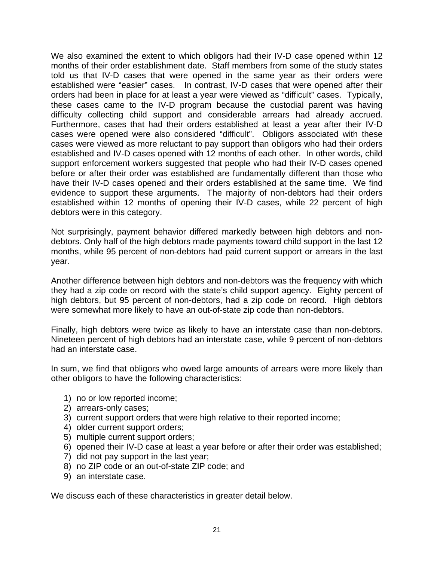We also examined the extent to which obligors had their IV-D case opened within 12 months of their order establishment date. Staff members from some of the study states told us that IV-D cases that were opened in the same year as their orders were established were "easier" cases. In contrast, IV-D cases that were opened after their orders had been in place for at least a year were viewed as "difficult" cases. Typically, these cases came to the IV-D program because the custodial parent was having difficulty collecting child support and considerable arrears had already accrued. Furthermore, cases that had their orders established at least a year after their IV-D cases were opened were also considered "difficult". Obligors associated with these cases were viewed as more reluctant to pay support than obligors who had their orders established and IV-D cases opened with 12 months of each other. In other words, child support enforcement workers suggested that people who had their IV-D cases opened before or after their order was established are fundamentally different than those who have their IV-D cases opened and their orders established at the same time. We find evidence to support these arguments. The majority of non-debtors had their orders established within 12 months of opening their IV-D cases, while 22 percent of high debtors were in this category.

Not surprisingly, payment behavior differed markedly between high debtors and nondebtors. Only half of the high debtors made payments toward child support in the last 12 months, while 95 percent of non-debtors had paid current support or arrears in the last year.

Another difference between high debtors and non-debtors was the frequency with which they had a zip code on record with the state's child support agency. Eighty percent of high debtors, but 95 percent of non-debtors, had a zip code on record. High debtors were somewhat more likely to have an out-of-state zip code than non-debtors.

Finally, high debtors were twice as likely to have an interstate case than non-debtors. Nineteen percent of high debtors had an interstate case, while 9 percent of non-debtors had an interstate case.

In sum, we find that obligors who owed large amounts of arrears were more likely than other obligors to have the following characteristics:

- 1) no or low reported income;
- 2) arrears-only cases;
- 3) current support orders that were high relative to their reported income;
- 4) older current support orders;
- 5) multiple current support orders;
- 6) opened their IV-D case at least a year before or after their order was established;
- 7) did not pay support in the last year;
- 8) no ZIP code or an out-of-state ZIP code; and
- 9) an interstate case.

We discuss each of these characteristics in greater detail below.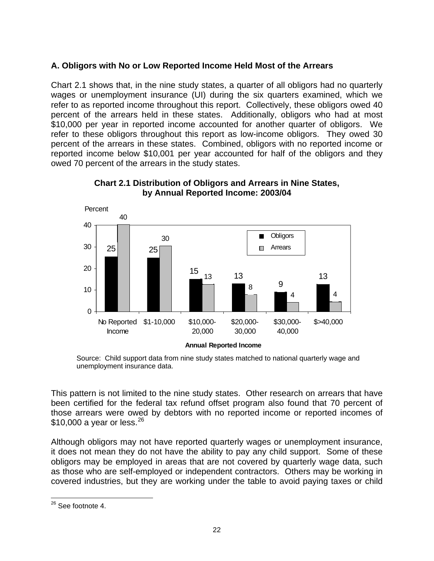### <span id="page-29-0"></span>**A. Obligors with No or Low Reported Income Held Most of the Arrears**

Chart 2.1 shows that, in the nine study states, a quarter of all obligors had no quarterly wages or unemployment insurance (UI) during the six quarters examined, which we refer to as reported income throughout this report. Collectively, these obligors owed 40 percent of the arrears held in these states. Additionally, obligors who had at most \$10,000 per year in reported income accounted for another quarter of obligors. We refer to these obligors throughout this report as low-income obligors. They owed 30 percent of the arrears in these states. Combined, obligors with no reported income or reported income below \$10,001 per year accounted for half of the obligors and they owed 70 percent of the arrears in the study states.



#### **Chart 2.1 Distribution of Obligors and Arrears in Nine States, by Annual Reported Income: 2003/04**

Source: Child support data from nine study states matched to national quarterly wage and unemployment insurance data.

This pattern is not limited to the nine study states. Other research on arrears that have been certified for the federal tax refund offset program also found that 70 percent of those arrears were owed by debtors with no reported income or reported incomes of \$10,000 a year or less.  $26$ 

Although obligors may not have reported quarterly wages or unemployment insurance, it does not mean they do not have the ability to pay any child support. Some of these obligors may be employed in areas that are not covered by quarterly wage data, such as those who are self-employed or independent contractors. Others may be working in covered industries, but they are working under the table to avoid paying taxes or child

<span id="page-29-1"></span> $\overline{a}$ <sup>26</sup> See footnote 4.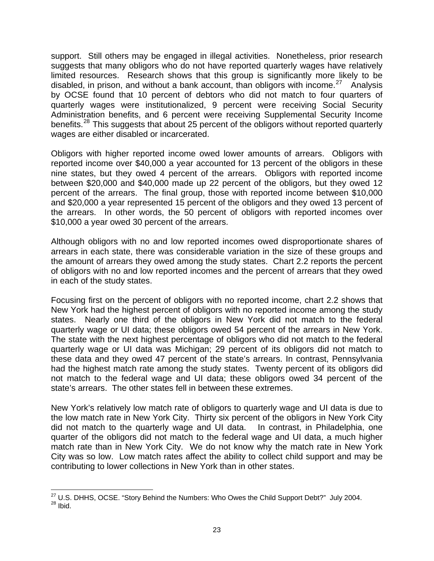support. Still others may be engaged in illegal activities. Nonetheless, prior research suggests that many obligors who do not have reported quarterly wages have relatively limited resources. Research shows that this group is significantly more likely to be disabled, in prison, and without a bank account, than obligors with income.<sup>[27](#page-30-0)</sup> Analysis by OCSE found that 10 percent of debtors who did not match to four quarters of quarterly wages were institutionalized, 9 percent were receiving Social Security Administration benefits, and 6 percent were receiving Supplemental Security Income benefits.[28](#page-30-1) This suggests that about 25 percent of the obligors without reported quarterly wages are either disabled or incarcerated.

Obligors with higher reported income owed lower amounts of arrears. Obligors with reported income over \$40,000 a year accounted for 13 percent of the obligors in these nine states, but they owed 4 percent of the arrears. Obligors with reported income between \$20,000 and \$40,000 made up 22 percent of the obligors, but they owed 12 percent of the arrears. The final group, those with reported income between \$10,000 and \$20,000 a year represented 15 percent of the obligors and they owed 13 percent of the arrears. In other words, the 50 percent of obligors with reported incomes over \$10,000 a year owed 30 percent of the arrears.

Although obligors with no and low reported incomes owed disproportionate shares of arrears in each state, there was considerable variation in the size of these groups and the amount of arrears they owed among the study states. Chart 2.2 reports the percent of obligors with no and low reported incomes and the percent of arrears that they owed in each of the study states.

Focusing first on the percent of obligors with no reported income, chart 2.2 shows that New York had the highest percent of obligors with no reported income among the study states. Nearly one third of the obligors in New York did not match to the federal quarterly wage or UI data; these obligors owed 54 percent of the arrears in New York. The state with the next highest percentage of obligors who did not match to the federal quarterly wage or UI data was Michigan; 29 percent of its obligors did not match to these data and they owed 47 percent of the state's arrears. In contrast, Pennsylvania had the highest match rate among the study states. Twenty percent of its obligors did not match to the federal wage and UI data; these obligors owed 34 percent of the state's arrears. The other states fell in between these extremes.

New York's relatively low match rate of obligors to quarterly wage and UI data is due to the low match rate in New York City. Thirty six percent of the obligors in New York City did not match to the quarterly wage and UI data. In contrast, in Philadelphia, one quarter of the obligors did not match to the federal wage and UI data, a much higher match rate than in New York City. We do not know why the match rate in New York City was so low. Low match rates affect the ability to collect child support and may be contributing to lower collections in New York than in other states.

<span id="page-30-1"></span><span id="page-30-0"></span> $\overline{a}$ <sup>27</sup> U.S. DHHS, OCSE. "Story Behind the Numbers: Who Owes the Child Support Debt?" July 2004.<br><sup>28</sup> Ibid.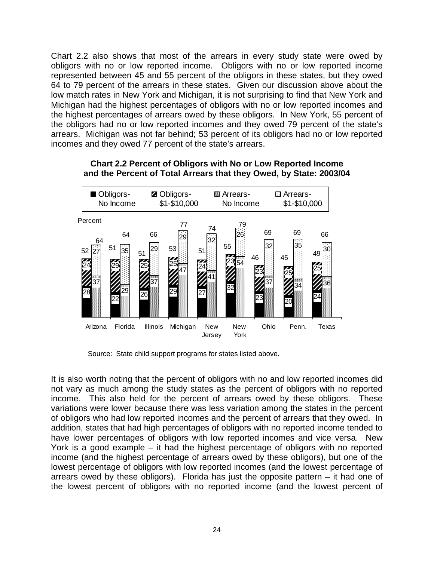<span id="page-31-0"></span>Chart 2.2 also shows that most of the arrears in every study state were owed by obligors with no or low reported income. Obligors with no or low reported income represented between 45 and 55 percent of the obligors in these states, but they owed 64 to 79 percent of the arrears in these states. Given our discussion above about the low match rates in New York and Michigan, it is not surprising to find that New York and Michigan had the highest percentages of obligors with no or low reported incomes and the highest percentages of arrears owed by these obligors. In New York, 55 percent of the obligors had no or low reported incomes and they owed 79 percent of the state's arrears. Michigan was not far behind; 53 percent of its obligors had no or low reported incomes and they owed 77 percent of the state's arrears.



**Chart 2.2 Percent of Obligors with No or Low Reported Income and the Percent of Total Arrears that they Owed, by State: 2003/04** 

Source: State child support programs for states listed above.

It is also worth noting that the percent of obligors with no and low reported incomes did not vary as much among the study states as the percent of obligors with no reported income. This also held for the percent of arrears owed by these obligors. These variations were lower because there was less variation among the states in the percent of obligors who had low reported incomes and the percent of arrears that they owed. In addition, states that had high percentages of obligors with no reported income tended to have lower percentages of obligors with low reported incomes and vice versa. New York is a good example – it had the highest percentage of obligors with no reported income (and the highest percentage of arrears owed by these obligors), but one of the lowest percentage of obligors with low reported incomes (and the lowest percentage of arrears owed by these obligors). Florida has just the opposite pattern – it had one of the lowest percent of obligors with no reported income (and the lowest percent of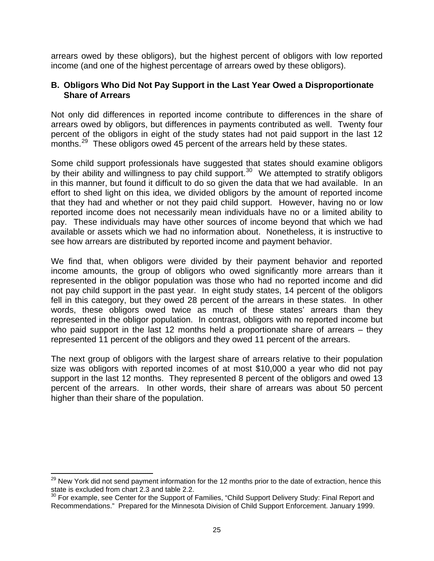<span id="page-32-0"></span>arrears owed by these obligors), but the highest percent of obligors with low reported income (and one of the highest percentage of arrears owed by these obligors).

#### **B. Obligors Who Did Not Pay Support in the Last Year Owed a Disproportionate Share of Arrears**

Not only did differences in reported income contribute to differences in the share of arrears owed by obligors, but differences in payments contributed as well. Twenty four percent of the obligors in eight of the study states had not paid support in the last 12 months.<sup>[29](#page-32-1)</sup> These obligors owed 45 percent of the arrears held by these states.

Some child support professionals have suggested that states should examine obligors by their ability and willingness to pay child support.<sup>[30](#page-32-2)</sup> We attempted to stratify obligors in this manner, but found it difficult to do so given the data that we had available. In an effort to shed light on this idea, we divided obligors by the amount of reported income that they had and whether or not they paid child support. However, having no or low reported income does not necessarily mean individuals have no or a limited ability to pay. These individuals may have other sources of income beyond that which we had available or assets which we had no information about. Nonetheless, it is instructive to see how arrears are distributed by reported income and payment behavior.

We find that, when obligors were divided by their payment behavior and reported income amounts, the group of obligors who owed significantly more arrears than it represented in the obligor population was those who had no reported income and did not pay child support in the past year. In eight study states, 14 percent of the obligors fell in this category, but they owed 28 percent of the arrears in these states. In other words, these obligors owed twice as much of these states' arrears than they represented in the obligor population. In contrast, obligors with no reported income but who paid support in the last 12 months held a proportionate share of arrears – they represented 11 percent of the obligors and they owed 11 percent of the arrears.

The next group of obligors with the largest share of arrears relative to their population size was obligors with reported incomes of at most \$10,000 a year who did not pay support in the last 12 months. They represented 8 percent of the obligors and owed 13 percent of the arrears. In other words, their share of arrears was about 50 percent higher than their share of the population.

 $\overline{a}$ 

<span id="page-32-1"></span><sup>&</sup>lt;sup>29</sup> New York did not send payment information for the 12 months prior to the date of extraction, hence this state is excluded from chart 2.3 and table 2.2.

<span id="page-32-2"></span> $30$  For example, see Center for the Support of Families, "Child Support Delivery Study: Final Report and Recommendations." Prepared for the Minnesota Division of Child Support Enforcement. January 1999.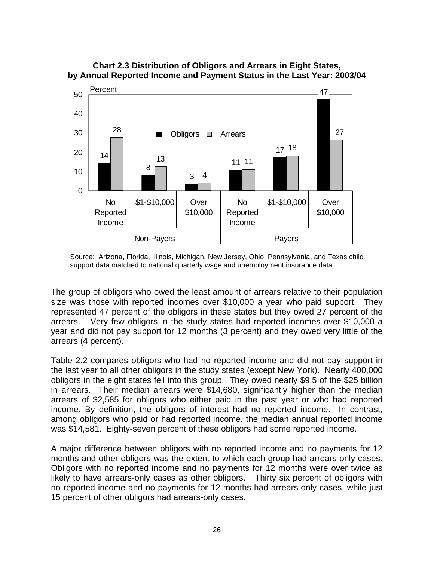

#### <span id="page-33-0"></span>**Chart 2.3 Distribution of Obligors and Arrears in Eight States, by Annual Reported Income and Payment Status in the Last Year: 2003/04**

Source: Arizona, Florida, Illinois, Michigan, New Jersey, Ohio, Pennsylvania, and Texas child support data matched to national quarterly wage and unemployment insurance data.

The group of obligors who owed the least amount of arrears relative to their population size was those with reported incomes over \$10,000 a year who paid support. They represented 47 percent of the obligors in these states but they owed 27 percent of the arrears. Very few obligors in the study states had reported incomes over \$10,000 a year and did not pay support for 12 months (3 percent) and they owed very little of the arrears (4 percent).

Table 2.2 compares obligors who had no reported income and did not pay support in the last year to all other obligors in the study states (except New York). Nearly 400,000 obligors in the eight states fell into this group. They owed nearly \$9.5 of the \$25 billion in arrears. Their median arrears were \$14,680, significantly higher than the median arrears of \$2,585 for obligors who either paid in the past year or who had reported income. By definition, the obligors of interest had no reported income. In contrast, among obligors who paid or had reported income, the median annual reported income was \$14,581. Eighty-seven percent of these obligors had some reported income.

A major difference between obligors with no reported income and no payments for 12 months and other obligors was the extent to which each group had arrears-only cases. Obligors with no reported income and no payments for 12 months were over twice as likely to have arrears-only cases as other obligors. Thirty six percent of obligors with no reported income and no payments for 12 months had arrears-only cases, while just 15 percent of other obligors had arrears-only cases.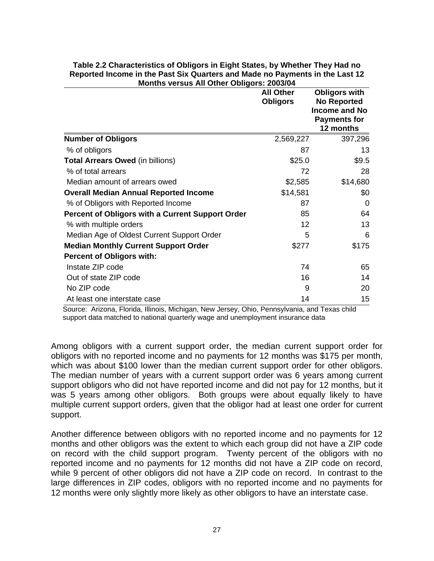|                                                  | <b>All Other</b><br><b>Obligors</b> | <b>Obligors with</b><br><b>No Reported</b><br>Income and No<br><b>Payments for</b><br>12 months |
|--------------------------------------------------|-------------------------------------|-------------------------------------------------------------------------------------------------|
| <b>Number of Obligors</b>                        | 2,569,227                           | 397,296                                                                                         |
| % of obligors                                    | 87                                  | 13                                                                                              |
| <b>Total Arrears Owed (in billions)</b>          | \$25.0                              | \$9.5                                                                                           |
| % of total arrears                               | 72                                  | 28                                                                                              |
| Median amount of arrears owed                    | \$2,585                             | \$14,680                                                                                        |
| <b>Overall Median Annual Reported Income</b>     | \$14,581                            | \$0                                                                                             |
| % of Obligors with Reported Income               | 87                                  | $\Omega$                                                                                        |
| Percent of Obligors with a Current Support Order | 85                                  | 64                                                                                              |
| % with multiple orders                           | 12                                  | 13                                                                                              |
| Median Age of Oldest Current Support Order       | 5                                   | 6                                                                                               |
| <b>Median Monthly Current Support Order</b>      | \$277                               | \$175                                                                                           |
| <b>Percent of Obligors with:</b>                 |                                     |                                                                                                 |
| Instate ZIP code                                 | 74                                  | 65                                                                                              |
| Out of state ZIP code                            | 16                                  | 14                                                                                              |
| No ZIP code                                      | 9                                   | 20                                                                                              |
| At least one interstate case                     | 14                                  | 15                                                                                              |

#### <span id="page-34-0"></span>**Table 2.2 Characteristics of Obligors in Eight States, by Whether They Had no Reported Income in the Past Six Quarters and Made no Payments in the Last 12 Months versus All Other Obligors: 2003/04**

 Source: Arizona, Florida, Illinois, Michigan, New Jersey, Ohio, Pennsylvania, and Texas child support data matched to national quarterly wage and unemployment insurance data

Among obligors with a current support order, the median current support order for obligors with no reported income and no payments for 12 months was \$175 per month, which was about \$100 lower than the median current support order for other obligors. The median number of years with a current support order was 6 years among current support obligors who did not have reported income and did not pay for 12 months, but it was 5 years among other obligors. Both groups were about equally likely to have multiple current support orders, given that the obligor had at least one order for current support.

Another difference between obligors with no reported income and no payments for 12 months and other obligors was the extent to which each group did not have a ZIP code on record with the child support program. Twenty percent of the obligors with no reported income and no payments for 12 months did not have a ZIP code on record, while 9 percent of other obligors did not have a ZIP code on record. In contrast to the large differences in ZIP codes, obligors with no reported income and no payments for 12 months were only slightly more likely as other obligors to have an interstate case.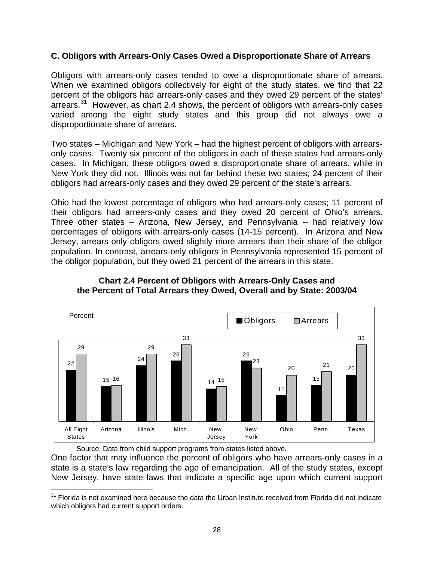#### <span id="page-35-0"></span>**C. Obligors with Arrears-Only Cases Owed a Disproportionate Share of Arrears**

Obligors with arrears-only cases tended to owe a disproportionate share of arrears. When we examined obligors collectively for eight of the study states, we find that 22 percent of the obligors had arrears-only cases and they owed 29 percent of the states' arrears.<sup>[31](#page-35-1)</sup> However, as chart 2.4 shows, the percent of obligors with arrears-only cases varied among the eight study states and this group did not always owe a disproportionate share of arrears.

Two states – Michigan and New York – had the highest percent of obligors with arrearsonly cases. Twenty six percent of the obligors in each of these states had arrears-only cases. In Michigan, these obligors owed a disproportionate share of arrears, while in New York they did not. Illinois was not far behind these two states; 24 percent of their obligors had arrears-only cases and they owed 29 percent of the state's arrears.

Ohio had the lowest percentage of obligors who had arrears-only cases; 11 percent of their obligors had arrears-only cases and they owed 20 percent of Ohio's arrears. Three other states – Arizona, New Jersey, and Pennsylvania -- had relatively low percentages of obligors with arrears-only cases (14-15 percent). In Arizona and New Jersey, arrears-only obligors owed slightly more arrears than their share of the obligor population. In contrast, arrears-only obligors in Pennsylvania represented 15 percent of the obligor population, but they owed 21 percent of the arrears in this state.



**Chart 2.4 Percent of Obligors with Arrears-Only Cases and the Percent of Total Arrears they Owed, Overall and by State: 2003/04** 

Source: Data from child support programs from states listed above.

One factor that may influence the percent of obligors who have arrears-only cases in a state is a state's law regarding the age of emancipation. All of the study states, except New Jersey, have state laws that indicate a specific age upon which current support

<span id="page-35-1"></span> $\overline{a}$ <sup>31</sup> Florida is not examined here because the data the Urban Institute received from Florida did not indicate which obligors had current support orders.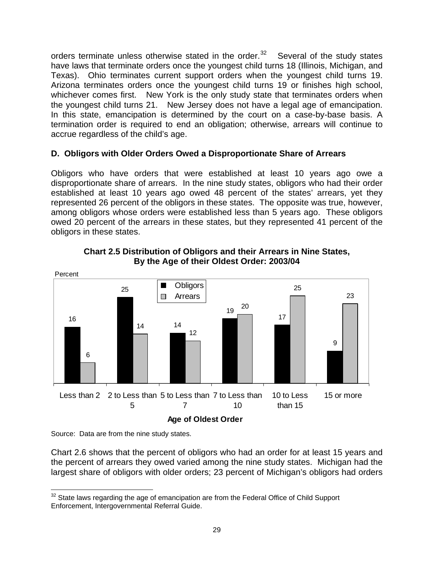orders terminate unless otherwise stated in the order. $32$  Several of the study states have laws that terminate orders once the youngest child turns 18 (Illinois, Michigan, and Texas). Ohio terminates current support orders when the youngest child turns 19. Arizona terminates orders once the youngest child turns 19 or finishes high school, whichever comes first. New York is the only study state that terminates orders when the youngest child turns 21. New Jersey does not have a legal age of emancipation. In this state, emancipation is determined by the court on a case-by-base basis. A termination order is required to end an obligation; otherwise, arrears will continue to accrue regardless of the child's age.

# **D. Obligors with Older Orders Owed a Disproportionate Share of Arrears**

Obligors who have orders that were established at least 10 years ago owe a disproportionate share of arrears. In the nine study states, obligors who had their order established at least 10 years ago owed 48 percent of the states' arrears, yet they represented 26 percent of the obligors in these states. The opposite was true, however, among obligors whose orders were established less than 5 years ago. These obligors owed 20 percent of the arrears in these states, but they represented 41 percent of the obligors in these states.



**Chart 2.5 Distribution of Obligors and their Arrears in Nine States, By the Age of their Oldest Order: 2003/04** 

Source: Data are from the nine study states.

Chart 2.6 shows that the percent of obligors who had an order for at least 15 years and the percent of arrears they owed varied among the nine study states. Michigan had the largest share of obligors with older orders; 23 percent of Michigan's obligors had orders

<span id="page-36-0"></span> $\overline{a}$  $32$  State laws regarding the age of emancipation are from the Federal Office of Child Support Enforcement, Intergovernmental Referral Guide.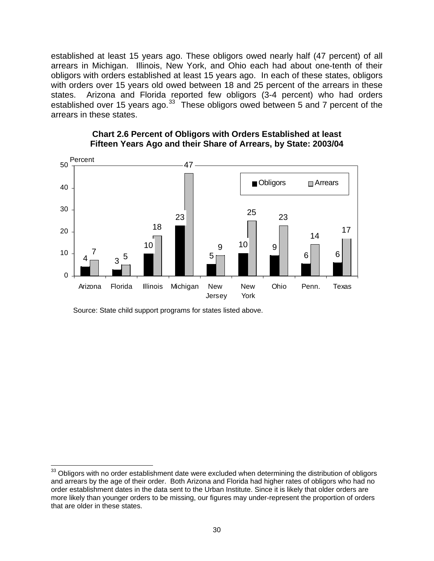established at least 15 years ago. These obligors owed nearly half (47 percent) of all arrears in Michigan. Illinois, New York, and Ohio each had about one-tenth of their obligors with orders established at least 15 years ago. In each of these states, obligors with orders over 15 years old owed between 18 and 25 percent of the arrears in these states. Arizona and Florida reported few obligors (3-4 percent) who had orders established over 15 years ago. $33$  These obligors owed between 5 and 7 percent of the arrears in these states.



#### **Chart 2.6 Percent of Obligors with Orders Established at least Fifteen Years Ago and their Share of Arrears, by State: 2003/04**

Source: State child support programs for states listed above.

 $\overline{a}$ 

<span id="page-37-0"></span> $33$  Obligors with no order establishment date were excluded when determining the distribution of obligors and arrears by the age of their order. Both Arizona and Florida had higher rates of obligors who had no order establishment dates in the data sent to the Urban Institute. Since it is likely that older orders are more likely than younger orders to be missing, our figures may under-represent the proportion of orders that are older in these states.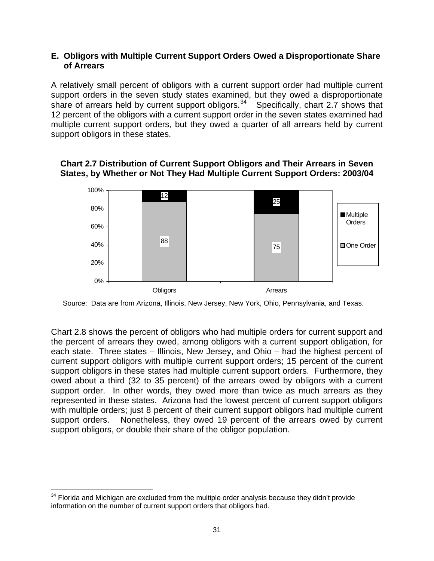#### **E. Obligors with Multiple Current Support Orders Owed a Disproportionate Share of Arrears**

A relatively small percent of obligors with a current support order had multiple current support orders in the seven study states examined, but they owed a disproportionate share of arrears held by current support obligors.<sup>[34](#page-38-0)</sup> Specifically, chart 2.7 shows that 12 percent of the obligors with a current support order in the seven states examined had multiple current support orders, but they owed a quarter of all arrears held by current support obligors in these states.



**Chart 2.7 Distribution of Current Support Obligors and Their Arrears in Seven States, by Whether or Not They Had Multiple Current Support Orders: 2003/04** 

Source: Data are from Arizona, Illinois, New Jersey, New York, Ohio, Pennsylvania, and Texas.

Chart 2.8 shows the percent of obligors who had multiple orders for current support and the percent of arrears they owed, among obligors with a current support obligation, for each state. Three states – Illinois, New Jersey, and Ohio – had the highest percent of current support obligors with multiple current support orders; 15 percent of the current support obligors in these states had multiple current support orders. Furthermore, they owed about a third (32 to 35 percent) of the arrears owed by obligors with a current support order. In other words, they owed more than twice as much arrears as they represented in these states. Arizona had the lowest percent of current support obligors with multiple orders; just 8 percent of their current support obligors had multiple current support orders. Nonetheless, they owed 19 percent of the arrears owed by current support obligors, or double their share of the obligor population.

 $\overline{a}$ 

<span id="page-38-0"></span> $34$  Florida and Michigan are excluded from the multiple order analysis because they didn't provide information on the number of current support orders that obligors had.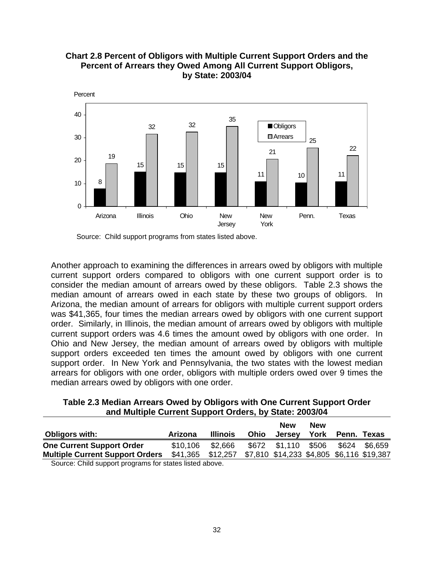

**Chart 2.8 Percent of Obligors with Multiple Current Support Orders and the Percent of Arrears they Owed Among All Current Support Obligors, by State: 2003/04** 

Source: Child support programs from states listed above.

Another approach to examining the differences in arrears owed by obligors with multiple current support orders compared to obligors with one current support order is to consider the median amount of arrears owed by these obligors. Table 2.3 shows the median amount of arrears owed in each state by these two groups of obligors. In Arizona, the median amount of arrears for obligors with multiple current support orders was \$41,365, four times the median arrears owed by obligors with one current support order. Similarly, in Illinois, the median amount of arrears owed by obligors with multiple current support orders was 4.6 times the amount owed by obligors with one order. In Ohio and New Jersey, the median amount of arrears owed by obligors with multiple support orders exceeded ten times the amount owed by obligors with one current support order. In New York and Pennsylvania, the two states with the lowest median arrears for obligors with one order, obligors with multiple orders owed over 9 times the median arrears owed by obligors with one order.

### **Table 2.3 Median Arrears Owed by Obligors with One Current Support Order and Multiple Current Support Orders, by State: 2003/04**

| <b>Obligors with:</b>                                  | Arizona                                                     | <b>Illinois</b> | Ohio | <b>New</b><br><b>Jersey</b> | <b>New</b><br>York | Penn. Texas   |
|--------------------------------------------------------|-------------------------------------------------------------|-----------------|------|-----------------------------|--------------------|---------------|
| <b>One Current Support Order</b>                       | \$10,106                                                    | \$2.666         |      | \$672 \$1,110 \$506         |                    | \$624 \$6.659 |
| <b>Multiple Current Support Orders</b>                 | \$41,365 \$12,257 \$7,810 \$14,233 \$4,805 \$6,116 \$19,387 |                 |      |                             |                    |               |
| Source: Child support programs for states listed above |                                                             |                 |      |                             |                    |               |

Source: Child support programs for states listed above.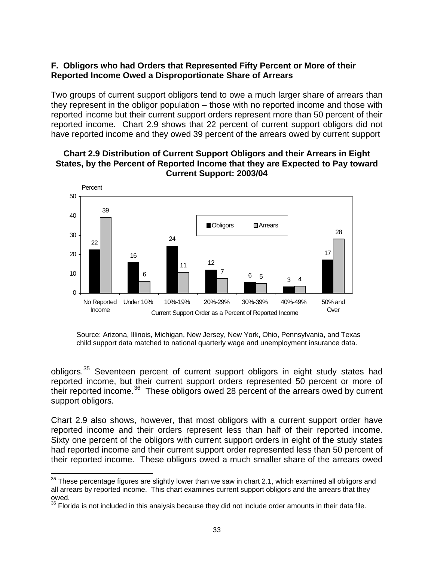## **F. Obligors who had Orders that Represented Fifty Percent or More of their Reported Income Owed a Disproportionate Share of Arrears**

Two groups of current support obligors tend to owe a much larger share of arrears than they represent in the obligor population – those with no reported income and those with reported income but their current support orders represent more than 50 percent of their reported income. Chart 2.9 shows that 22 percent of current support obligors did not have reported income and they owed 39 percent of the arrears owed by current support

#### **Chart 2.9 Distribution of Current Support Obligors and their Arrears in Eight States, by the Percent of Reported Income that they are Expected to Pay toward Current Support: 2003/04**



Source: Arizona, Illinois, Michigan, New Jersey, New York, Ohio, Pennsylvania, and Texas child support data matched to national quarterly wage and unemployment insurance data.

obligors.[35](#page-40-0) Seventeen percent of current support obligors in eight study states had reported income, but their current support orders represented 50 percent or more of their reported income.<sup>[36](#page-40-1)</sup> These obligors owed 28 percent of the arrears owed by current support obligors.

Chart 2.9 also shows, however, that most obligors with a current support order have reported income and their orders represent less than half of their reported income. Sixty one percent of the obligors with current support orders in eight of the study states had reported income and their current support order represented less than 50 percent of their reported income. These obligors owed a much smaller share of the arrears owed

<span id="page-40-0"></span> $\overline{a}$  $35$  These percentage figures are slightly lower than we saw in chart 2.1, which examined all obligors and all arrears by reported income. This chart examines current support obligors and the arrears that they owed.

<span id="page-40-1"></span> $36$  Florida is not included in this analysis because they did not include order amounts in their data file.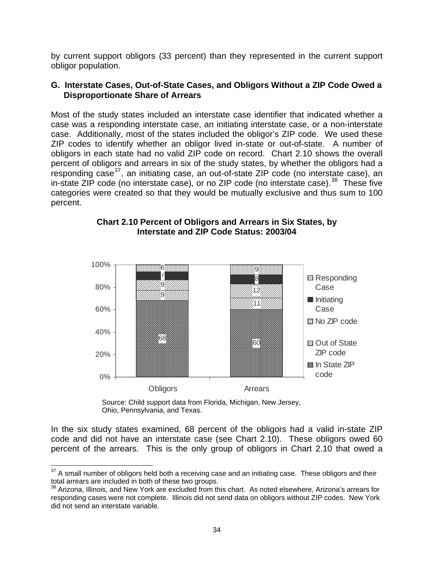by current support obligors (33 percent) than they represented in the current support obligor population.

### **G. Interstate Cases, Out-of-State Cases, and Obligors Without a ZIP Code Owed a Disproportionate Share of Arrears**

Most of the study states included an interstate case identifier that indicated whether a case was a responding interstate case, an initiating interstate case, or a non-interstate case. Additionally, most of the states included the obligor's ZIP code. We used these ZIP codes to identify whether an obligor lived in-state or out-of-state. A number of obligors in each state had no valid ZIP code on record. Chart 2.10 shows the overall percent of obligors and arrears in six of the study states, by whether the obligors had a responding case<sup>[37](#page-41-0)</sup>, an initiating case, an out-of-state ZIP code (no interstate case), an in-state ZIP code (no interstate case), or no ZIP code (no interstate case). $38$  These five categories were created so that they would be mutually exclusive and thus sum to 100 percent.



#### **Chart 2.10 Percent of Obligors and Arrears in Six States, by Interstate and ZIP Code Status: 2003/04**

Source: Child support data from Florida, Michigan, New Jersey, Ohio, Pennsylvania, and Texas.

 $\overline{a}$ 

In the six study states examined, 68 percent of the obligors had a valid in-state ZIP code and did not have an interstate case (see Chart 2.10). These obligors owed 60 percent of the arrears. This is the only group of obligors in Chart 2.10 that owed a

<span id="page-41-0"></span> $37$  A small number of obligors held both a receiving case and an initiating case. These obligors and their total arrears are included in both of these two groups.

<span id="page-41-1"></span><sup>&</sup>lt;sup>38</sup> Arizona, Illinois, and New York are excluded from this chart. As noted elsewhere, Arizona's arrears for responding cases were not complete. Illinois did not send data on obligors without ZIP codes. New York did not send an interstate variable.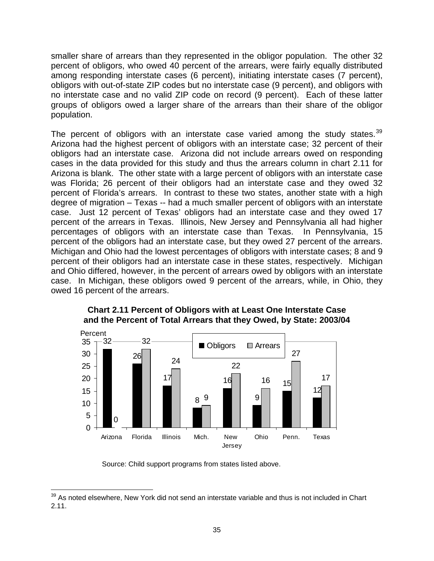smaller share of arrears than they represented in the obligor population. The other 32 percent of obligors, who owed 40 percent of the arrears, were fairly equally distributed among responding interstate cases (6 percent), initiating interstate cases (7 percent), obligors with out-of-state ZIP codes but no interstate case (9 percent), and obligors with no interstate case and no valid ZIP code on record (9 percent). Each of these latter groups of obligors owed a larger share of the arrears than their share of the obligor population.

The percent of obligors with an interstate case varied among the study states.<sup>[39](#page-42-0)</sup> Arizona had the highest percent of obligors with an interstate case; 32 percent of their obligors had an interstate case. Arizona did not include arrears owed on responding cases in the data provided for this study and thus the arrears column in chart 2.11 for Arizona is blank. The other state with a large percent of obligors with an interstate case was Florida; 26 percent of their obligors had an interstate case and they owed 32 percent of Florida's arrears. In contrast to these two states, another state with a high degree of migration – Texas -- had a much smaller percent of obligors with an interstate case. Just 12 percent of Texas' obligors had an interstate case and they owed 17 percent of the arrears in Texas. Illinois, New Jersey and Pennsylvania all had higher percentages of obligors with an interstate case than Texas. In Pennsylvania, 15 percent of the obligors had an interstate case, but they owed 27 percent of the arrears. Michigan and Ohio had the lowest percentages of obligors with interstate cases; 8 and 9 percent of their obligors had an interstate case in these states, respectively. Michigan and Ohio differed, however, in the percent of arrears owed by obligors with an interstate case. In Michigan, these obligors owed 9 percent of the arrears, while, in Ohio, they owed 16 percent of the arrears.



**Chart 2.11 Percent of Obligors with at Least One Interstate Case and the Percent of Total Arrears that they Owed, by State: 2003/04** 

Source: Child support programs from states listed above.

<span id="page-42-0"></span> $\overline{a}$  $39$  As noted elsewhere, New York did not send an interstate variable and thus is not included in Chart 2.11.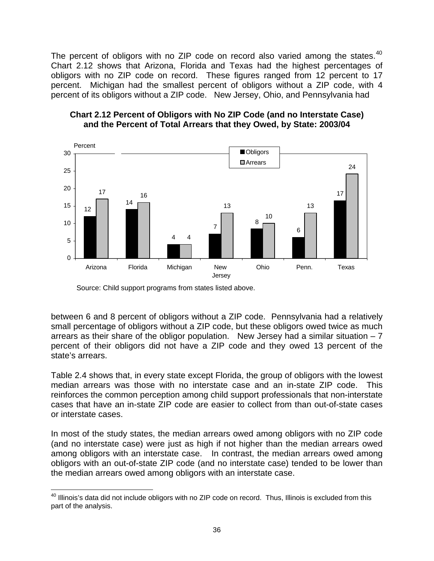The percent of obligors with no ZIP code on record also varied among the states.<sup>[40](#page-43-0)</sup> Chart 2.12 shows that Arizona, Florida and Texas had the highest percentages of obligors with no ZIP code on record. These figures ranged from 12 percent to 17 percent. Michigan had the smallest percent of obligors without a ZIP code, with 4 percent of its obligors without a ZIP code. New Jersey, Ohio, and Pennsylvania had





Source: Child support programs from states listed above.

 $\overline{a}$ 

between 6 and 8 percent of obligors without a ZIP code. Pennsylvania had a relatively small percentage of obligors without a ZIP code, but these obligors owed twice as much arrears as their share of the obligor population. New Jersey had a similar situation  $-7$ percent of their obligors did not have a ZIP code and they owed 13 percent of the state's arrears.

Table 2.4 shows that, in every state except Florida, the group of obligors with the lowest median arrears was those with no interstate case and an in-state ZIP code. This reinforces the common perception among child support professionals that non-interstate cases that have an in-state ZIP code are easier to collect from than out-of-state cases or interstate cases.

In most of the study states, the median arrears owed among obligors with no ZIP code (and no interstate case) were just as high if not higher than the median arrears owed among obligors with an interstate case. In contrast, the median arrears owed among obligors with an out-of-state ZIP code (and no interstate case) tended to be lower than the median arrears owed among obligors with an interstate case.

<span id="page-43-0"></span><sup>&</sup>lt;sup>40</sup> Illinois's data did not include obligors with no ZIP code on record. Thus, Illinois is excluded from this part of the analysis.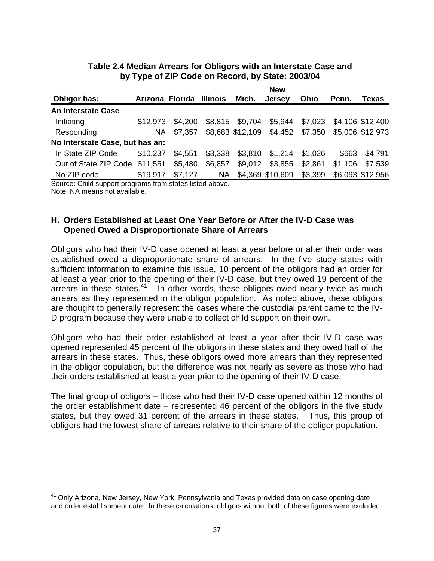|                                 |                 |         |           |                  | <b>New</b>                       |         |         |                  |
|---------------------------------|-----------------|---------|-----------|------------------|----------------------------------|---------|---------|------------------|
| Obligor has:                    | Arizona Florida |         | Illinois  | Mich.            | <b>Jersey</b>                    | Ohio    | Penn.   | Texas            |
| <b>An Interstate Case</b>       |                 |         |           |                  |                                  |         |         |                  |
| Initiating                      | \$12.973        | \$4,200 | \$8,815   | \$9,704          | \$5,944                          | \$7,023 |         | \$4,106 \$12,400 |
| Responding                      | NA.             | \$7,357 |           | \$8,683 \$12,109 | \$4,452 \$7,350 \$5,006 \$12,973 |         |         |                  |
| No Interstate Case, but has an: |                 |         |           |                  |                                  |         |         |                  |
| In State ZIP Code               | \$10,237        | \$4,551 | \$3,338   | \$3,810          | \$1,214                          | \$1,026 | \$663   | \$4,791          |
| Out of State ZIP Code           | \$11,551        | \$5,480 | \$6,857   | \$9,012          | \$3,855                          | \$2,861 | \$1,106 | \$7,539          |
| No ZIP code                     | \$19,917        | \$7,127 | <b>NA</b> |                  | \$4,369 \$10,609                 | \$3,399 |         | \$6,093 \$12,956 |

## **Table 2.4 Median Arrears for Obligors with an Interstate Case and by Type of ZIP Code on Record, by State: 2003/04**

Source: Child support programs from states listed above.

Note: NA means not available.

 $\overline{a}$ 

### **H. Orders Established at Least One Year Before or After the IV-D Case was Opened Owed a Disproportionate Share of Arrears**

Obligors who had their IV-D case opened at least a year before or after their order was established owed a disproportionate share of arrears. In the five study states with sufficient information to examine this issue, 10 percent of the obligors had an order for at least a year prior to the opening of their IV-D case, but they owed 19 percent of the arrears in these states.<sup>[41](#page-44-0)</sup> In other words, these obligors owed nearly twice as much arrears as they represented in the obligor population. As noted above, these obligors are thought to generally represent the cases where the custodial parent came to the IV-D program because they were unable to collect child support on their own.

Obligors who had their order established at least a year after their IV-D case was opened represented 45 percent of the obligors in these states and they owed half of the arrears in these states. Thus, these obligors owed more arrears than they represented in the obligor population, but the difference was not nearly as severe as those who had their orders established at least a year prior to the opening of their IV-D case.

The final group of obligors – those who had their IV-D case opened within 12 months of the order establishment date – represented 46 percent of the obligors in the five study states, but they owed 31 percent of the arrears in these states. Thus, this group of obligors had the lowest share of arrears relative to their share of the obligor population.

<span id="page-44-0"></span><sup>&</sup>lt;sup>41</sup> Only Arizona, New Jersey, New York, Pennsylvania and Texas provided data on case opening date and order establishment date. In these calculations, obligors without both of these figures were excluded.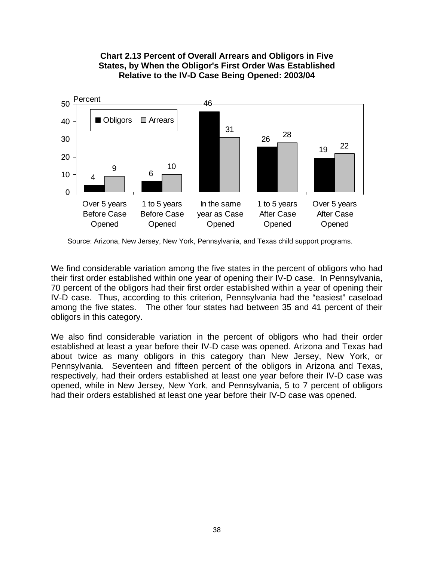

**Chart 2.13 Percent of Overall Arrears and Obligors in Five States, by When the Obligor's First Order Was Established Relative to the IV-D Case Being Opened: 2003/04** 

Source: Arizona, New Jersey, New York, Pennsylvania, and Texas child support programs.

We find considerable variation among the five states in the percent of obligors who had their first order established within one year of opening their IV-D case. In Pennsylvania, 70 percent of the obligors had their first order established within a year of opening their IV-D case. Thus, according to this criterion, Pennsylvania had the "easiest" caseload among the five states. The other four states had between 35 and 41 percent of their obligors in this category.

We also find considerable variation in the percent of obligors who had their order established at least a year before their IV-D case was opened. Arizona and Texas had about twice as many obligors in this category than New Jersey, New York, or Pennsylvania. Seventeen and fifteen percent of the obligors in Arizona and Texas, respectively, had their orders established at least one year before their IV-D case was opened, while in New Jersey, New York, and Pennsylvania, 5 to 7 percent of obligors had their orders established at least one year before their IV-D case was opened.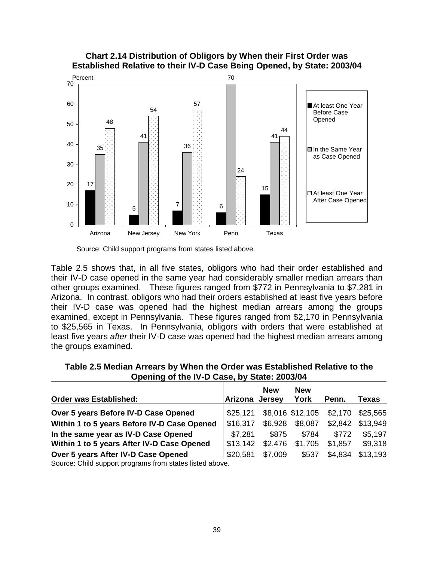

**Chart 2.14 Distribution of Obligors by When their First Order was Established Relative to their IV-D Case Being Opened, by State: 2003/04** 

Table 2.5 shows that, in all five states, obligors who had their order established and their IV-D case opened in the same year had considerably smaller median arrears than other groups examined. These figures ranged from \$772 in Pennsylvania to \$7,281 in Arizona. In contrast, obligors who had their orders established at least five years before their IV-D case was opened had the highest median arrears among the groups examined, except in Pennsylvania. These figures ranged from \$2,170 in Pennsylvania to \$25,565 in Texas. In Pennsylvania, obligors with orders that were established at least five years *after* their IV-D case was opened had the highest median arrears among the groups examined.

| Table 2.5 Median Arrears by When the Order was Established Relative to the |
|----------------------------------------------------------------------------|
| Opening of the IV-D Case, by State: 2003/04                                |

| Order was Established:                      | Arizona  | <b>New</b><br>Jersey | <b>New</b><br>York | Penn.                    | Texas    |
|---------------------------------------------|----------|----------------------|--------------------|--------------------------|----------|
| Over 5 years Before IV-D Case Opened        | \$25,121 |                      |                    | \$8,016 \$12,105 \$2,170 | \$25,565 |
| Within 1 to 5 years Before IV-D Case Opened | \$16,317 | \$6,928              | \$8,087            | \$2,842                  | \$13,949 |
| In the same year as IV-D Case Opened        | \$7,281  | \$875                | \$784              | \$772                    | \$5,197  |
| Within 1 to 5 years After IV-D Case Opened  | \$13,142 | \$2,476              | \$1,705            | \$1,857                  | \$9,318  |
| Over 5 years After IV-D Case Opened         | \$20,581 | \$7,009              | \$537              | \$4,834                  | \$13,193 |

Source: Child support programs from states listed above.

Source: Child support programs from states listed above.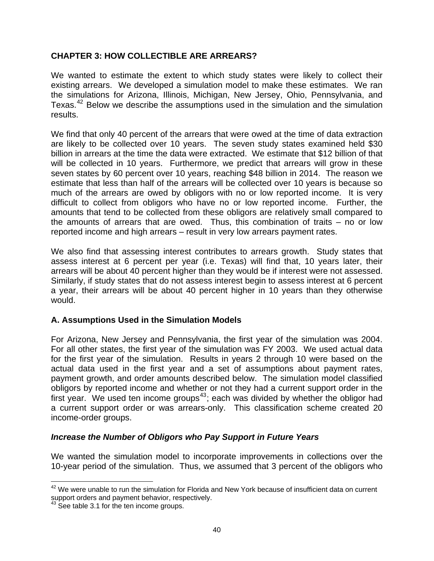### **CHAPTER 3: HOW COLLECTIBLE ARE ARREARS?**

We wanted to estimate the extent to which study states were likely to collect their existing arrears. We developed a simulation model to make these estimates. We ran the simulations for Arizona, Illinois, Michigan, New Jersey, Ohio, Pennsylvania, and Texas.<sup>[42](#page-47-0)</sup> Below we describe the assumptions used in the simulation and the simulation results.

We find that only 40 percent of the arrears that were owed at the time of data extraction are likely to be collected over 10 years. The seven study states examined held \$30 billion in arrears at the time the data were extracted. We estimate that \$12 billion of that will be collected in 10 years. Furthermore, we predict that arrears will grow in these seven states by 60 percent over 10 years, reaching \$48 billion in 2014. The reason we estimate that less than half of the arrears will be collected over 10 years is because so much of the arrears are owed by obligors with no or low reported income. It is very difficult to collect from obligors who have no or low reported income. Further, the amounts that tend to be collected from these obligors are relatively small compared to the amounts of arrears that are owed. Thus, this combination of traits – no or low reported income and high arrears – result in very low arrears payment rates.

We also find that assessing interest contributes to arrears growth. Study states that assess interest at 6 percent per year (i.e. Texas) will find that, 10 years later, their arrears will be about 40 percent higher than they would be if interest were not assessed. Similarly, if study states that do not assess interest begin to assess interest at 6 percent a year, their arrears will be about 40 percent higher in 10 years than they otherwise would.

# **A. Assumptions Used in the Simulation Models**

For Arizona, New Jersey and Pennsylvania, the first year of the simulation was 2004. For all other states, the first year of the simulation was FY 2003. We used actual data for the first year of the simulation. Results in years 2 through 10 were based on the actual data used in the first year and a set of assumptions about payment rates, payment growth, and order amounts described below. The simulation model classified obligors by reported income and whether or not they had a current support order in the first year. We used ten income groups<sup>[43](#page-47-1)</sup>; each was divided by whether the obligor had a current support order or was arrears-only. This classification scheme created 20 income-order groups.

### *Increase the Number of Obligors who Pay Support in Future Years*

We wanted the simulation model to incorporate improvements in collections over the 10-year period of the simulation. Thus, we assumed that 3 percent of the obligors who

<span id="page-47-0"></span> $\overline{a}$ <sup>42</sup> We were unable to run the simulation for Florida and New York because of insufficient data on current support orders and payment behavior, respectively.

<span id="page-47-1"></span> $43$  See table 3.1 for the ten income groups.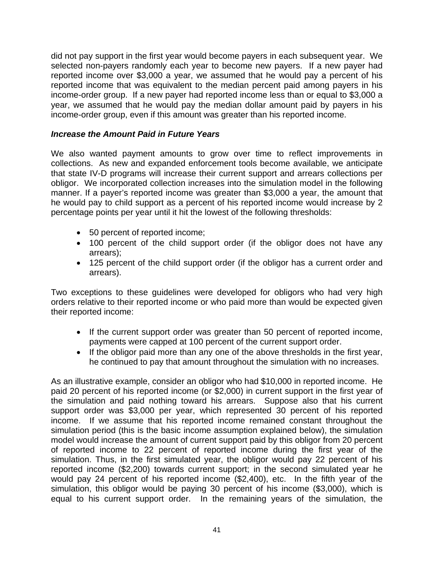did not pay support in the first year would become payers in each subsequent year. We selected non-payers randomly each year to become new payers. If a new payer had reported income over \$3,000 a year, we assumed that he would pay a percent of his reported income that was equivalent to the median percent paid among payers in his income-order group. If a new payer had reported income less than or equal to \$3,000 a year, we assumed that he would pay the median dollar amount paid by payers in his income-order group, even if this amount was greater than his reported income.

## *Increase the Amount Paid in Future Years*

We also wanted payment amounts to grow over time to reflect improvements in collections. As new and expanded enforcement tools become available, we anticipate that state IV-D programs will increase their current support and arrears collections per obligor. We incorporated collection increases into the simulation model in the following manner. If a payer's reported income was greater than \$3,000 a year, the amount that he would pay to child support as a percent of his reported income would increase by 2 percentage points per year until it hit the lowest of the following thresholds:

- 50 percent of reported income;
- 100 percent of the child support order (if the obligor does not have any arrears);
- 125 percent of the child support order (if the obligor has a current order and arrears).

Two exceptions to these guidelines were developed for obligors who had very high orders relative to their reported income or who paid more than would be expected given their reported income:

- If the current support order was greater than 50 percent of reported income, payments were capped at 100 percent of the current support order.
- If the obligor paid more than any one of the above thresholds in the first year, he continued to pay that amount throughout the simulation with no increases.

As an illustrative example, consider an obligor who had \$10,000 in reported income. He paid 20 percent of his reported income (or \$2,000) in current support in the first year of the simulation and paid nothing toward his arrears. Suppose also that his current support order was \$3,000 per year, which represented 30 percent of his reported income. If we assume that his reported income remained constant throughout the simulation period (this is the basic income assumption explained below), the simulation model would increase the amount of current support paid by this obligor from 20 percent of reported income to 22 percent of reported income during the first year of the simulation. Thus, in the first simulated year, the obligor would pay 22 percent of his reported income (\$2,200) towards current support; in the second simulated year he would pay 24 percent of his reported income (\$2,400), etc. In the fifth year of the simulation, this obligor would be paying 30 percent of his income (\$3,000), which is equal to his current support order. In the remaining years of the simulation, the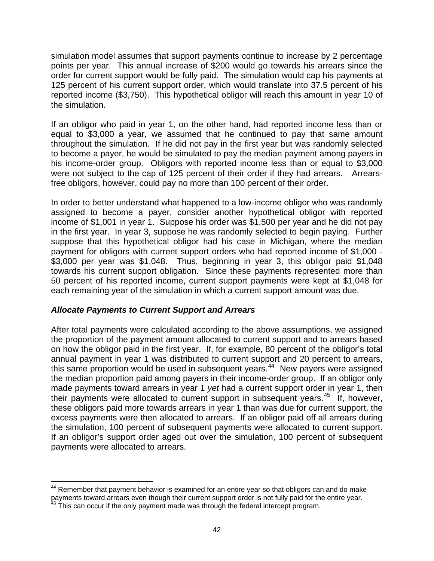simulation model assumes that support payments continue to increase by 2 percentage points per year. This annual increase of \$200 would go towards his arrears since the order for current support would be fully paid. The simulation would cap his payments at 125 percent of his current support order, which would translate into 37.5 percent of his reported income (\$3,750). This hypothetical obligor will reach this amount in year 10 of the simulation.

If an obligor who paid in year 1, on the other hand, had reported income less than or equal to \$3,000 a year, we assumed that he continued to pay that same amount throughout the simulation. If he did not pay in the first year but was randomly selected to become a payer, he would be simulated to pay the median payment among payers in his income-order group. Obligors with reported income less than or equal to \$3,000 were not subject to the cap of 125 percent of their order if they had arrears. Arrearsfree obligors, however, could pay no more than 100 percent of their order.

In order to better understand what happened to a low-income obligor who was randomly assigned to become a payer, consider another hypothetical obligor with reported income of \$1,001 in year 1. Suppose his order was \$1,500 per year and he did not pay in the first year. In year 3, suppose he was randomly selected to begin paying. Further suppose that this hypothetical obligor had his case in Michigan, where the median payment for obligors with current support orders who had reported income of \$1,000 - \$3,000 per year was \$1,048. Thus, beginning in year 3, this obligor paid \$1,048 towards his current support obligation. Since these payments represented more than 50 percent of his reported income, current support payments were kept at \$1,048 for each remaining year of the simulation in which a current support amount was due.

# *Allocate Payments to Current Support and Arrears*

After total payments were calculated according to the above assumptions, we assigned the proportion of the payment amount allocated to current support and to arrears based on how the obligor paid in the first year. If, for example, 80 percent of the obligor's total annual payment in year 1 was distributed to current support and 20 percent to arrears, this same proportion would be used in subsequent years.<sup>[44](#page-49-0)</sup> New payers were assigned the median proportion paid among payers in their income-order group. If an obligor only made payments toward arrears in year 1 *yet* had a current support order in year 1, then their payments were allocated to current support in subsequent years.<sup>[45](#page-49-1)</sup> If, however, these obligors paid more towards arrears in year 1 than was due for current support, the excess payments were then allocated to arrears. If an obligor paid off all arrears during the simulation, 100 percent of subsequent payments were allocated to current support. If an obligor's support order aged out over the simulation, 100 percent of subsequent payments were allocated to arrears.

<span id="page-49-0"></span> $\overline{a}$  $44$  Remember that payment behavior is examined for an entire year so that obligors can and do make payments toward arrears even though their current support order is not fully paid for the entire year.<br><sup>45</sup> This can occur if the only payment made was through the federal intercept program.

<span id="page-49-1"></span>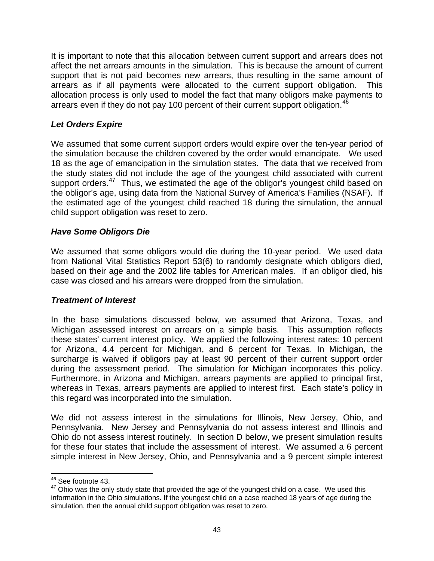It is important to note that this allocation between current support and arrears does not affect the net arrears amounts in the simulation. This is because the amount of current support that is not paid becomes new arrears, thus resulting in the same amount of arrears as if all payments were allocated to the current support obligation. This allocation process is only used to model the fact that many obligors make payments to arrears even if they do not pay 100 percent of their current support obligation.<sup>[46](#page-50-0)</sup>

# *Let Orders Expire*

We assumed that some current support orders would expire over the ten-year period of the simulation because the children covered by the order would emancipate. We used 18 as the age of emancipation in the simulation states. The data that we received from the study states did not include the age of the youngest child associated with current support orders.<sup>[47](#page-50-1)</sup> Thus, we estimated the age of the obligor's youngest child based on the obligor's age, using data from the National Survey of America's Families (NSAF). If the estimated age of the youngest child reached 18 during the simulation, the annual child support obligation was reset to zero.

# *Have Some Obligors Die*

We assumed that some obligors would die during the 10-year period. We used data from National Vital Statistics Report 53(6) to randomly designate which obligors died, based on their age and the 2002 life tables for American males. If an obligor died, his case was closed and his arrears were dropped from the simulation.

# *Treatment of Interest*

In the base simulations discussed below, we assumed that Arizona, Texas, and Michigan assessed interest on arrears on a simple basis. This assumption reflects these states' current interest policy. We applied the following interest rates: 10 percent for Arizona, 4.4 percent for Michigan, and 6 percent for Texas. In Michigan, the surcharge is waived if obligors pay at least 90 percent of their current support order during the assessment period. The simulation for Michigan incorporates this policy. Furthermore, in Arizona and Michigan, arrears payments are applied to principal first, whereas in Texas, arrears payments are applied to interest first. Each state's policy in this regard was incorporated into the simulation.

We did not assess interest in the simulations for Illinois, New Jersey, Ohio, and Pennsylvania. New Jersey and Pennsylvania do not assess interest and Illinois and Ohio do not assess interest routinely. In section D below, we present simulation results for these four states that include the assessment of interest. We assumed a 6 percent simple interest in New Jersey, Ohio, and Pennsylvania and a 9 percent simple interest

 $\overline{a}$ <sup>46</sup> See footnote 43.

<span id="page-50-1"></span><span id="page-50-0"></span> $47$  Ohio was the only study state that provided the age of the youngest child on a case. We used this information in the Ohio simulations. If the youngest child on a case reached 18 years of age during the simulation, then the annual child support obligation was reset to zero.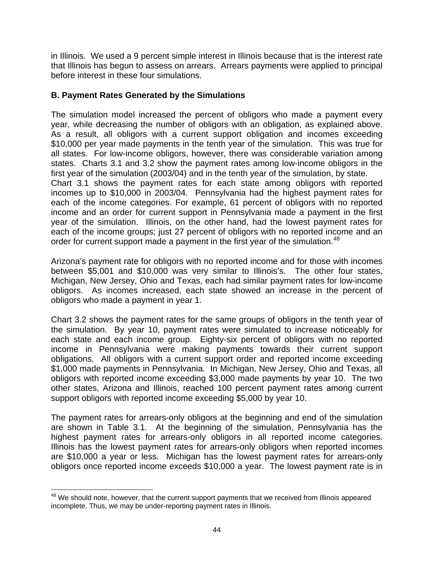in Illinois. We used a 9 percent simple interest in Illinois because that is the interest rate that Illinois has begun to assess on arrears. Arrears payments were applied to principal before interest in these four simulations.

### **B. Payment Rates Generated by the Simulations**

The simulation model increased the percent of obligors who made a payment every year, while decreasing the number of obligors with an obligation, as explained above. As a result, all obligors with a current support obligation and incomes exceeding \$10,000 per year made payments in the tenth year of the simulation. This was true for all states. For low-income obligors, however, there was considerable variation among states. Charts 3.1 and 3.2 show the payment rates among low-income obligors in the first year of the simulation (2003/04) and in the tenth year of the simulation, by state. Chart 3.1 shows the payment rates for each state among obligors with reported incomes up to \$10,000 in 2003/04. Pennsylvania had the highest payment rates for each of the income categories. For example, 61 percent of obligors with no reported income and an order for current support in Pennsylvania made a payment in the first year of the simulation. Illinois, on the other hand, had the lowest payment rates for each of the income groups; just 27 percent of obligors with no reported income and an order for current support made a payment in the first year of the simulation.<sup>[48](#page-51-0)</sup>

Arizona's payment rate for obligors with no reported income and for those with incomes between \$5,001 and \$10,000 was very similar to Illinois's. The other four states, Michigan, New Jersey, Ohio and Texas, each had similar payment rates for low-income obligors. As incomes increased, each state showed an increase in the percent of obligors who made a payment in year 1.

Chart 3.2 shows the payment rates for the same groups of obligors in the tenth year of the simulation. By year 10, payment rates were simulated to increase noticeably for each state and each income group. Eighty-six percent of obligors with no reported income in Pennsylvania were making payments towards their current support obligations. All obligors with a current support order and reported income exceeding \$1,000 made payments in Pennsylvania. In Michigan, New Jersey, Ohio and Texas, all obligors with reported income exceeding \$3,000 made payments by year 10. The two other states, Arizona and Illinois, reached 100 percent payment rates among current support obligors with reported income exceeding \$5,000 by year 10.

The payment rates for arrears-only obligors at the beginning and end of the simulation are shown in Table 3.1. At the beginning of the simulation, Pennsylvania has the highest payment rates for arrears-only obligors in all reported income categories. Illinois has the lowest payment rates for arrears-only obligors when reported incomes are \$10,000 a year or less. Michigan has the lowest payment rates for arrears-only obligors once reported income exceeds \$10,000 a year. The lowest payment rate is in

<span id="page-51-0"></span> $\overline{a}$  $48$  We should note, however, that the current support payments that we received from Illinois appeared incomplete. Thus, we may be under-reporting payment rates in Illinois.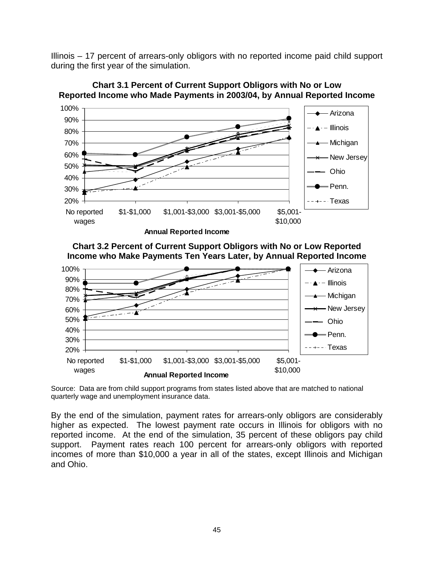Illinois – 17 percent of arrears-only obligors with no reported income paid child support during the first year of the simulation.



**Chart 3.1 Percent of Current Support Obligors with No or Low Reported Income who Made Payments in 2003/04, by Annual Reported Income** 

**Chart 3.2 Percent of Current Support Obligors with No or Low Reported Income who Make Payments Ten Years Later, by Annual Reported Income** 



Source: Data are from child support programs from states listed above that are matched to national quarterly wage and unemployment insurance data.

By the end of the simulation, payment rates for arrears-only obligors are considerably higher as expected. The lowest payment rate occurs in Illinois for obligors with no reported income. At the end of the simulation, 35 percent of these obligors pay child support. Payment rates reach 100 percent for arrears-only obligors with reported incomes of more than \$10,000 a year in all of the states, except Illinois and Michigan and Ohio.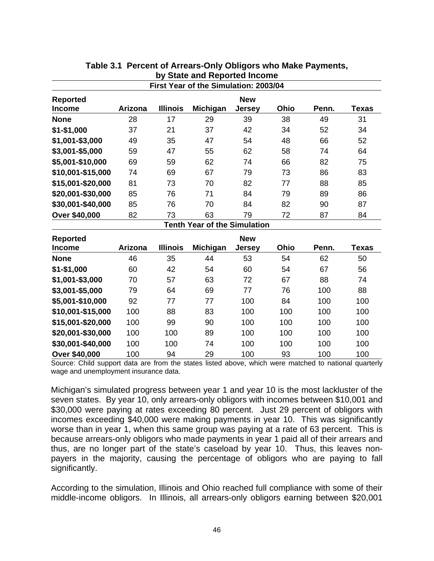|                   |         |                 | First Year of the Simulation: 2003/04 |               |      |       |              |
|-------------------|---------|-----------------|---------------------------------------|---------------|------|-------|--------------|
| <b>Reported</b>   |         |                 |                                       | <b>New</b>    |      |       |              |
| <b>Income</b>     | Arizona | <b>Illinois</b> | Michigan                              | <b>Jersey</b> | Ohio | Penn. | <b>Texas</b> |
| <b>None</b>       | 28      | 17              | 29                                    | 39            | 38   | 49    | 31           |
| \$1-\$1,000       | 37      | 21              | 37                                    | 42            | 34   | 52    | 34           |
| \$1,001-\$3,000   | 49      | 35              | 47                                    | 54            | 48   | 66    | 52           |
| \$3,001-\$5,000   | 59      | 47              | 55                                    | 62            | 58   | 74    | 64           |
| \$5,001-\$10,000  | 69      | 59              | 62                                    | 74            | 66   | 82    | 75           |
| \$10,001-\$15,000 | 74      | 69              | 67                                    | 79            | 73   | 86    | 83           |
| \$15,001-\$20,000 | 81      | 73              | 70                                    | 82            | 77   | 88    | 85           |
| \$20,001-\$30,000 | 85      | 76              | 71                                    | 84            | 79   | 89    | 86           |
| \$30,001-\$40,000 | 85      | 76              | 70                                    | 84            | 82   | 90    | 87           |
| Over \$40,000     | 82      | 73              | 63                                    | 79            | 72   | 87    | 84           |
|                   |         |                 | <b>Tenth Year of the Simulation</b>   |               |      |       |              |
| <b>Reported</b>   |         |                 |                                       | <b>New</b>    |      |       |              |
| <b>Income</b>     | Arizona | <b>Illinois</b> | Michigan                              | <b>Jersey</b> | Ohio | Penn. | <b>Texas</b> |
| <b>None</b>       | 46      | 35              | 44                                    | 53            | 54   | 62    | 50           |
| \$1-\$1,000       | 60      | 42              | 54                                    | 60            | 54   | 67    | 56           |
| \$1,001-\$3,000   | 70      | 57              | 63                                    | 72            | 67   | 88    | 74           |
| \$3,001-\$5,000   | 79      | 64              | 69                                    | 77            | 76   | 100   | 88           |
| \$5,001-\$10,000  | 92      | 77              | 77                                    | 100           | 84   | 100   | 100          |
| \$10,001-\$15,000 | 100     | 88              | 83                                    | 100           | 100  | 100   | 100          |

## **Table 3.1 Percent of Arrears-Only Obligors who Make Payments, by State and Reported Income**

Source: Child support data are from the states listed above, which were matched to national quarterly wage and unemployment insurance data.

**\$15,001-\$20,000** 100 99 90 100 100 100 100 **\$20,001-\$30,000** 100 100 89 100 100 100 100 **\$30,001-\$40,000** 100 100 74 100 100 100 100 **Over \$40,000** 100 94 29 100 93 100 100

Michigan's simulated progress between year 1 and year 10 is the most lackluster of the seven states. By year 10, only arrears-only obligors with incomes between \$10,001 and \$30,000 were paying at rates exceeding 80 percent. Just 29 percent of obligors with incomes exceeding \$40,000 were making payments in year 10. This was significantly worse than in year 1, when this same group was paying at a rate of 63 percent. This is because arrears-only obligors who made payments in year 1 paid all of their arrears and thus, are no longer part of the state's caseload by year 10. Thus, this leaves nonpayers in the majority, causing the percentage of obligors who are paying to fall significantly.

According to the simulation, Illinois and Ohio reached full compliance with some of their middle-income obligors. In Illinois, all arrears-only obligors earning between \$20,001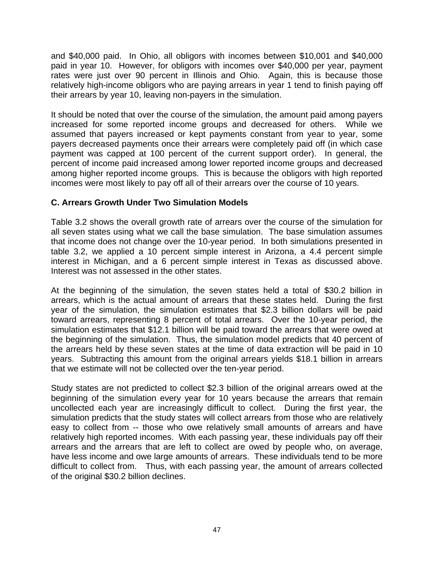and \$40,000 paid. In Ohio, all obligors with incomes between \$10,001 and \$40,000 paid in year 10. However, for obligors with incomes over \$40,000 per year, payment rates were just over 90 percent in Illinois and Ohio. Again, this is because those relatively high-income obligors who are paying arrears in year 1 tend to finish paying off their arrears by year 10, leaving non-payers in the simulation.

It should be noted that over the course of the simulation, the amount paid among payers increased for some reported income groups and decreased for others. While we assumed that payers increased or kept payments constant from year to year, some payers decreased payments once their arrears were completely paid off (in which case payment was capped at 100 percent of the current support order). In general, the percent of income paid increased among lower reported income groups and decreased among higher reported income groups. This is because the obligors with high reported incomes were most likely to pay off all of their arrears over the course of 10 years.

### **C. Arrears Growth Under Two Simulation Models**

Table 3.2 shows the overall growth rate of arrears over the course of the simulation for all seven states using what we call the base simulation. The base simulation assumes that income does not change over the 10-year period. In both simulations presented in table 3.2, we applied a 10 percent simple interest in Arizona, a 4.4 percent simple interest in Michigan, and a 6 percent simple interest in Texas as discussed above. Interest was not assessed in the other states.

At the beginning of the simulation, the seven states held a total of \$30.2 billion in arrears, which is the actual amount of arrears that these states held. During the first year of the simulation, the simulation estimates that \$2.3 billion dollars will be paid toward arrears, representing 8 percent of total arrears. Over the 10-year period, the simulation estimates that \$12.1 billion will be paid toward the arrears that were owed at the beginning of the simulation. Thus, the simulation model predicts that 40 percent of the arrears held by these seven states at the time of data extraction will be paid in 10 years. Subtracting this amount from the original arrears yields \$18.1 billion in arrears that we estimate will not be collected over the ten-year period.

Study states are not predicted to collect \$2.3 billion of the original arrears owed at the beginning of the simulation every year for 10 years because the arrears that remain uncollected each year are increasingly difficult to collect. During the first year, the simulation predicts that the study states will collect arrears from those who are relatively easy to collect from -- those who owe relatively small amounts of arrears and have relatively high reported incomes. With each passing year, these individuals pay off their arrears and the arrears that are left to collect are owed by people who, on average, have less income and owe large amounts of arrears. These individuals tend to be more difficult to collect from. Thus, with each passing year, the amount of arrears collected of the original \$30.2 billion declines.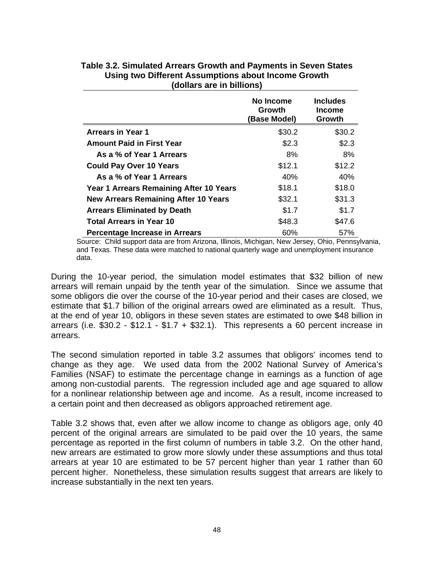|                                             | No Income<br>Growth<br>(Base Model) | <b>Includes</b><br><b>Income</b><br>Growth |
|---------------------------------------------|-------------------------------------|--------------------------------------------|
| <b>Arrears in Year 1</b>                    | \$30.2                              | \$30.2                                     |
| <b>Amount Paid in First Year</b>            | \$2.3                               | \$2.3                                      |
| As a % of Year 1 Arrears                    | 8%                                  | 8%                                         |
| <b>Could Pay Over 10 Years</b>              | \$12.1                              | \$12.2                                     |
| As a % of Year 1 Arrears                    | 40%                                 | 40%                                        |
| Year 1 Arrears Remaining After 10 Years     | \$18.1                              | \$18.0                                     |
| <b>New Arrears Remaining After 10 Years</b> | \$32.1                              | \$31.3                                     |
| <b>Arrears Eliminated by Death</b>          | \$1.7                               | \$1.7                                      |
| <b>Total Arrears in Year 10</b>             | \$48.3                              | \$47.6                                     |
| <b>Percentage Increase in Arrears</b>       | 60%                                 | 57%                                        |

### **Table 3.2. Simulated Arrears Growth and Payments in Seven States Using two Different Assumptions about Income Growth (dollars are in billions)**

Source: Child support data are from Arizona, Illinois, Michigan, New Jersey, Ohio, Pennsylvania, and Texas. These data were matched to national quarterly wage and unemployment insurance data.

During the 10-year period, the simulation model estimates that \$32 billion of new arrears will remain unpaid by the tenth year of the simulation. Since we assume that some obligors die over the course of the 10-year period and their cases are closed, we estimate that \$1.7 billion of the original arrears owed are eliminated as a result. Thus, at the end of year 10, obligors in these seven states are estimated to owe \$48 billion in arrears (i.e. \$30.2 - \$12.1 - \$1.7 + \$32.1). This represents a 60 percent increase in arrears.

The second simulation reported in table 3.2 assumes that obligors' incomes tend to change as they age. We used data from the 2002 National Survey of America's Families (NSAF) to estimate the percentage change in earnings as a function of age among non-custodial parents. The regression included age and age squared to allow for a nonlinear relationship between age and income. As a result, income increased to a certain point and then decreased as obligors approached retirement age.

Table 3.2 shows that, even after we allow income to change as obligors age, only 40 percent of the original arrears are simulated to be paid over the 10 years, the same percentage as reported in the first column of numbers in table 3.2. On the other hand, new arrears are estimated to grow more slowly under these assumptions and thus total arrears at year 10 are estimated to be 57 percent higher than year 1 rather than 60 percent higher. Nonetheless, these simulation results suggest that arrears are likely to increase substantially in the next ten years.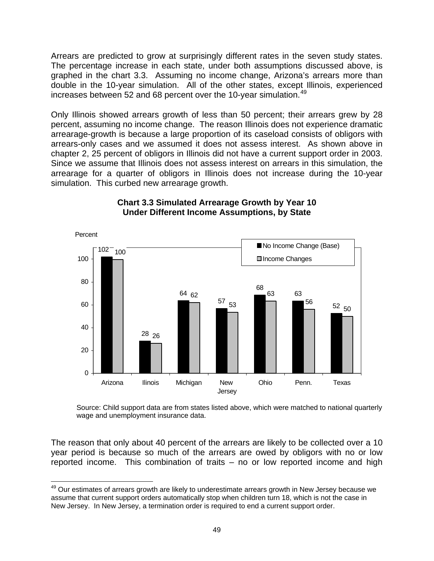Arrears are predicted to grow at surprisingly different rates in the seven study states. The percentage increase in each state, under both assumptions discussed above, is graphed in the chart 3.3. Assuming no income change, Arizona's arrears more than double in the 10-year simulation. All of the other states, except Illinois, experienced increases between 52 and 68 percent over the 10-year simulation.<sup>[49](#page-56-0)</sup>

Only Illinois showed arrears growth of less than 50 percent; their arrears grew by 28 percent, assuming no income change. The reason Illinois does not experience dramatic arrearage-growth is because a large proportion of its caseload consists of obligors with arrears-only cases and we assumed it does not assess interest. As shown above in chapter 2, 25 percent of obligors in Illinois did not have a current support order in 2003. Since we assume that Illinois does not assess interest on arrears in this simulation, the arrearage for a quarter of obligors in Illinois does not increase during the 10-year simulation. This curbed new arrearage growth.



### **Chart 3.3 Simulated Arrearage Growth by Year 10 Under Different Income Assumptions, by State**

Source: Child support data are from states listed above, which were matched to national quarterly wage and unemployment insurance data.

The reason that only about 40 percent of the arrears are likely to be collected over a 10 year period is because so much of the arrears are owed by obligors with no or low reported income. This combination of traits – no or low reported income and high

<span id="page-56-0"></span> $\overline{a}$ <sup>49</sup> Our estimates of arrears growth are likely to underestimate arrears growth in New Jersey because we assume that current support orders automatically stop when children turn 18, which is not the case in New Jersey. In New Jersey, a termination order is required to end a current support order.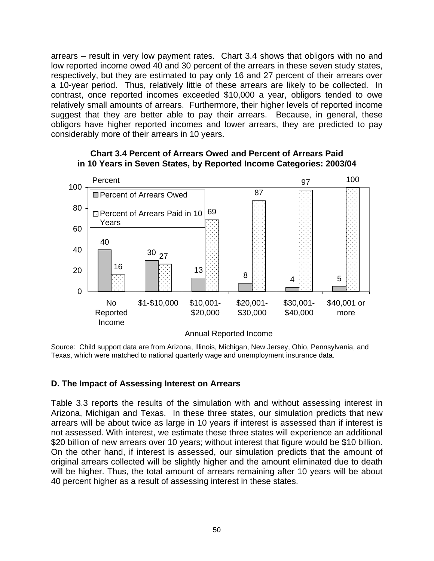arrears – result in very low payment rates. Chart 3.4 shows that obligors with no and low reported income owed 40 and 30 percent of the arrears in these seven study states, respectively, but they are estimated to pay only 16 and 27 percent of their arrears over a 10-year period. Thus, relatively little of these arrears are likely to be collected. In contrast, once reported incomes exceeded \$10,000 a year, obligors tended to owe relatively small amounts of arrears. Furthermore, their higher levels of reported income suggest that they are better able to pay their arrears. Because, in general, these obligors have higher reported incomes and lower arrears, they are predicted to pay considerably more of their arrears in 10 years.



#### **Chart 3.4 Percent of Arrears Owed and Percent of Arrears Paid in 10 Years in Seven States, by Reported Income Categories: 2003/04**

Source: Child support data are from Arizona, Illinois, Michigan, New Jersey, Ohio, Pennsylvania, and Texas, which were matched to national quarterly wage and unemployment insurance data.

### **D. The Impact of Assessing Interest on Arrears**

Table 3.3 reports the results of the simulation with and without assessing interest in Arizona, Michigan and Texas. In these three states, our simulation predicts that new arrears will be about twice as large in 10 years if interest is assessed than if interest is not assessed. With interest, we estimate these three states will experience an additional \$20 billion of new arrears over 10 years; without interest that figure would be \$10 billion. On the other hand, if interest is assessed, our simulation predicts that the amount of original arrears collected will be slightly higher and the amount eliminated due to death will be higher. Thus, the total amount of arrears remaining after 10 years will be about 40 percent higher as a result of assessing interest in these states.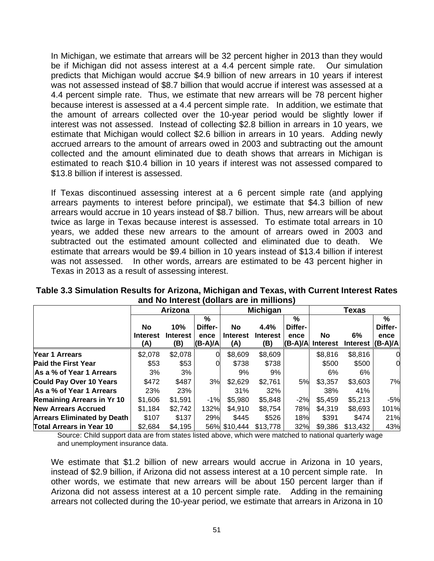In Michigan, we estimate that arrears will be 32 percent higher in 2013 than they would be if Michigan did not assess interest at a 4.4 percent simple rate. Our simulation predicts that Michigan would accrue \$4.9 billion of new arrears in 10 years if interest was not assessed instead of \$8.7 billion that would accrue if interest was assessed at a 4.4 percent simple rate. Thus, we estimate that new arrears will be 78 percent higher because interest is assessed at a 4.4 percent simple rate. In addition, we estimate that the amount of arrears collected over the 10-year period would be slightly lower if interest was not assessed. Instead of collecting \$2.8 billion in arrears in 10 years, we estimate that Michigan would collect \$2.6 billion in arrears in 10 years. Adding newly accrued arrears to the amount of arrears owed in 2003 and subtracting out the amount collected and the amount eliminated due to death shows that arrears in Michigan is estimated to reach \$10.4 billion in 10 years if interest was not assessed compared to \$13.8 billion if interest is assessed.

If Texas discontinued assessing interest at a 6 percent simple rate (and applying arrears payments to interest before principal), we estimate that \$4.3 billion of new arrears would accrue in 10 years instead of \$8.7 billion. Thus, new arrears will be about twice as large in Texas because interest is assessed. To estimate total arrears in 10 years, we added these new arrears to the amount of arrears owed in 2003 and subtracted out the estimated amount collected and eliminated due to death. We estimate that arrears would be \$9.4 billion in 10 years instead of \$13.4 billion if interest was not assessed. In other words, arrears are estimated to be 43 percent higher in Texas in 2013 as a result of assessing interest.

|                                    | Arizona                             |                               |                                      |                              | <b>Michigan</b>                |                                   | <b>Texas</b>           |                        |                      |
|------------------------------------|-------------------------------------|-------------------------------|--------------------------------------|------------------------------|--------------------------------|-----------------------------------|------------------------|------------------------|----------------------|
|                                    | <b>No</b><br><b>Interest</b><br>(A) | 10%<br><b>Interest</b><br>(B) | $\%$<br>Differ-<br>ence<br>$(B-A)/A$ | No<br><b>Interest</b><br>(A) | 4.4%<br><b>Interest</b><br>(B) | %<br>Differ-<br>ence<br>$(B-A)/A$ | No.<br><b>Interest</b> | 6%<br>Interest (B-A)/A | %<br>Differ-<br>ence |
| Year 1 Arrears                     | \$2,078                             | \$2,078                       |                                      | \$8,609                      | \$8,609                        |                                   | \$8,816                | \$8,816                | 0                    |
| <b>Paid the First Year</b>         | \$53                                | \$53                          |                                      | \$738                        | \$738                          |                                   | \$500                  | \$500                  | 0                    |
| As a % of Year 1 Arrears           | 3%                                  | 3%                            |                                      | 9%                           | 9%                             |                                   | 6%                     | 6%                     |                      |
| <b>Could Pay Over 10 Years</b>     | \$472                               | \$487                         | 3%                                   | \$2,629                      | \$2,761                        | 5%                                | \$3,357                | \$3,603                | 7%                   |
| As a % of Year 1 Arrears           | 23%                                 | 23%                           |                                      | 31%                          | 32%                            |                                   | 38%                    | 41%                    |                      |
| <b>Remaining Arrears in Yr 10</b>  | \$1,606                             | \$1,591                       | $-1%$                                | \$5,980                      | \$5,848                        | $-2%$                             | \$5,459                | \$5,213                | $-5%$                |
| <b>New Arrears Accrued</b>         | \$1,184                             | \$2,742                       | 132%                                 | \$4,910                      | \$8,754                        | 78%                               | \$4,319                | \$8,693                | 101%                 |
| <b>Arrears Eliminated by Death</b> | \$107                               | \$137                         | 29%                                  | \$445                        | \$526                          | 18%                               | \$391                  | \$474                  | 21%                  |
| <b>Total Arrears in Year 10</b>    | \$2,684                             | \$4,195                       |                                      | 56% \$10,444                 | \$13,778                       | 32%                               | \$9,386                | \$13,432               | 43%                  |

**Table 3.3 Simulation Results for Arizona, Michigan and Texas, with Current Interest Rates and No Interest (dollars are in millions)** 

Source: Child support data are from states listed above, which were matched to national quarterly wage and unemployment insurance data.

We estimate that \$1.2 billion of new arrears would accrue in Arizona in 10 years, instead of \$2.9 billion, if Arizona did not assess interest at a 10 percent simple rate. In other words, we estimate that new arrears will be about 150 percent larger than if Arizona did not assess interest at a 10 percent simple rate. Adding in the remaining arrears not collected during the 10-year period, we estimate that arrears in Arizona in 10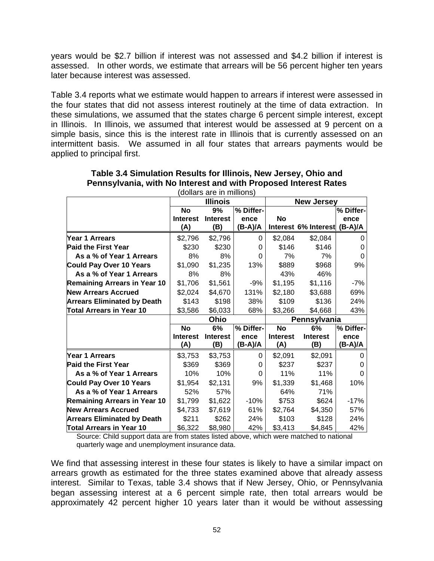years would be \$2.7 billion if interest was not assessed and \$4.2 billion if interest is assessed. In other words, we estimate that arrears will be 56 percent higher ten years later because interest was assessed.

Table 3.4 reports what we estimate would happen to arrears if interest were assessed in the four states that did not assess interest routinely at the time of data extraction. In these simulations, we assumed that the states charge 6 percent simple interest, except in Illinois. In Illinois, we assumed that interest would be assessed at 9 percent on a simple basis, since this is the interest rate in Illinois that is currently assessed on an intermittent basis. We assumed in all four states that arrears payments would be applied to principal first.

|                                     |                 | <b>Illinois</b> |           | <b>New Jersey</b> |                      |           |  |
|-------------------------------------|-----------------|-----------------|-----------|-------------------|----------------------|-----------|--|
|                                     | <b>No</b>       | 9%              | % Differ- |                   |                      | % Differ- |  |
|                                     | <b>Interest</b> | <b>Interest</b> | ence      | No                |                      | ence      |  |
|                                     | (A)             | (B)             | (B-A)/A   |                   | Interest 6% Interest | $(B-A)/A$ |  |
| <b>Year 1 Arrears</b>               | \$2,796         | \$2,796         | 0         | \$2,084           | \$2,084              | 0         |  |
| <b>Paid the First Year</b>          | \$230           | \$230           | 0         | \$146             | \$146                | 0         |  |
| As a % of Year 1 Arrears            | 8%              | 8%              | 0         | 7%                | 7%                   | 0         |  |
| <b>Could Pay Over 10 Years</b>      | \$1,090         | \$1,235         | 13%       | \$889             | \$968                | 9%        |  |
| As a % of Year 1 Arrears            | 8%              | 8%              |           | 43%               | 46%                  |           |  |
| <b>Remaining Arrears in Year 10</b> | \$1,706         | \$1,561         | $-9%$     | \$1,195           | \$1,116              | $-7%$     |  |
| <b>New Arrears Accrued</b>          | \$2,024         | \$4,670         | 131%      | \$2,180           | \$3,688              | 69%       |  |
| <b>Arrears Eliminated by Death</b>  | \$143           | \$198           | 38%       | \$109             | \$136                | 24%       |  |
| <b>Total Arrears in Year 10</b>     | \$3,586         | \$6,033         | 68%       | \$3,266           | \$4,668              | 43%       |  |
|                                     |                 | Ohio            |           | Pennsylvania      |                      |           |  |
|                                     | <b>No</b>       | 6%              | % Differ- | <b>No</b>         | 6%                   | % Differ- |  |
|                                     | <b>Interest</b> | <b>Interest</b> | ence      | <b>Interest</b>   | <b>Interest</b>      | ence      |  |
|                                     | (A)             | (B)             | (B-A)/A   | (A)               | (B)                  | (B-A)/A   |  |
| Year 1 Arrears                      | \$3,753         | \$3,753         | 0         | \$2,091           | \$2,091              | 0         |  |
| <b>Paid the First Year</b>          | \$369           | \$369           | 0         | \$237             | \$237                | O         |  |
| As a % of Year 1 Arrears            | 10%             | 10%             | 0         | 11%               | 11%                  | 0         |  |
| <b>Could Pay Over 10 Years</b>      | \$1,954         | \$2,131         | 9%        | \$1,339           | \$1,468              | 10%       |  |
| As a % of Year 1 Arrears            | 52%             | 57%             |           | 64%               | 71%                  |           |  |
| <b>Remaining Arrears in Year 10</b> | \$1,799         | \$1,622         | -10%      | \$753             | \$624                | $-17%$    |  |
|                                     |                 |                 |           |                   |                      |           |  |
| <b>New Arrears Accrued</b>          | \$4,733         | \$7,619         | 61%       | \$2,764           | \$4,350              | 57%       |  |
| <b>Arrears Eliminated by Death</b>  | \$211           | \$262           | 24%       | \$103             | \$128                | 24%       |  |

**Table 3.4 Simulation Results for Illinois, New Jersey, Ohio and Pennsylvania, with No Interest and with Proposed Interest Rates**  (dollars are in millions)

Source: Child support data are from states listed above, which were matched to national quarterly wage and unemployment insurance data.

We find that assessing interest in these four states is likely to have a similar impact on arrears growth as estimated for the three states examined above that already assess interest. Similar to Texas, table 3.4 shows that if New Jersey, Ohio, or Pennsylvania began assessing interest at a 6 percent simple rate, then total arrears would be approximately 42 percent higher 10 years later than it would be without assessing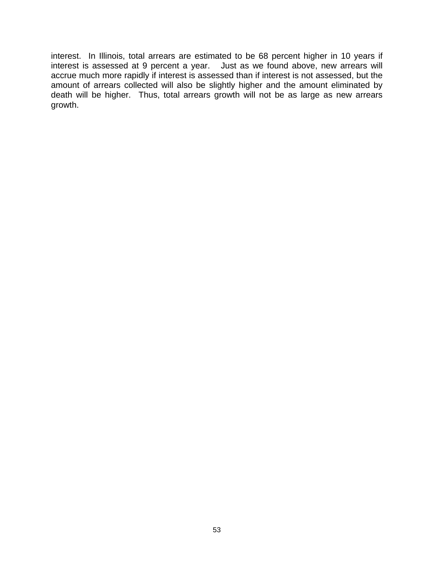interest. In Illinois, total arrears are estimated to be 68 percent higher in 10 years if interest is assessed at 9 percent a year. Just as we found above, new arrears will accrue much more rapidly if interest is assessed than if interest is not assessed, but the amount of arrears collected will also be slightly higher and the amount eliminated by death will be higher. Thus, total arrears growth will not be as large as new arrears growth.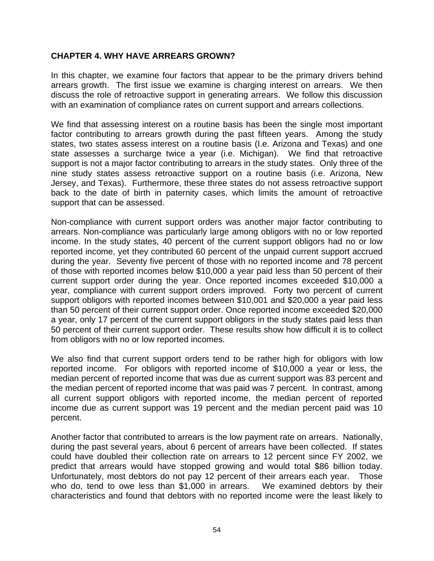### **CHAPTER 4. WHY HAVE ARREARS GROWN?**

In this chapter, we examine four factors that appear to be the primary drivers behind arrears growth. The first issue we examine is charging interest on arrears. We then discuss the role of retroactive support in generating arrears. We follow this discussion with an examination of compliance rates on current support and arrears collections.

We find that assessing interest on a routine basis has been the single most important factor contributing to arrears growth during the past fifteen years. Among the study states, two states assess interest on a routine basis (I.e. Arizona and Texas) and one state assesses a surcharge twice a year (i.e. Michigan). We find that retroactive support is not a major factor contributing to arrears in the study states. Only three of the nine study states assess retroactive support on a routine basis (i.e. Arizona, New Jersey, and Texas). Furthermore, these three states do not assess retroactive support back to the date of birth in paternity cases, which limits the amount of retroactive support that can be assessed.

Non-compliance with current support orders was another major factor contributing to arrears. Non-compliance was particularly large among obligors with no or low reported income. In the study states, 40 percent of the current support obligors had no or low reported income, yet they contributed 60 percent of the unpaid current support accrued during the year. Seventy five percent of those with no reported income and 78 percent of those with reported incomes below \$10,000 a year paid less than 50 percent of their current support order during the year. Once reported incomes exceeded \$10,000 a year, compliance with current support orders improved. Forty two percent of current support obligors with reported incomes between \$10,001 and \$20,000 a year paid less than 50 percent of their current support order. Once reported income exceeded \$20,000 a year, only 17 percent of the current support obligors in the study states paid less than 50 percent of their current support order. These results show how difficult it is to collect from obligors with no or low reported incomes.

We also find that current support orders tend to be rather high for obligors with low reported income. For obligors with reported income of \$10,000 a year or less, the median percent of reported income that was due as current support was 83 percent and the median percent of reported income that was paid was 7 percent. In contrast, among all current support obligors with reported income, the median percent of reported income due as current support was 19 percent and the median percent paid was 10 percent.

Another factor that contributed to arrears is the low payment rate on arrears. Nationally, during the past several years, about 6 percent of arrears have been collected. If states could have doubled their collection rate on arrears to 12 percent since FY 2002, we predict that arrears would have stopped growing and would total \$86 billion today. Unfortunately, most debtors do not pay 12 percent of their arrears each year. Those who do, tend to owe less than \$1,000 in arrears. We examined debtors by their characteristics and found that debtors with no reported income were the least likely to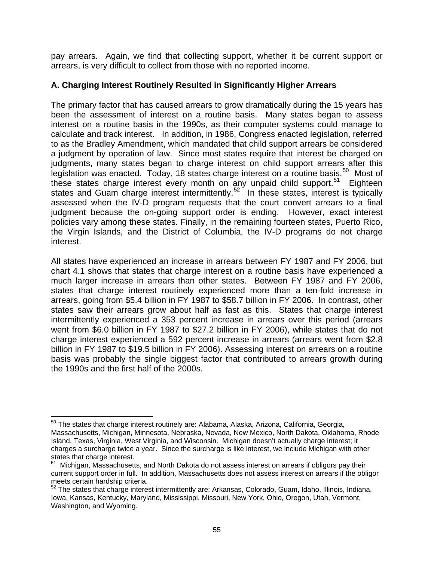pay arrears. Again, we find that collecting support, whether it be current support or arrears, is very difficult to collect from those with no reported income.

### **A. Charging Interest Routinely Resulted in Significantly Higher Arrears**

The primary factor that has caused arrears to grow dramatically during the 15 years has been the assessment of interest on a routine basis. Many states began to assess interest on a routine basis in the 1990s, as their computer systems could manage to calculate and track interest. In addition, in 1986, Congress enacted legislation, referred to as the Bradley Amendment, which mandated that child support arrears be considered a judgment by operation of law. Since most states require that interest be charged on judgments, many states began to charge interest on child support arrears after this legislation was enacted. Today, 18 states charge interest on a routine basis.<sup>[50](#page-62-0)</sup> Most of these states charge interest every month on any unpaid child support. $51$  Eighteen states and Guam charge interest intermittently.<sup>[52](#page-62-2)</sup> In these states, interest is typically assessed when the IV-D program requests that the court convert arrears to a final judgment because the on-going support order is ending. However, exact interest policies vary among these states. Finally, in the remaining fourteen states, Puerto Rico, the Virgin Islands, and the District of Columbia, the IV-D programs do not charge interest.

All states have experienced an increase in arrears between FY 1987 and FY 2006, but chart 4.1 shows that states that charge interest on a routine basis have experienced a much larger increase in arrears than other states. Between FY 1987 and FY 2006, states that charge interest routinely experienced more than a ten-fold increase in arrears, going from \$5.4 billion in FY 1987 to \$58.7 billion in FY 2006. In contrast, other states saw their arrears grow about half as fast as this. States that charge interest intermittently experienced a 353 percent increase in arrears over this period (arrears went from \$6.0 billion in FY 1987 to \$27.2 billion in FY 2006), while states that do not charge interest experienced a 592 percent increase in arrears (arrears went from \$2.8 billion in FY 1987 to \$19.5 billion in FY 2006). Assessing interest on arrears on a routine basis was probably the single biggest factor that contributed to arrears growth during the 1990s and the first half of the 2000s.

<span id="page-62-0"></span> $\overline{a}$ <sup>50</sup> The states that charge interest routinely are: Alabama, Alaska, Arizona, California, Georgia, Massachusetts, Michigan, Minnesota, Nebraska, Nevada, New Mexico, North Dakota, Oklahoma, Rhode Island, Texas, Virginia, West Virginia, and Wisconsin. Michigan doesn't actually charge interest; it charges a surcharge twice a year. Since the surcharge is like interest, we include Michigan with other states that charge interest.

<span id="page-62-1"></span><sup>&</sup>lt;sup>51</sup> Michigan, Massachusetts, and North Dakota do not assess interest on arrears if obligors pay their current support order in full. In addition, Massachusetts does not assess interest on arrears if the obligor meets certain hardship criteria.

<span id="page-62-2"></span><sup>&</sup>lt;sup>52</sup> The states that charge interest intermittently are: Arkansas, Colorado, Guam, Idaho, Illinois, Indiana, Iowa, Kansas, Kentucky, Maryland, Mississippi, Missouri, New York, Ohio, Oregon, Utah, Vermont, Washington, and Wyoming.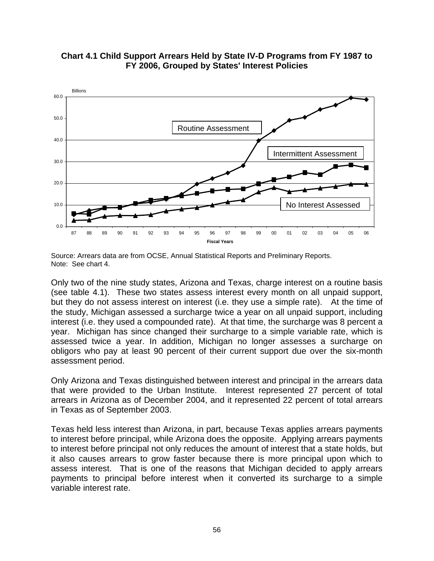

**Chart 4.1 Child Support Arrears Held by State IV-D Programs from FY 1987 to FY 2006, Grouped by States' Interest Policies** 

Only two of the nine study states, Arizona and Texas, charge interest on a routine basis (see table 4.1). These two states assess interest every month on all unpaid support, but they do not assess interest on interest (i.e. they use a simple rate). At the time of the study, Michigan assessed a surcharge twice a year on all unpaid support, including interest (i.e. they used a compounded rate). At that time, the surcharge was 8 percent a year. Michigan has since changed their surcharge to a simple variable rate, which is assessed twice a year. In addition, Michigan no longer assesses a surcharge on obligors who pay at least 90 percent of their current support due over the six-month assessment period.

Only Arizona and Texas distinguished between interest and principal in the arrears data that were provided to the Urban Institute. Interest represented 27 percent of total arrears in Arizona as of December 2004, and it represented 22 percent of total arrears in Texas as of September 2003.

Texas held less interest than Arizona, in part, because Texas applies arrears payments to interest before principal, while Arizona does the opposite. Applying arrears payments to interest before principal not only reduces the amount of interest that a state holds, but it also causes arrears to grow faster because there is more principal upon which to assess interest. That is one of the reasons that Michigan decided to apply arrears payments to principal before interest when it converted its surcharge to a simple variable interest rate.

Source: Arrears data are from OCSE, Annual Statistical Reports and Preliminary Reports. Note: See chart 4.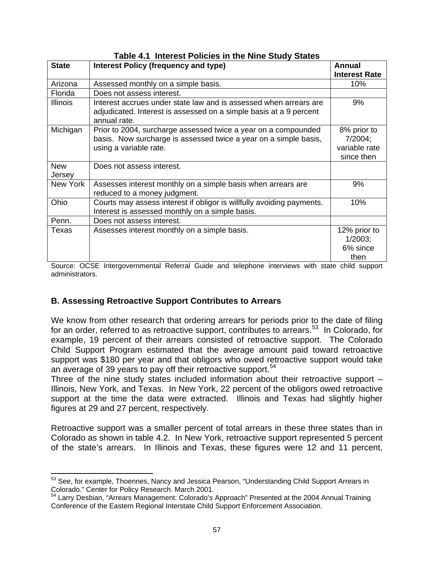| <b>State</b>         | <b>Interest Policy (frequency and type)</b>                                                                                             | Annual                    |
|----------------------|-----------------------------------------------------------------------------------------------------------------------------------------|---------------------------|
|                      |                                                                                                                                         | <b>Interest Rate</b>      |
| Arizona              | Assessed monthly on a simple basis.                                                                                                     | 10%                       |
| Florida              | Does not assess interest.                                                                                                               |                           |
| <b>Illinois</b>      | Interest accrues under state law and is assessed when arrears are<br>adjudicated. Interest is assessed on a simple basis at a 9 percent | 9%                        |
|                      | annual rate.                                                                                                                            |                           |
| Michigan             | Prior to 2004, surcharge assessed twice a year on a compounded                                                                          | 8% prior to               |
|                      | basis. Now surcharge is assessed twice a year on a simple basis,                                                                        | 7/2004;                   |
|                      | using a variable rate.                                                                                                                  | variable rate             |
|                      |                                                                                                                                         | since then                |
| <b>New</b><br>Jersey | Does not assess interest.                                                                                                               |                           |
| New York             | Assesses interest monthly on a simple basis when arrears are<br>reduced to a money judgment.                                            | 9%                        |
| Ohio                 | Courts may assess interest if obligor is willfully avoiding payments.<br>Interest is assessed monthly on a simple basis.                | 10%                       |
| Penn.                | Does not assess interest.                                                                                                               |                           |
| Texas                | Assesses interest monthly on a simple basis.                                                                                            | 12% prior to              |
|                      |                                                                                                                                         | $1/2003$ ;                |
|                      |                                                                                                                                         | 6% since                  |
|                      | tal Dafamal Outdate and talantaria<br>والمتاريب والمتعاونات<br>سالة ل<br>$\bigcap_{n=1}^{\infty}$                                       | then<br><b>L. 11 - L.</b> |

# **Table 4.1 Interest Policies in the Nine Study States**

Source: OCSE Intergovernmental Referral Guide and telephone interviews with state child support administrators.

# **B. Assessing Retroactive Support Contributes to Arrears**

 $\overline{a}$ 

We know from other research that ordering arrears for periods prior to the date of filing for an order, referred to as retroactive support, contributes to arrears.<sup>[53](#page-64-0)</sup> In Colorado, for example, 19 percent of their arrears consisted of retroactive support. The Colorado Child Support Program estimated that the average amount paid toward retroactive support was \$180 per year and that obligors who owed retroactive support would take an average of 39 years to pay off their retroactive support.<sup>[54](#page-64-1)</sup>

Three of the nine study states included information about their retroactive support – Illinois, New York, and Texas. In New York, 22 percent of the obligors owed retroactive support at the time the data were extracted. Illinois and Texas had slightly higher figures at 29 and 27 percent, respectively.

Retroactive support was a smaller percent of total arrears in these three states than in Colorado as shown in table 4.2. In New York, retroactive support represented 5 percent of the state's arrears. In Illinois and Texas, these figures were 12 and 11 percent,

<span id="page-64-0"></span> $53$  See, for example, Thoennes, Nancy and Jessica Pearson, "Understanding Child Support Arrears in Colorado." Center for Policy Research. March 2001.

<span id="page-64-1"></span><sup>&</sup>lt;sup>54</sup> Larry Desbian, "Arrears Management: Colorado's Approach" Presented at the 2004 Annual Training Conference of the Eastern Regional Interstate Child Support Enforcement Association.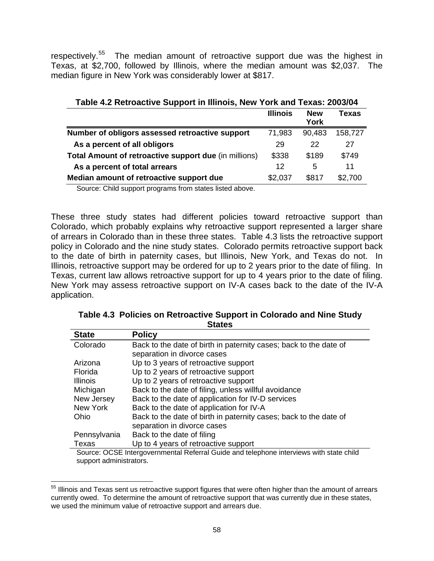respectively.<sup>[55](#page-65-0)</sup> The median amount of retroactive support due was the highest in Texas, at \$2,700, followed by Illinois, where the median amount was \$2,037. The median figure in New York was considerably lower at \$817.

| Table 4.2 Retroactive Support in Illinois, New York and Texas: 2003/04 |                 |            |         |
|------------------------------------------------------------------------|-----------------|------------|---------|
|                                                                        | <b>Illinois</b> | <b>New</b> | Texas   |
|                                                                        |                 | York       |         |
| Number of obligors assessed retroactive support                        | 71,983          | 90,483     | 158,727 |
| As a percent of all obligors                                           | 29              | 22         | 27      |
| Total Amount of retroactive support due (in millions)                  | \$338           | \$189      | \$749   |
| As a percent of total arrears                                          | 12              | 5          | 11      |
| Median amount of retroactive support due                               | \$2,037         | \$817      | \$2,700 |

Source: Child support programs from states listed above.

These three study states had different policies toward retroactive support than Colorado, which probably explains why retroactive support represented a larger share of arrears in Colorado than in these three states. Table 4.3 lists the retroactive support policy in Colorado and the nine study states. Colorado permits retroactive support back to the date of birth in paternity cases, but Illinois, New York, and Texas do not. In Illinois, retroactive support may be ordered for up to 2 years prior to the date of filing. In Texas, current law allows retroactive support for up to 4 years prior to the date of filing. New York may assess retroactive support on IV-A cases back to the date of the IV-A application.

| Table 4.3 Policies on Retroactive Support in Colorado and Nine Study |
|----------------------------------------------------------------------|
| <b>States</b>                                                        |

| <b>State</b>    | <b>Policy</b>                                                                           |
|-----------------|-----------------------------------------------------------------------------------------|
| Colorado        | Back to the date of birth in paternity cases; back to the date of                       |
|                 | separation in divorce cases                                                             |
| Arizona         | Up to 3 years of retroactive support                                                    |
| Florida         | Up to 2 years of retroactive support                                                    |
| <b>Illinois</b> | Up to 2 years of retroactive support                                                    |
| Michigan        | Back to the date of filing, unless willful avoidance                                    |
| New Jersey      | Back to the date of application for IV-D services                                       |
| New York        | Back to the date of application for IV-A                                                |
| Ohio            | Back to the date of birth in paternity cases; back to the date of                       |
|                 | separation in divorce cases                                                             |
| Pennsylvania    | Back to the date of filing                                                              |
| Texas           | Up to 4 years of retroactive support                                                    |
|                 | Source: OCSE Intergovernmental Referral Guide and telephone interviews with state child |

Source: OCSE Intergovernmental Referral Guide and telephone interviews with state child support administrators.

 $\overline{a}$ 

<span id="page-65-0"></span><sup>&</sup>lt;sup>55</sup> Illinois and Texas sent us retroactive support figures that were often higher than the amount of arrears currently owed. To determine the amount of retroactive support that was currently due in these states, we used the minimum value of retroactive support and arrears due.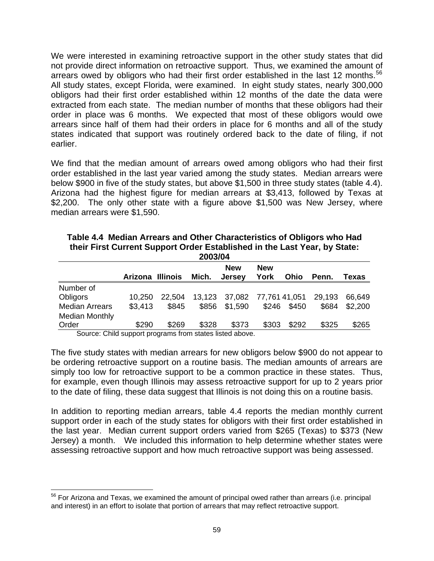We were interested in examining retroactive support in the other study states that did not provide direct information on retroactive support. Thus, we examined the amount of arrears owed by obligors who had their first order established in the last 12 months.<sup>[56](#page-66-0)</sup> All study states, except Florida, were examined. In eight study states, nearly 300,000 obligors had their first order established within 12 months of the date the data were extracted from each state. The median number of months that these obligors had their order in place was 6 months. We expected that most of these obligors would owe arrears since half of them had their orders in place for 6 months and all of the study states indicated that support was routinely ordered back to the date of filing, if not earlier.

We find that the median amount of arrears owed among obligors who had their first order established in the last year varied among the study states. Median arrears were below \$900 in five of the study states, but above \$1,500 in three study states (table 4.4). Arizona had the highest figure for median arrears at \$3,413, followed by Texas at \$2,200. The only other state with a figure above \$1,500 was New Jersey, where median arrears were \$1,590.

| 2003/04                                                 |                  |        |       |                             |                    |             |        |         |  |
|---------------------------------------------------------|------------------|--------|-------|-----------------------------|--------------------|-------------|--------|---------|--|
|                                                         | Arizona Illinois |        | Mich. | <b>New</b><br><b>Jersey</b> | <b>New</b><br>York | Ohio        | Penn.  | Texas   |  |
| Number of                                               |                  |        |       |                             |                    |             |        |         |  |
| Obligors                                                | 10.250           | 22.504 |       | 13,123 37,082 77,761 41,051 |                    |             | 29,193 | 66.649  |  |
| <b>Median Arrears</b>                                   | \$3,413          | \$845  |       | \$856 \$1,590               |                    | \$246 \$450 | \$684  | \$2,200 |  |
| <b>Median Monthly</b>                                   |                  |        |       |                             |                    |             |        |         |  |
| Order                                                   | \$290            | \$269  | \$328 | \$373                       | \$303              | \$292       | \$325  | \$265   |  |
| Course: Child cuppert pregrams from states listed shous |                  |        |       |                             |                    |             |        |         |  |

| Table 4.4 Median Arrears and Other Characteristics of Obligors who Had    |
|---------------------------------------------------------------------------|
| their First Current Support Order Established in the Last Year, by State: |
| $3002104$                                                                 |

Source: Child support programs from states listed above.

 $\overline{a}$ 

The five study states with median arrears for new obligors below \$900 do not appear to be ordering retroactive support on a routine basis. The median amounts of arrears are simply too low for retroactive support to be a common practice in these states. Thus, for example, even though Illinois may assess retroactive support for up to 2 years prior to the date of filing, these data suggest that Illinois is not doing this on a routine basis.

In addition to reporting median arrears, table 4.4 reports the median monthly current support order in each of the study states for obligors with their first order established in the last year. Median current support orders varied from \$265 (Texas) to \$373 (New Jersey) a month. We included this information to help determine whether states were assessing retroactive support and how much retroactive support was being assessed.

<span id="page-66-0"></span> $56$  For Arizona and Texas, we examined the amount of principal owed rather than arrears (i.e. principal and interest) in an effort to isolate that portion of arrears that may reflect retroactive support.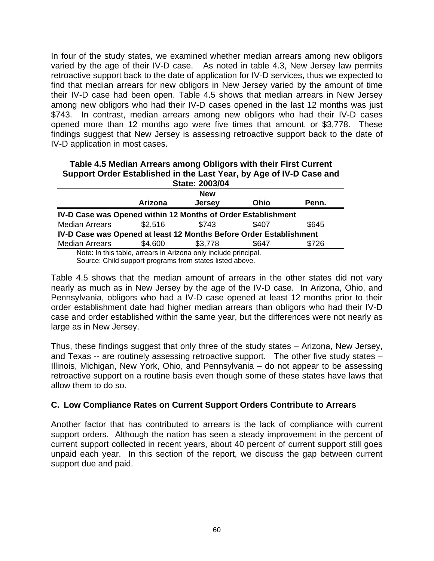In four of the study states, we examined whether median arrears among new obligors varied by the age of their IV-D case. As noted in table 4.3, New Jersey law permits retroactive support back to the date of application for IV-D services, thus we expected to find that median arrears for new obligors in New Jersey varied by the amount of time their IV-D case had been open. Table 4.5 shows that median arrears in New Jersey among new obligors who had their IV-D cases opened in the last 12 months was just \$743. In contrast, median arrears among new obligors who had their IV-D cases opened more than 12 months ago were five times that amount, or \$3,778. These findings suggest that New Jersey is assessing retroactive support back to the date of IV-D application in most cases.

#### **Table 4.5 Median Arrears among Obligors with their First Current Support Order Established in the Last Year, by Age of IV-D Case and State: 2003/04 Arizona New Jersey Ohio Penn. IV-D Case was Opened within 12 Months of Order Establishment**  Median Arrears  $$2.516$   $$743$   $$407$   $$645$ **IV-D Case was Opened at least 12 Months Before Order Establishment**  Median Arrears  $$4,600$   $$3,778$   $$647$   $$726$ Note: In this table, arrears in Arizona only include principal.

Source: Child support programs from states listed above.

Table 4.5 shows that the median amount of arrears in the other states did not vary nearly as much as in New Jersey by the age of the IV-D case. In Arizona, Ohio, and Pennsylvania, obligors who had a IV-D case opened at least 12 months prior to their order establishment date had higher median arrears than obligors who had their IV-D case and order established within the same year, but the differences were not nearly as large as in New Jersey.

Thus, these findings suggest that only three of the study states – Arizona, New Jersey, and Texas -- are routinely assessing retroactive support. The other five study states – Illinois, Michigan, New York, Ohio, and Pennsylvania – do not appear to be assessing retroactive support on a routine basis even though some of these states have laws that allow them to do so.

# **C. Low Compliance Rates on Current Support Orders Contribute to Arrears**

Another factor that has contributed to arrears is the lack of compliance with current support orders. Although the nation has seen a steady improvement in the percent of current support collected in recent years, about 40 percent of current support still goes unpaid each year. In this section of the report, we discuss the gap between current support due and paid.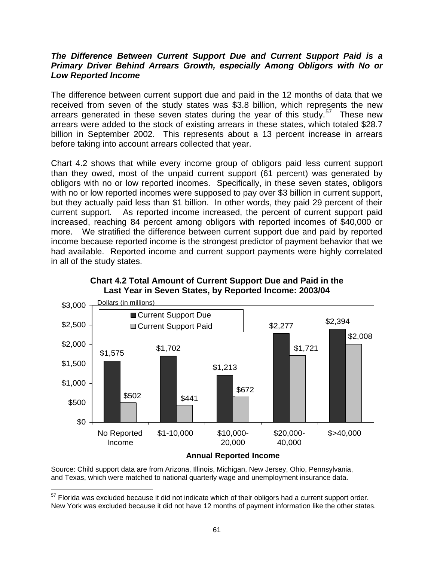### *The Difference Between Current Support Due and Current Support Paid is a Primary Driver Behind Arrears Growth, especially Among Obligors with No or Low Reported Income*

The difference between current support due and paid in the 12 months of data that we received from seven of the study states was \$3.8 billion, which represents the new arrears generated in these seven states during the year of this study.<sup>[57](#page-68-0)</sup> These new arrears were added to the stock of existing arrears in these states, which totaled \$28.7 billion in September 2002. This represents about a 13 percent increase in arrears before taking into account arrears collected that year.

Chart 4.2 shows that while every income group of obligors paid less current support than they owed, most of the unpaid current support (61 percent) was generated by obligors with no or low reported incomes. Specifically, in these seven states, obligors with no or low reported incomes were supposed to pay over \$3 billion in current support, but they actually paid less than \$1 billion. In other words, they paid 29 percent of their current support. As reported income increased, the percent of current support paid increased, reaching 84 percent among obligors with reported incomes of \$40,000 or more. We stratified the difference between current support due and paid by reported income because reported income is the strongest predictor of payment behavior that we had available. Reported income and current support payments were highly correlated in all of the study states.



**Chart 4.2 Total Amount of Current Support Due and Paid in the Last Year in Seven States, by Reported Income: 2003/04** 

**Annual Reported Income**

 Source: Child support data are from Arizona, Illinois, Michigan, New Jersey, Ohio, Pennsylvania, and Texas, which were matched to national quarterly wage and unemployment insurance data.

 $\overline{a}$ 

<span id="page-68-0"></span> $57$  Florida was excluded because it did not indicate which of their obligors had a current support order. New York was excluded because it did not have 12 months of payment information like the other states.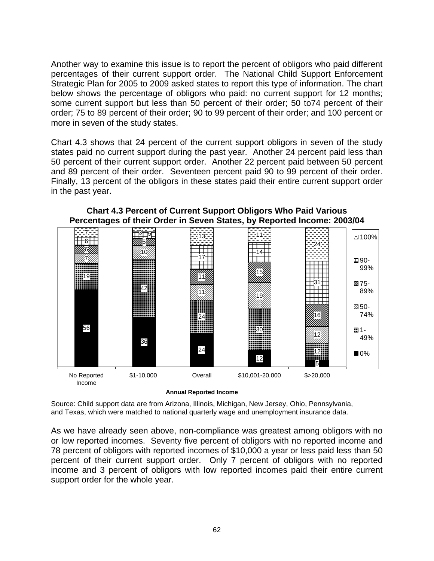Another way to examine this issue is to report the percent of obligors who paid different percentages of their current support order. The National Child Support Enforcement Strategic Plan for 2005 to 2009 asked states to report this type of information. The chart below shows the percentage of obligors who paid: no current support for 12 months; some current support but less than 50 percent of their order; 50 to74 percent of their order; 75 to 89 percent of their order; 90 to 99 percent of their order; and 100 percent or more in seven of the study states.

Chart 4.3 shows that 24 percent of the current support obligors in seven of the study states paid no current support during the past year. Another 24 percent paid less than 50 percent of their current support order. Another 22 percent paid between 50 percent and 89 percent of their order. Seventeen percent paid 90 to 99 percent of their order. Finally, 13 percent of the obligors in these states paid their entire current support order in the past year.



**Chart 4.3 Percent of Current Support Obligors Who Paid Various Percentages of their Order in Seven States, by Reported Income: 2003/04** 

**Annual Reported Income**

 Source: Child support data are from Arizona, Illinois, Michigan, New Jersey, Ohio, Pennsylvania, and Texas, which were matched to national quarterly wage and unemployment insurance data.

As we have already seen above, non-compliance was greatest among obligors with no or low reported incomes. Seventy five percent of obligors with no reported income and 78 percent of obligors with reported incomes of \$10,000 a year or less paid less than 50 percent of their current support order. Only 7 percent of obligors with no reported income and 3 percent of obligors with low reported incomes paid their entire current support order for the whole year.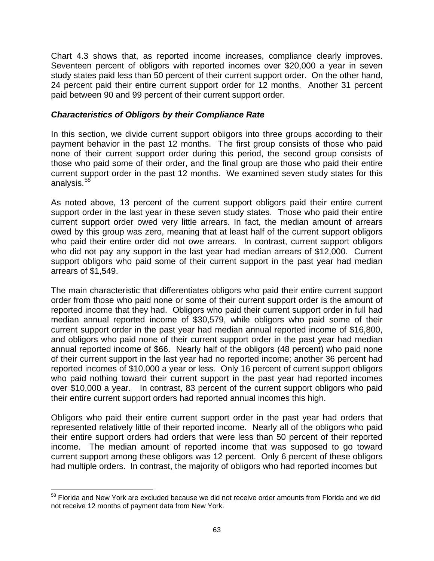Chart 4.3 shows that, as reported income increases, compliance clearly improves. Seventeen percent of obligors with reported incomes over \$20,000 a year in seven study states paid less than 50 percent of their current support order. On the other hand, 24 percent paid their entire current support order for 12 months. Another 31 percent paid between 90 and 99 percent of their current support order.

### *Characteristics of Obligors by their Compliance Rate*

In this section, we divide current support obligors into three groups according to their payment behavior in the past 12 months. The first group consists of those who paid none of their current support order during this period, the second group consists of those who paid some of their order, and the final group are those who paid their entire current support order in the past 12 months. We examined seven study states for this analysis.<sup>[58](#page-70-0)</sup>

As noted above, 13 percent of the current support obligors paid their entire current support order in the last year in these seven study states. Those who paid their entire current support order owed very little arrears. In fact, the median amount of arrears owed by this group was zero, meaning that at least half of the current support obligors who paid their entire order did not owe arrears. In contrast, current support obligors who did not pay any support in the last year had median arrears of \$12,000. Current support obligors who paid some of their current support in the past year had median arrears of \$1,549.

The main characteristic that differentiates obligors who paid their entire current support order from those who paid none or some of their current support order is the amount of reported income that they had. Obligors who paid their current support order in full had median annual reported income of \$30,579, while obligors who paid some of their current support order in the past year had median annual reported income of \$16,800, and obligors who paid none of their current support order in the past year had median annual reported income of \$66. Nearly half of the obligors (48 percent) who paid none of their current support in the last year had no reported income; another 36 percent had reported incomes of \$10,000 a year or less. Only 16 percent of current support obligors who paid nothing toward their current support in the past year had reported incomes over \$10,000 a year. In contrast, 83 percent of the current support obligors who paid their entire current support orders had reported annual incomes this high.

Obligors who paid their entire current support order in the past year had orders that represented relatively little of their reported income. Nearly all of the obligors who paid their entire support orders had orders that were less than 50 percent of their reported income. The median amount of reported income that was supposed to go toward current support among these obligors was 12 percent. Only 6 percent of these obligors had multiple orders. In contrast, the majority of obligors who had reported incomes but

 $\overline{a}$ 

<span id="page-70-0"></span> $58$  Florida and New York are excluded because we did not receive order amounts from Florida and we did not receive 12 months of payment data from New York.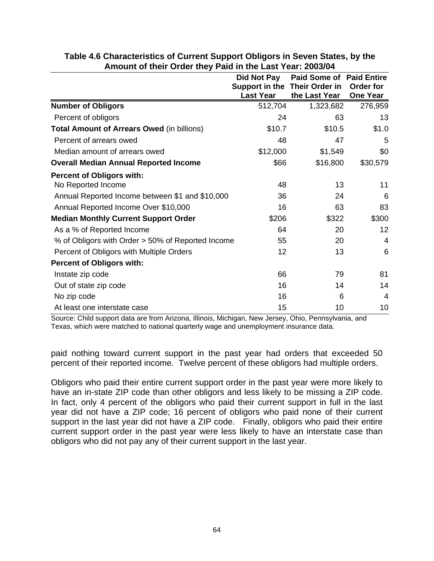|                                                   | <b>Did Not Pay</b>                                | <b>Paid Some of Paid Entire</b> |                              |
|---------------------------------------------------|---------------------------------------------------|---------------------------------|------------------------------|
|                                                   | Support in the Their Order in<br><b>Last Year</b> | the Last Year                   | Order for<br><b>One Year</b> |
| <b>Number of Obligors</b>                         | 512,704                                           | 1,323,682                       | 276,959                      |
| Percent of obligors                               | 24                                                | 63                              | 13                           |
| <b>Total Amount of Arrears Owed (in billions)</b> | \$10.7                                            | \$10.5                          | \$1.0                        |
| Percent of arrears owed                           | 48                                                | 47                              | 5                            |
| Median amount of arrears owed                     | \$12,000                                          | \$1,549                         | \$0                          |
| <b>Overall Median Annual Reported Income</b>      | \$66                                              | \$16,800                        | \$30,579                     |
| <b>Percent of Obligors with:</b>                  |                                                   |                                 |                              |
| No Reported Income                                | 48                                                | 13                              | 11                           |
| Annual Reported Income between \$1 and \$10,000   | 36                                                | 24                              | 6                            |
| Annual Reported Income Over \$10,000              | 16                                                | 63                              | 83                           |
| <b>Median Monthly Current Support Order</b>       | \$206                                             | \$322                           | \$300                        |
| As a % of Reported Income                         | 64                                                | 20                              | 12                           |
| % of Obligors with Order > 50% of Reported Income | 55                                                | 20                              | 4                            |
| Percent of Obligors with Multiple Orders          | 12                                                | 13                              | 6                            |
| <b>Percent of Obligors with:</b>                  |                                                   |                                 |                              |
| Instate zip code                                  | 66                                                | 79                              | 81                           |
| Out of state zip code                             | 16                                                | 14                              | 14                           |
| No zip code                                       | 16                                                | 6                               | 4                            |
| At least one interstate case                      | 15                                                | 10                              | 10                           |

### **Table 4.6 Characteristics of Current Support Obligors in Seven States, by the Amount of their Order they Paid in the Last Year: 2003/04**

Source: Child support data are from Arizona, Illinois, Michigan, New Jersey, Ohio, Pennsylvania, and Texas, which were matched to national quarterly wage and unemployment insurance data.

paid nothing toward current support in the past year had orders that exceeded 50 percent of their reported income. Twelve percent of these obligors had multiple orders.

Obligors who paid their entire current support order in the past year were more likely to have an in-state ZIP code than other obligors and less likely to be missing a ZIP code. In fact, only 4 percent of the obligors who paid their current support in full in the last year did not have a ZIP code; 16 percent of obligors who paid none of their current support in the last year did not have a ZIP code. Finally, obligors who paid their entire current support order in the past year were less likely to have an interstate case than obligors who did not pay any of their current support in the last year.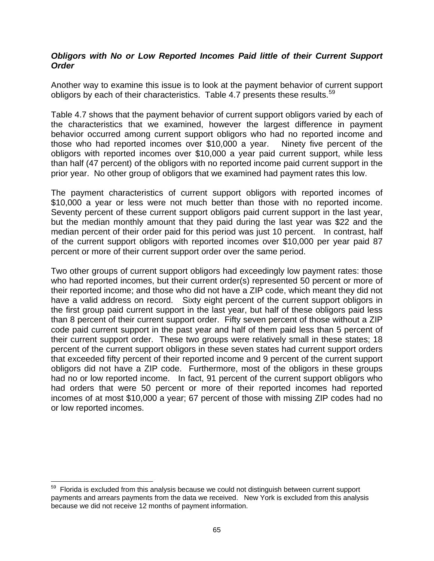## *Obligors with No or Low Reported Incomes Paid little of their Current Support Order*

Another way to examine this issue is to look at the payment behavior of current support obligors by each of their characteristics. Table 4.7 presents these results.<sup>[59](#page-72-0)</sup>

Table 4.7 shows that the payment behavior of current support obligors varied by each of the characteristics that we examined, however the largest difference in payment behavior occurred among current support obligors who had no reported income and those who had reported incomes over \$10,000 a year. Ninety five percent of the obligors with reported incomes over \$10,000 a year paid current support, while less than half (47 percent) of the obligors with no reported income paid current support in the prior year. No other group of obligors that we examined had payment rates this low.

The payment characteristics of current support obligors with reported incomes of \$10,000 a year or less were not much better than those with no reported income. Seventy percent of these current support obligors paid current support in the last year, but the median monthly amount that they paid during the last year was \$22 and the median percent of their order paid for this period was just 10 percent. In contrast, half of the current support obligors with reported incomes over \$10,000 per year paid 87 percent or more of their current support order over the same period.

Two other groups of current support obligors had exceedingly low payment rates: those who had reported incomes, but their current order(s) represented 50 percent or more of their reported income; and those who did not have a ZIP code, which meant they did not have a valid address on record. Sixty eight percent of the current support obligors in the first group paid current support in the last year, but half of these obligors paid less than 8 percent of their current support order. Fifty seven percent of those without a ZIP code paid current support in the past year and half of them paid less than 5 percent of their current support order. These two groups were relatively small in these states; 18 percent of the current support obligors in these seven states had current support orders that exceeded fifty percent of their reported income and 9 percent of the current support obligors did not have a ZIP code. Furthermore, most of the obligors in these groups had no or low reported income. In fact, 91 percent of the current support obligors who had orders that were 50 percent or more of their reported incomes had reported incomes of at most \$10,000 a year; 67 percent of those with missing ZIP codes had no or low reported incomes.

1

<span id="page-72-0"></span><sup>&</sup>lt;sup>59</sup> Florida is excluded from this analysis because we could not distinguish between current support payments and arrears payments from the data we received. New York is excluded from this analysis because we did not receive 12 months of payment information.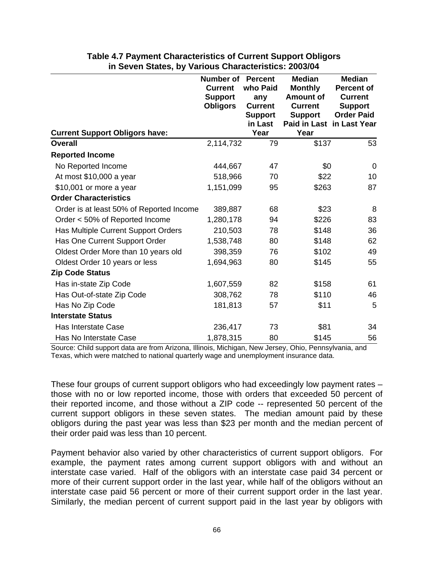| Table 4.7 Payment Characteristics of Current Support Obligors |
|---------------------------------------------------------------|
| in Seven States, by Various Characteristics: 2003/04          |

|                                          | <b>Number of</b><br><b>Current</b><br><b>Support</b><br><b>Obligors</b> | <b>Percent</b><br>who Paid<br>any<br><b>Current</b><br><b>Support</b> | <b>Median</b><br><b>Monthly</b><br><b>Amount of</b><br><b>Current</b><br><b>Support</b> | <b>Median</b><br><b>Percent of</b><br><b>Current</b><br><b>Support</b><br><b>Order Paid</b> |
|------------------------------------------|-------------------------------------------------------------------------|-----------------------------------------------------------------------|-----------------------------------------------------------------------------------------|---------------------------------------------------------------------------------------------|
| <b>Current Support Obligors have:</b>    |                                                                         | in Last<br>Year                                                       | Paid in Last in Last Year<br>Year                                                       |                                                                                             |
| <b>Overall</b>                           | 2,114,732                                                               | 79                                                                    | \$137                                                                                   | 53                                                                                          |
| <b>Reported Income</b>                   |                                                                         |                                                                       |                                                                                         |                                                                                             |
| No Reported Income                       | 444,667                                                                 | 47                                                                    | \$0                                                                                     | $\Omega$                                                                                    |
| At most \$10,000 a year                  | 518,966                                                                 | 70                                                                    | \$22                                                                                    | 10                                                                                          |
| $$10,001$ or more a year                 | 1,151,099                                                               | 95                                                                    | \$263                                                                                   | 87                                                                                          |
| <b>Order Characteristics</b>             |                                                                         |                                                                       |                                                                                         |                                                                                             |
| Order is at least 50% of Reported Income | 389,887                                                                 | 68                                                                    | \$23                                                                                    | 8                                                                                           |
| Order < 50% of Reported Income           | 1,280,178                                                               | 94                                                                    | \$226                                                                                   | 83                                                                                          |
| Has Multiple Current Support Orders      | 210,503                                                                 | 78                                                                    | \$148                                                                                   | 36                                                                                          |
| Has One Current Support Order            | 1,538,748                                                               | 80                                                                    | \$148                                                                                   | 62                                                                                          |
| Oldest Order More than 10 years old      | 398,359                                                                 | 76                                                                    | \$102                                                                                   | 49                                                                                          |
| Oldest Order 10 years or less            | 1,694,963                                                               | 80                                                                    | \$145                                                                                   | 55                                                                                          |
| <b>Zip Code Status</b>                   |                                                                         |                                                                       |                                                                                         |                                                                                             |
| Has in-state Zip Code                    | 1,607,559                                                               | 82                                                                    | \$158                                                                                   | 61                                                                                          |
| Has Out-of-state Zip Code                | 308,762                                                                 | 78                                                                    | \$110                                                                                   | 46                                                                                          |
| Has No Zip Code                          | 181,813                                                                 | 57                                                                    | \$11                                                                                    | 5                                                                                           |
| <b>Interstate Status</b>                 |                                                                         |                                                                       |                                                                                         |                                                                                             |
| Has Interstate Case                      | 236,417                                                                 | 73                                                                    | \$81                                                                                    | 34                                                                                          |
| Has No Interstate Case                   | 1,878,315                                                               | 80                                                                    | \$145                                                                                   | 56                                                                                          |

Source: Child support data are from Arizona, Illinois, Michigan, New Jersey, Ohio, Pennsylvania, and Texas, which were matched to national quarterly wage and unemployment insurance data.

These four groups of current support obligors who had exceedingly low payment rates – those with no or low reported income, those with orders that exceeded 50 percent of their reported income, and those without a ZIP code -- represented 50 percent of the current support obligors in these seven states. The median amount paid by these obligors during the past year was less than \$23 per month and the median percent of their order paid was less than 10 percent.

Payment behavior also varied by other characteristics of current support obligors. For example, the payment rates among current support obligors with and without an interstate case varied. Half of the obligors with an interstate case paid 34 percent or more of their current support order in the last year, while half of the obligors without an interstate case paid 56 percent or more of their current support order in the last year. Similarly, the median percent of current support paid in the last year by obligors with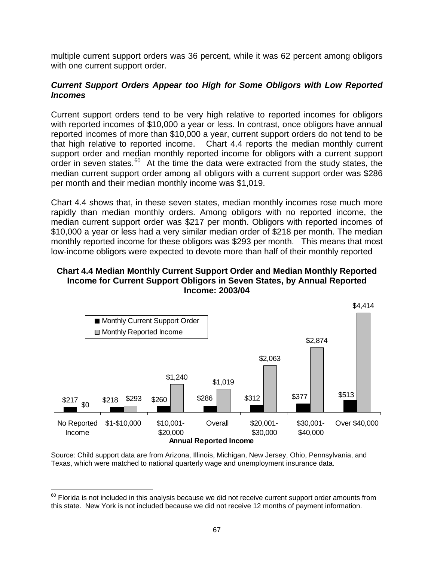multiple current support orders was 36 percent, while it was 62 percent among obligors with one current support order.

## *Current Support Orders Appear too High for Some Obligors with Low Reported Incomes*

Current support orders tend to be very high relative to reported incomes for obligors with reported incomes of \$10,000 a year or less. In contrast, once obligors have annual reported incomes of more than \$10,000 a year, current support orders do not tend to be that high relative to reported income. Chart 4.4 reports the median monthly current support order and median monthly reported income for obligors with a current support order in seven states.<sup>[60](#page-74-0)</sup> At the time the data were extracted from the study states, the median current support order among all obligors with a current support order was \$286 per month and their median monthly income was \$1,019.

Chart 4.4 shows that, in these seven states, median monthly incomes rose much more rapidly than median monthly orders. Among obligors with no reported income, the median current support order was \$217 per month. Obligors with reported incomes of \$10,000 a year or less had a very similar median order of \$218 per month. The median monthly reported income for these obligors was \$293 per month. This means that most low-income obligors were expected to devote more than half of their monthly reported

## **Chart 4.4 Median Monthly Current Support Order and Median Monthly Reported Income for Current Support Obligors in Seven States, by Annual Reported Income: 2003/04**



Source: Child support data are from Arizona, Illinois, Michigan, New Jersey, Ohio, Pennsylvania, and Texas, which were matched to national quarterly wage and unemployment insurance data.

<span id="page-74-0"></span> $^{60}$  Florida is not included in this analysis because we did not receive current support order amounts from this state. New York is not included because we did not receive 12 months of payment information.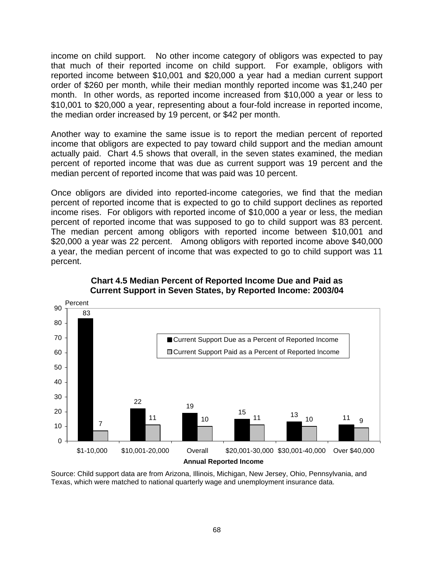income on child support. No other income category of obligors was expected to pay that much of their reported income on child support. For example, obligors with reported income between \$10,001 and \$20,000 a year had a median current support order of \$260 per month, while their median monthly reported income was \$1,240 per month. In other words, as reported income increased from \$10,000 a year or less to \$10,001 to \$20,000 a year, representing about a four-fold increase in reported income, the median order increased by 19 percent, or \$42 per month.

Another way to examine the same issue is to report the median percent of reported income that obligors are expected to pay toward child support and the median amount actually paid. Chart 4.5 shows that overall, in the seven states examined, the median percent of reported income that was due as current support was 19 percent and the median percent of reported income that was paid was 10 percent.

Once obligors are divided into reported-income categories, we find that the median percent of reported income that is expected to go to child support declines as reported income rises. For obligors with reported income of \$10,000 a year or less, the median percent of reported income that was supposed to go to child support was 83 percent. The median percent among obligors with reported income between \$10,001 and \$20,000 a year was 22 percent. Among obligors with reported income above \$40,000 a year, the median percent of income that was expected to go to child support was 11 percent.



# **Chart 4.5 Median Percent of Reported Income Due and Paid as Current Support in Seven States, by Reported Income: 2003/04**

Source: Child support data are from Arizona, Illinois, Michigan, New Jersey, Ohio, Pennsylvania, and Texas, which were matched to national quarterly wage and unemployment insurance data.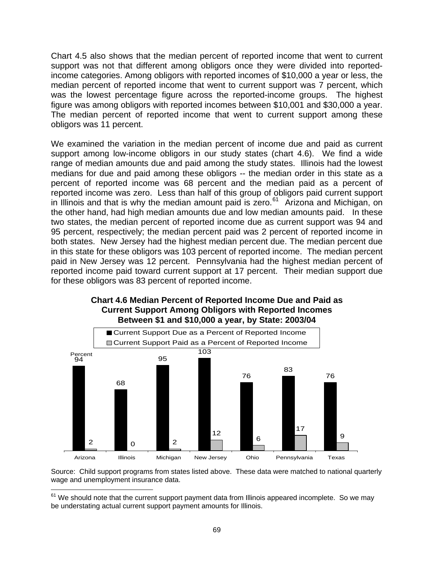Chart 4.5 also shows that the median percent of reported income that went to current support was not that different among obligors once they were divided into reportedincome categories. Among obligors with reported incomes of \$10,000 a year or less, the median percent of reported income that went to current support was 7 percent, which was the lowest percentage figure across the reported-income groups. The highest figure was among obligors with reported incomes between \$10,001 and \$30,000 a year. The median percent of reported income that went to current support among these obligors was 11 percent.

We examined the variation in the median percent of income due and paid as current support among low-income obligors in our study states (chart 4.6). We find a wide range of median amounts due and paid among the study states. Illinois had the lowest medians for due and paid among these obligors -- the median order in this state as a percent of reported income was 68 percent and the median paid as a percent of reported income was zero. Less than half of this group of obligors paid current support in Illinois and that is why the median amount paid is zero.<sup>[61](#page-76-0)</sup> Arizona and Michigan, on the other hand, had high median amounts due and low median amounts paid. In these two states, the median percent of reported income due as current support was 94 and 95 percent, respectively; the median percent paid was 2 percent of reported income in both states. New Jersey had the highest median percent due. The median percent due in this state for these obligors was 103 percent of reported income. The median percent paid in New Jersey was 12 percent. Pennsylvania had the highest median percent of reported income paid toward current support at 17 percent. Their median support due for these obligors was 83 percent of reported income.



# **Chart 4.6 Median Percent of Reported Income Due and Paid as Current Support Among Obligors with Reported Incomes Between \$1 and \$10,000 a year, by State: 2003/04**

Source: Child support programs from states listed above. These data were matched to national quarterly wage and unemployment insurance data.

<span id="page-76-0"></span> $61$  We should note that the current support payment data from Illinois appeared incomplete. So we may be understating actual current support payment amounts for Illinois.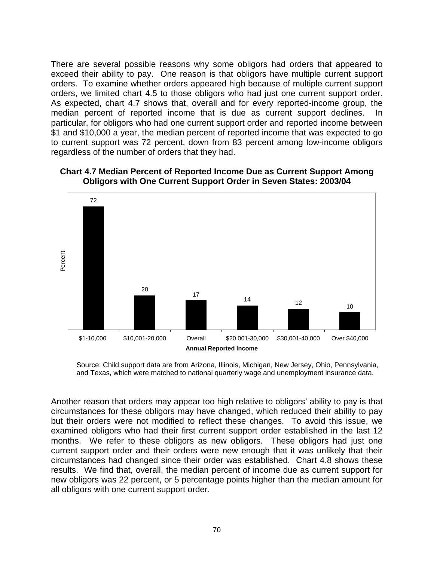There are several possible reasons why some obligors had orders that appeared to exceed their ability to pay. One reason is that obligors have multiple current support orders. To examine whether orders appeared high because of multiple current support orders, we limited chart 4.5 to those obligors who had just one current support order. As expected, chart 4.7 shows that, overall and for every reported-income group, the median percent of reported income that is due as current support declines. In particular, for obligors who had one current support order and reported income between \$1 and \$10,000 a year, the median percent of reported income that was expected to go to current support was 72 percent, down from 83 percent among low-income obligors regardless of the number of orders that they had.



**Chart 4.7 Median Percent of Reported Income Due as Current Support Among Obligors with One Current Support Order in Seven States: 2003/04** 

Source: Child support data are from Arizona, Illinois, Michigan, New Jersey, Ohio, Pennsylvania, and Texas, which were matched to national quarterly wage and unemployment insurance data.

Another reason that orders may appear too high relative to obligors' ability to pay is that circumstances for these obligors may have changed, which reduced their ability to pay but their orders were not modified to reflect these changes. To avoid this issue, we examined obligors who had their first current support order established in the last 12 months. We refer to these obligors as new obligors. These obligors had just one current support order and their orders were new enough that it was unlikely that their circumstances had changed since their order was established. Chart 4.8 shows these results. We find that, overall, the median percent of income due as current support for new obligors was 22 percent, or 5 percentage points higher than the median amount for all obligors with one current support order.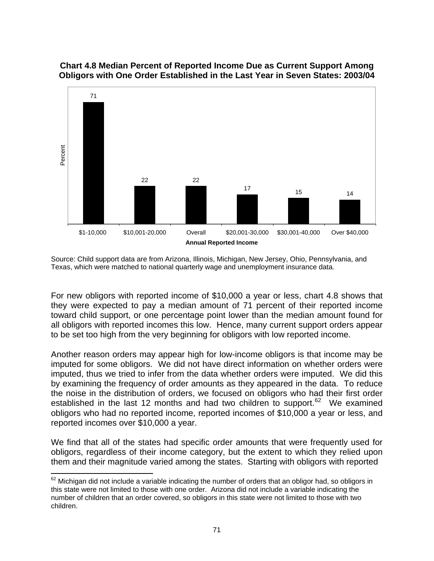

## **Chart 4.8 Median Percent of Reported Income Due as Current Support Among Obligors with One Order Established in the Last Year in Seven States: 2003/04**

For new obligors with reported income of \$10,000 a year or less, chart 4.8 shows that they were expected to pay a median amount of 71 percent of their reported income toward child support, or one percentage point lower than the median amount found for all obligors with reported incomes this low. Hence, many current support orders appear to be set too high from the very beginning for obligors with low reported income.

Another reason orders may appear high for low-income obligors is that income may be imputed for some obligors. We did not have direct information on whether orders were imputed, thus we tried to infer from the data whether orders were imputed. We did this by examining the frequency of order amounts as they appeared in the data. To reduce the noise in the distribution of orders, we focused on obligors who had their first order established in the last 12 months and had two children to support.<sup>[62](#page-78-0)</sup> We examined obligors who had no reported income, reported incomes of \$10,000 a year or less, and reported incomes over \$10,000 a year.

We find that all of the states had specific order amounts that were frequently used for obligors, regardless of their income category, but the extent to which they relied upon them and their magnitude varied among the states. Starting with obligors with reported

Source: Child support data are from Arizona, Illinois, Michigan, New Jersey, Ohio, Pennsylvania, and Texas, which were matched to national quarterly wage and unemployment insurance data.

<span id="page-78-0"></span><sup>1</sup>  $62$  Michigan did not include a variable indicating the number of orders that an obligor had, so obligors in this state were not limited to those with one order. Arizona did not include a variable indicating the number of children that an order covered, so obligors in this state were not limited to those with two children.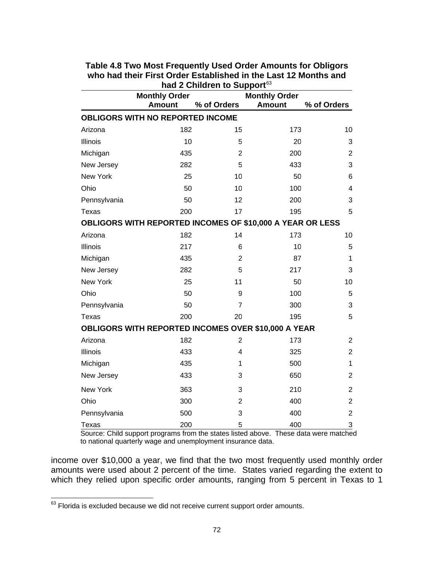|              | <b>Monthly Order</b>                                       |                | <b>Monthly Order</b> |                |  |  |
|--------------|------------------------------------------------------------|----------------|----------------------|----------------|--|--|
|              | <b>Amount</b>                                              | % of Orders    | <b>Amount</b>        | % of Orders    |  |  |
|              | OBLIGORS WITH NO REPORTED INCOME                           |                |                      |                |  |  |
| Arizona      | 182                                                        | 15             | 173                  | 10             |  |  |
| Illinois     | 10                                                         | 5              | 20                   | 3              |  |  |
| Michigan     | 435                                                        | $\overline{2}$ | 200                  | $\overline{2}$ |  |  |
| New Jersey   | 282                                                        | 5              | 433                  | 3              |  |  |
| New York     | 25                                                         | 10             | 50                   | 6              |  |  |
| Ohio         | 50                                                         | 10             | 100                  | 4              |  |  |
| Pennsylvania | 50                                                         | 12             | 200                  | 3              |  |  |
| Texas        | 200                                                        | 17             | 195                  | 5              |  |  |
|              | OBLIGORS WITH REPORTED INCOMES OF \$10,000 A YEAR OR LESS  |                |                      |                |  |  |
| Arizona      | 182                                                        | 14             | 173                  | 10             |  |  |
| Illinois     | 217                                                        | 6              | 10                   | 5              |  |  |
| Michigan     | 435                                                        | $\overline{2}$ | 87                   | 1              |  |  |
| New Jersey   | 282                                                        | 5              | 217                  | 3              |  |  |
| New York     | 25                                                         | 11             | 50                   | 10             |  |  |
| Ohio         | 50                                                         | 9              | 100                  | 5              |  |  |
| Pennsylvania | 50                                                         | $\overline{7}$ | 300                  | 3              |  |  |
| Texas        | 200                                                        | 20             | 195                  | 5              |  |  |
|              | <b>OBLIGORS WITH REPORTED INCOMES OVER \$10,000 A YEAR</b> |                |                      |                |  |  |
| Arizona      | 182                                                        | $\overline{2}$ | 173                  | $\overline{2}$ |  |  |
| Illinois     | 433                                                        | 4              | 325                  | $\overline{2}$ |  |  |
| Michigan     | 435                                                        | 1              | 500                  | 1              |  |  |
| New Jersey   | 433                                                        | 3              | 650                  | $\overline{2}$ |  |  |
| New York     | 363                                                        | 3              | 210                  | $\overline{2}$ |  |  |
| Ohio         | 300                                                        | $\overline{2}$ | 400                  | $\overline{2}$ |  |  |
| Pennsylvania | 500                                                        | 3              | 400                  | $\overline{c}$ |  |  |
| <b>Texas</b> | 200                                                        | 5              | 400                  | 3              |  |  |

#### **Table 4.8 Two Most Frequently Used Order Amounts for Obligors who had their First Order Established in the Last 12 Months and had 2 Children to Support**[63](#page-79-0)

 Source: Child support programs from the states listed above. These data were matched to national quarterly wage and unemployment insurance data.

income over \$10,000 a year, we find that the two most frequently used monthly order amounts were used about 2 percent of the time. States varied regarding the extent to which they relied upon specific order amounts, ranging from 5 percent in Texas to 1

<span id="page-79-0"></span><sup>1</sup>  $^{63}$  Florida is excluded because we did not receive current support order amounts.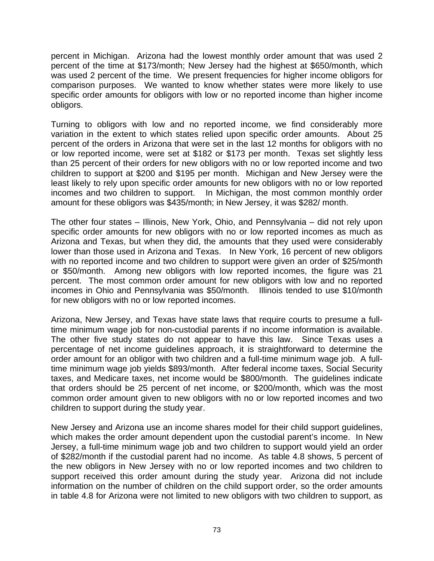percent in Michigan. Arizona had the lowest monthly order amount that was used 2 percent of the time at \$173/month; New Jersey had the highest at \$650/month, which was used 2 percent of the time. We present frequencies for higher income obligors for comparison purposes. We wanted to know whether states were more likely to use specific order amounts for obligors with low or no reported income than higher income obligors.

Turning to obligors with low and no reported income, we find considerably more variation in the extent to which states relied upon specific order amounts. About 25 percent of the orders in Arizona that were set in the last 12 months for obligors with no or low reported income, were set at \$182 or \$173 per month. Texas set slightly less than 25 percent of their orders for new obligors with no or low reported income and two children to support at \$200 and \$195 per month. Michigan and New Jersey were the least likely to rely upon specific order amounts for new obligors with no or low reported incomes and two children to support. In Michigan, the most common monthly order amount for these obligors was \$435/month; in New Jersey, it was \$282/ month.

The other four states – Illinois, New York, Ohio, and Pennsylvania – did not rely upon specific order amounts for new obligors with no or low reported incomes as much as Arizona and Texas, but when they did, the amounts that they used were considerably lower than those used in Arizona and Texas. In New York, 16 percent of new obligors with no reported income and two children to support were given an order of \$25/month or \$50/month. Among new obligors with low reported incomes, the figure was 21 percent. The most common order amount for new obligors with low and no reported incomes in Ohio and Pennsylvania was \$50/month. Illinois tended to use \$10/month for new obligors with no or low reported incomes.

Arizona, New Jersey, and Texas have state laws that require courts to presume a fulltime minimum wage job for non-custodial parents if no income information is available. The other five study states do not appear to have this law. Since Texas uses a percentage of net income guidelines approach, it is straightforward to determine the order amount for an obligor with two children and a full-time minimum wage job. A fulltime minimum wage job yields \$893/month. After federal income taxes, Social Security taxes, and Medicare taxes, net income would be \$800/month. The guidelines indicate that orders should be 25 percent of net income, or \$200/month, which was the most common order amount given to new obligors with no or low reported incomes and two children to support during the study year.

New Jersey and Arizona use an income shares model for their child support guidelines, which makes the order amount dependent upon the custodial parent's income. In New Jersey, a full-time minimum wage job and two children to support would yield an order of \$282/month if the custodial parent had no income. As table 4.8 shows, 5 percent of the new obligors in New Jersey with no or low reported incomes and two children to support received this order amount during the study year. Arizona did not include information on the number of children on the child support order, so the order amounts in table 4.8 for Arizona were not limited to new obligors with two children to support, as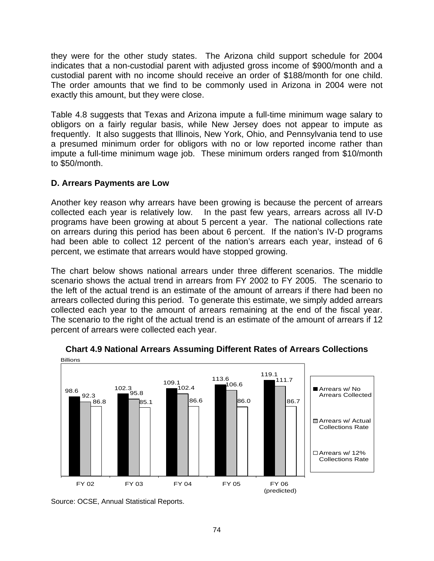they were for the other study states. The Arizona child support schedule for 2004 indicates that a non-custodial parent with adjusted gross income of \$900/month and a custodial parent with no income should receive an order of \$188/month for one child. The order amounts that we find to be commonly used in Arizona in 2004 were not exactly this amount, but they were close.

Table 4.8 suggests that Texas and Arizona impute a full-time minimum wage salary to obligors on a fairly regular basis, while New Jersey does not appear to impute as frequently. It also suggests that Illinois, New York, Ohio, and Pennsylvania tend to use a presumed minimum order for obligors with no or low reported income rather than impute a full-time minimum wage job. These minimum orders ranged from \$10/month to \$50/month.

## **D. Arrears Payments are Low**

Another key reason why arrears have been growing is because the percent of arrears collected each year is relatively low. In the past few years, arrears across all IV-D programs have been growing at about 5 percent a year. The national collections rate on arrears during this period has been about 6 percent. If the nation's IV-D programs had been able to collect 12 percent of the nation's arrears each year, instead of 6 percent, we estimate that arrears would have stopped growing.

The chart below shows national arrears under three different scenarios. The middle scenario shows the actual trend in arrears from FY 2002 to FY 2005. The scenario to the left of the actual trend is an estimate of the amount of arrears if there had been no arrears collected during this period. To generate this estimate, we simply added arrears collected each year to the amount of arrears remaining at the end of the fiscal year. The scenario to the right of the actual trend is an estimate of the amount of arrears if 12 percent of arrears were collected each year.



# **Chart 4.9 National Arrears Assuming Different Rates of Arrears Collections**

Source: OCSE, Annual Statistical Reports.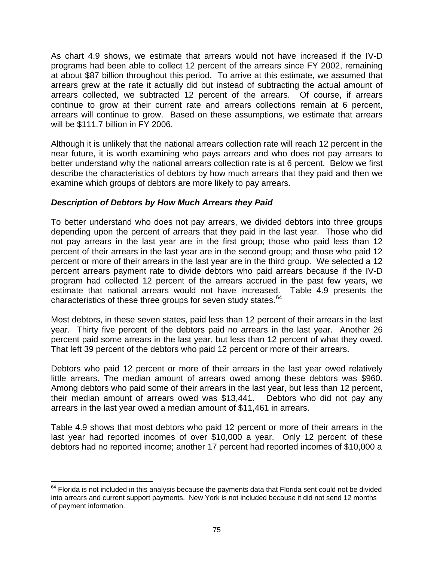As chart 4.9 shows, we estimate that arrears would not have increased if the IV-D programs had been able to collect 12 percent of the arrears since FY 2002, remaining at about \$87 billion throughout this period. To arrive at this estimate, we assumed that arrears grew at the rate it actually did but instead of subtracting the actual amount of arrears collected, we subtracted 12 percent of the arrears. Of course, if arrears continue to grow at their current rate and arrears collections remain at 6 percent, arrears will continue to grow. Based on these assumptions, we estimate that arrears will be \$111.7 billion in FY 2006.

Although it is unlikely that the national arrears collection rate will reach 12 percent in the near future, it is worth examining who pays arrears and who does not pay arrears to better understand why the national arrears collection rate is at 6 percent. Below we first describe the characteristics of debtors by how much arrears that they paid and then we examine which groups of debtors are more likely to pay arrears.

# *Description of Debtors by How Much Arrears they Paid*

To better understand who does not pay arrears, we divided debtors into three groups depending upon the percent of arrears that they paid in the last year. Those who did not pay arrears in the last year are in the first group; those who paid less than 12 percent of their arrears in the last year are in the second group; and those who paid 12 percent or more of their arrears in the last year are in the third group. We selected a 12 percent arrears payment rate to divide debtors who paid arrears because if the IV-D program had collected 12 percent of the arrears accrued in the past few years, we estimate that national arrears would not have increased. Table 4.9 presents the characteristics of these three groups for seven study states.<sup>[64](#page-82-0)</sup>

Most debtors, in these seven states, paid less than 12 percent of their arrears in the last year. Thirty five percent of the debtors paid no arrears in the last year. Another 26 percent paid some arrears in the last year, but less than 12 percent of what they owed. That left 39 percent of the debtors who paid 12 percent or more of their arrears.

Debtors who paid 12 percent or more of their arrears in the last year owed relatively little arrears. The median amount of arrears owed among these debtors was \$960. Among debtors who paid some of their arrears in the last year, but less than 12 percent, their median amount of arrears owed was \$13,441. Debtors who did not pay any arrears in the last year owed a median amount of \$11,461 in arrears.

Table 4.9 shows that most debtors who paid 12 percent or more of their arrears in the last year had reported incomes of over \$10,000 a year. Only 12 percent of these debtors had no reported income; another 17 percent had reported incomes of \$10,000 a

<span id="page-82-0"></span> $\overline{a}$  $64$  Florida is not included in this analysis because the payments data that Florida sent could not be divided into arrears and current support payments. New York is not included because it did not send 12 months of payment information.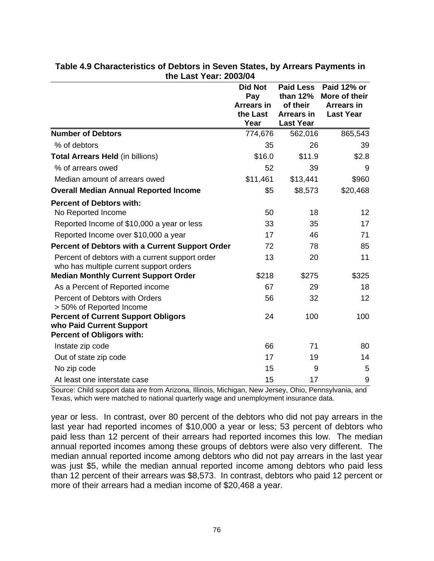|                                                                                                            | <b>Did Not</b><br>Pay<br><b>Arrears in</b><br>the Last<br>Year | <b>Paid Less</b><br>than 12%<br>of their<br><b>Arrears in</b><br><b>Last Year</b> | Paid 12% or<br>More of their<br><b>Arrears in</b><br><b>Last Year</b> |
|------------------------------------------------------------------------------------------------------------|----------------------------------------------------------------|-----------------------------------------------------------------------------------|-----------------------------------------------------------------------|
| <b>Number of Debtors</b>                                                                                   | 774,676                                                        | 562,016                                                                           | 865,543                                                               |
| % of debtors                                                                                               | 35                                                             | 26                                                                                | 39                                                                    |
| <b>Total Arrears Held (in billions)</b>                                                                    | \$16.0                                                         | \$11.9                                                                            | \$2.8                                                                 |
| % of arrears owed                                                                                          | 52                                                             | 39                                                                                | 9                                                                     |
| Median amount of arrears owed                                                                              | \$11,461                                                       | \$13,441                                                                          | \$960                                                                 |
| <b>Overall Median Annual Reported Income</b>                                                               | \$5                                                            | \$8,573                                                                           | \$20,468                                                              |
| <b>Percent of Debtors with:</b>                                                                            |                                                                |                                                                                   |                                                                       |
| No Reported Income                                                                                         | 50                                                             | 18                                                                                | 12                                                                    |
| Reported Income of \$10,000 a year or less                                                                 | 33                                                             | 35                                                                                | 17                                                                    |
| Reported Income over \$10,000 a year                                                                       | 17                                                             | 46                                                                                | 71                                                                    |
| <b>Percent of Debtors with a Current Support Order</b>                                                     | 72                                                             | 78                                                                                | 85                                                                    |
| Percent of debtors with a current support order<br>who has multiple current support orders                 | 13                                                             | 20                                                                                | 11                                                                    |
| <b>Median Monthly Current Support Order</b>                                                                | \$218                                                          | \$275                                                                             | \$325                                                                 |
| As a Percent of Reported income                                                                            | 67                                                             | 29                                                                                | 18                                                                    |
| Percent of Debtors with Orders<br>> 50% of Reported Income                                                 | 56                                                             | 32                                                                                | 12                                                                    |
| <b>Percent of Current Support Obligors</b><br>who Paid Current Support<br><b>Percent of Obligors with:</b> | 24                                                             | 100                                                                               | 100                                                                   |
| Instate zip code                                                                                           | 66                                                             | 71                                                                                | 80                                                                    |
| Out of state zip code                                                                                      | 17                                                             | 19                                                                                | 14                                                                    |
| No zip code                                                                                                | 15                                                             | 9                                                                                 | 5                                                                     |
| At least one interstate case                                                                               | 15                                                             | 17                                                                                | 9                                                                     |

## **Table 4.9 Characteristics of Debtors in Seven States, by Arrears Payments in the Last Year: 2003/04**

Source: Child support data are from Arizona, Illinois, Michigan, New Jersey, Ohio, Pennsylvania, and Texas, which were matched to national quarterly wage and unemployment insurance data.

year or less. In contrast, over 80 percent of the debtors who did not pay arrears in the last year had reported incomes of \$10,000 a year or less; 53 percent of debtors who paid less than 12 percent of their arrears had reported incomes this low. The median annual reported incomes among these groups of debtors were also very different. The median annual reported income among debtors who did not pay arrears in the last year was just \$5, while the median annual reported income among debtors who paid less than 12 percent of their arrears was \$8,573. In contrast, debtors who paid 12 percent or more of their arrears had a median income of \$20,468 a year.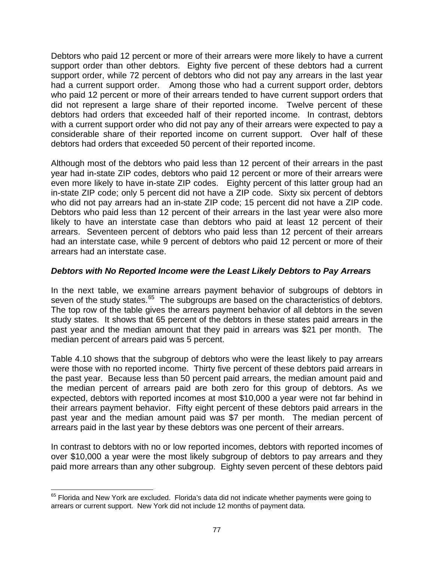Debtors who paid 12 percent or more of their arrears were more likely to have a current support order than other debtors. Eighty five percent of these debtors had a current support order, while 72 percent of debtors who did not pay any arrears in the last year had a current support order. Among those who had a current support order, debtors who paid 12 percent or more of their arrears tended to have current support orders that did not represent a large share of their reported income. Twelve percent of these debtors had orders that exceeded half of their reported income. In contrast, debtors with a current support order who did not pay any of their arrears were expected to pay a considerable share of their reported income on current support. Over half of these debtors had orders that exceeded 50 percent of their reported income.

Although most of the debtors who paid less than 12 percent of their arrears in the past year had in-state ZIP codes, debtors who paid 12 percent or more of their arrears were even more likely to have in-state ZIP codes. Eighty percent of this latter group had an in-state ZIP code; only 5 percent did not have a ZIP code. Sixty six percent of debtors who did not pay arrears had an in-state ZIP code; 15 percent did not have a ZIP code. Debtors who paid less than 12 percent of their arrears in the last year were also more likely to have an interstate case than debtors who paid at least 12 percent of their arrears. Seventeen percent of debtors who paid less than 12 percent of their arrears had an interstate case, while 9 percent of debtors who paid 12 percent or more of their arrears had an interstate case.

# *Debtors with No Reported Income were the Least Likely Debtors to Pay Arrears*

In the next table, we examine arrears payment behavior of subgroups of debtors in seven of the study states.<sup>[65](#page-84-0)</sup> The subgroups are based on the characteristics of debtors. The top row of the table gives the arrears payment behavior of all debtors in the seven study states. It shows that 65 percent of the debtors in these states paid arrears in the past year and the median amount that they paid in arrears was \$21 per month. The median percent of arrears paid was 5 percent.

Table 4.10 shows that the subgroup of debtors who were the least likely to pay arrears were those with no reported income. Thirty five percent of these debtors paid arrears in the past year. Because less than 50 percent paid arrears, the median amount paid and the median percent of arrears paid are both zero for this group of debtors. As we expected, debtors with reported incomes at most \$10,000 a year were not far behind in their arrears payment behavior. Fifty eight percent of these debtors paid arrears in the past year and the median amount paid was \$7 per month. The median percent of arrears paid in the last year by these debtors was one percent of their arrears.

In contrast to debtors with no or low reported incomes, debtors with reported incomes of over \$10,000 a year were the most likely subgroup of debtors to pay arrears and they paid more arrears than any other subgroup. Eighty seven percent of these debtors paid

<span id="page-84-0"></span> $\overline{a}$  $<sup>65</sup>$  Florida and New York are excluded. Florida's data did not indicate whether payments were going to</sup> arrears or current support. New York did not include 12 months of payment data.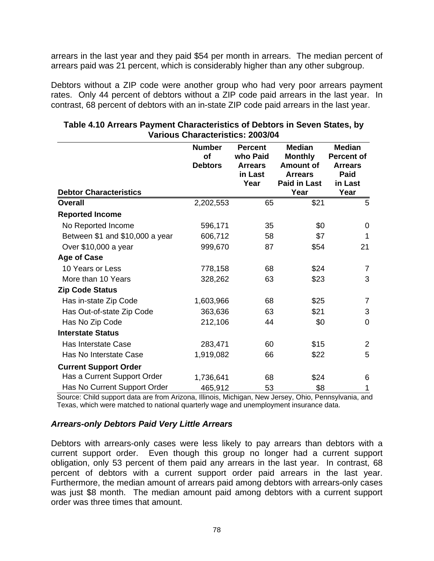arrears in the last year and they paid \$54 per month in arrears. The median percent of arrears paid was 21 percent, which is considerably higher than any other subgroup.

Debtors without a ZIP code were another group who had very poor arrears payment rates. Only 44 percent of debtors without a ZIP code paid arrears in the last year. In contrast, 68 percent of debtors with an in-state ZIP code paid arrears in the last year.

| <b>Debtor Characteristics</b>   | <b>Number</b><br>of<br><b>Debtors</b> | <b>Percent</b><br>who Paid<br><b>Arrears</b><br>in Last<br>Year | <b>Median</b><br><b>Monthly</b><br><b>Amount of</b><br><b>Arrears</b><br><b>Paid in Last</b><br>Year | <b>Median</b><br><b>Percent of</b><br><b>Arrears</b><br>Paid<br>in Last<br>Year |
|---------------------------------|---------------------------------------|-----------------------------------------------------------------|------------------------------------------------------------------------------------------------------|---------------------------------------------------------------------------------|
| <b>Overall</b>                  | 2,202,553                             | 65                                                              | \$21                                                                                                 | 5                                                                               |
| <b>Reported Income</b>          |                                       |                                                                 |                                                                                                      |                                                                                 |
| No Reported Income              | 596,171                               | 35                                                              | \$0                                                                                                  | 0                                                                               |
| Between \$1 and \$10,000 a year | 606,712                               | 58                                                              | \$7                                                                                                  | 1                                                                               |
| Over \$10,000 a year            | 999,670                               | 87                                                              | \$54                                                                                                 | 21                                                                              |
| <b>Age of Case</b>              |                                       |                                                                 |                                                                                                      |                                                                                 |
| 10 Years or Less                | 778,158                               | 68                                                              | \$24                                                                                                 | $\overline{7}$                                                                  |
| More than 10 Years              | 328,262                               | 63                                                              | \$23                                                                                                 | 3                                                                               |
| <b>Zip Code Status</b>          |                                       |                                                                 |                                                                                                      |                                                                                 |
| Has in-state Zip Code           | 1,603,966                             | 68                                                              | \$25                                                                                                 | $\overline{7}$                                                                  |
| Has Out-of-state Zip Code       | 363,636                               | 63                                                              | \$21                                                                                                 | 3                                                                               |
| Has No Zip Code                 | 212,106                               | 44                                                              | \$0                                                                                                  | $\overline{0}$                                                                  |
| <b>Interstate Status</b>        |                                       |                                                                 |                                                                                                      |                                                                                 |
| Has Interstate Case             | 283,471                               | 60                                                              | \$15                                                                                                 | $\overline{2}$                                                                  |
| Has No Interstate Case          | 1,919,082                             | 66                                                              | \$22                                                                                                 | 5                                                                               |
| <b>Current Support Order</b>    |                                       |                                                                 |                                                                                                      |                                                                                 |
| Has a Current Support Order     | 1,736,641                             | 68                                                              | \$24                                                                                                 | 6                                                                               |
| Has No Current Support Order    | 465,912                               | 53                                                              | \$8                                                                                                  | 1                                                                               |

# **Table 4.10 Arrears Payment Characteristics of Debtors in Seven States, by Various Characteristics: 2003/04**

 Source: Child support data are from Arizona, Illinois, Michigan, New Jersey, Ohio, Pennsylvania, and Texas, which were matched to national quarterly wage and unemployment insurance data.

## *Arrears-only Debtors Paid Very Little Arrears*

Debtors with arrears-only cases were less likely to pay arrears than debtors with a current support order. Even though this group no longer had a current support obligation, only 53 percent of them paid any arrears in the last year. In contrast, 68 percent of debtors with a current support order paid arrears in the last year. Furthermore, the median amount of arrears paid among debtors with arrears-only cases was just \$8 month. The median amount paid among debtors with a current support order was three times that amount.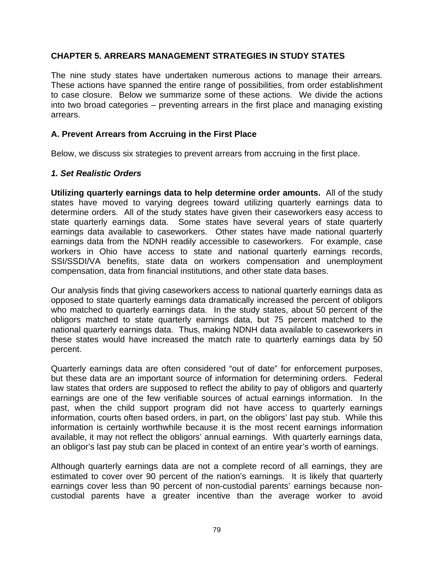# **CHAPTER 5. ARREARS MANAGEMENT STRATEGIES IN STUDY STATES**

The nine study states have undertaken numerous actions to manage their arrears. These actions have spanned the entire range of possibilities, from order establishment to case closure. Below we summarize some of these actions. We divide the actions into two broad categories – preventing arrears in the first place and managing existing arrears.

# **A. Prevent Arrears from Accruing in the First Place**

Below, we discuss six strategies to prevent arrears from accruing in the first place.

## *1. Set Realistic Orders*

**Utilizing quarterly earnings data to help determine order amounts.** All of the study states have moved to varying degrees toward utilizing quarterly earnings data to determine orders. All of the study states have given their caseworkers easy access to state quarterly earnings data. Some states have several years of state quarterly earnings data available to caseworkers. Other states have made national quarterly earnings data from the NDNH readily accessible to caseworkers. For example, case workers in Ohio have access to state and national quarterly earnings records, SSI/SSDI/VA benefits, state data on workers compensation and unemployment compensation, data from financial institutions, and other state data bases.

Our analysis finds that giving caseworkers access to national quarterly earnings data as opposed to state quarterly earnings data dramatically increased the percent of obligors who matched to quarterly earnings data. In the study states, about 50 percent of the obligors matched to state quarterly earnings data, but 75 percent matched to the national quarterly earnings data. Thus, making NDNH data available to caseworkers in these states would have increased the match rate to quarterly earnings data by 50 percent.

Quarterly earnings data are often considered "out of date" for enforcement purposes, but these data are an important source of information for determining orders. Federal law states that orders are supposed to reflect the ability to pay of obligors and quarterly earnings are one of the few verifiable sources of actual earnings information. In the past, when the child support program did not have access to quarterly earnings information, courts often based orders, in part, on the obligors' last pay stub. While this information is certainly worthwhile because it is the most recent earnings information available, it may not reflect the obligors' annual earnings. With quarterly earnings data, an obligor's last pay stub can be placed in context of an entire year's worth of earnings.

Although quarterly earnings data are not a complete record of all earnings, they are estimated to cover over 90 percent of the nation's earnings. It is likely that quarterly earnings cover less than 90 percent of non-custodial parents' earnings because noncustodial parents have a greater incentive than the average worker to avoid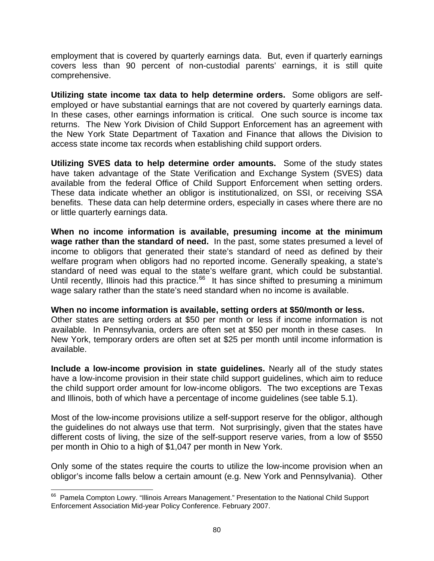employment that is covered by quarterly earnings data. But, even if quarterly earnings covers less than 90 percent of non-custodial parents' earnings, it is still quite comprehensive.

**Utilizing state income tax data to help determine orders.** Some obligors are selfemployed or have substantial earnings that are not covered by quarterly earnings data. In these cases, other earnings information is critical. One such source is income tax returns. The New York Division of Child Support Enforcement has an agreement with the New York State Department of Taxation and Finance that allows the Division to access state income tax records when establishing child support orders.

**Utilizing SVES data to help determine order amounts.** Some of the study states have taken advantage of the State Verification and Exchange System (SVES) data available from the federal Office of Child Support Enforcement when setting orders. These data indicate whether an obligor is institutionalized, on SSI, or receiving SSA benefits. These data can help determine orders, especially in cases where there are no or little quarterly earnings data.

**When no income information is available, presuming income at the minimum wage rather than the standard of need.** In the past, some states presumed a level of income to obligors that generated their state's standard of need as defined by their welfare program when obligors had no reported income. Generally speaking, a state's standard of need was equal to the state's welfare grant, which could be substantial. Until recently, Illinois had this practice. $66$  It has since shifted to presuming a minimum wage salary rather than the state's need standard when no income is available.

#### **When no income information is available, setting orders at \$50/month or less.**

Other states are setting orders at \$50 per month or less if income information is not available. In Pennsylvania, orders are often set at \$50 per month in these cases. In New York, temporary orders are often set at \$25 per month until income information is available.

**Include a low-income provision in state guidelines.** Nearly all of the study states have a low-income provision in their state child support guidelines, which aim to reduce the child support order amount for low-income obligors. The two exceptions are Texas and Illinois, both of which have a percentage of income guidelines (see table 5.1).

Most of the low-income provisions utilize a self-support reserve for the obligor, although the guidelines do not always use that term. Not surprisingly, given that the states have different costs of living, the size of the self-support reserve varies, from a low of \$550 per month in Ohio to a high of \$1,047 per month in New York.

Only some of the states require the courts to utilize the low-income provision when an obligor's income falls below a certain amount (e.g. New York and Pennsylvania). Other

<span id="page-87-0"></span><sup>&</sup>lt;sup>66</sup> Pamela Compton Lowry. "Illinois Arrears Management." Presentation to the National Child Support Enforcement Association Mid-year Policy Conference. February 2007.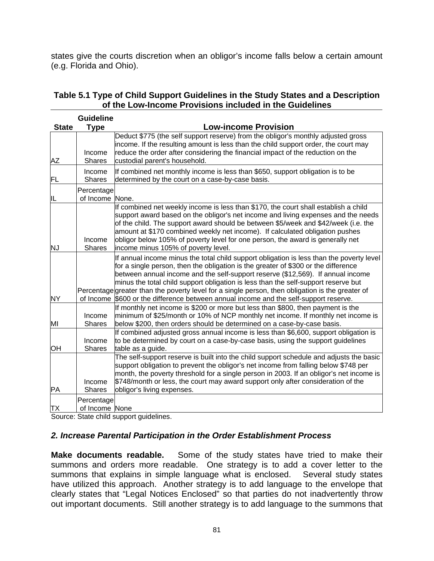states give the courts discretion when an obligor's income falls below a certain amount (e.g. Florida and Ohio).

| <b>State</b> | <b>Guideline</b><br><b>Type</b> | <b>Low-income Provision</b>                                                                                                                                                                                                                                                                                                                                                                                                                                                                                                                |
|--------------|---------------------------------|--------------------------------------------------------------------------------------------------------------------------------------------------------------------------------------------------------------------------------------------------------------------------------------------------------------------------------------------------------------------------------------------------------------------------------------------------------------------------------------------------------------------------------------------|
| AΖ           | Income<br><b>Shares</b>         | Deduct \$775 (the self support reserve) from the obligor's monthly adjusted gross<br>income. If the resulting amount is less than the child support order, the court may<br>reduce the order after considering the financial impact of the reduction on the<br>custodial parent's household.                                                                                                                                                                                                                                               |
| FL           | Income<br><b>Shares</b>         | If combined net monthly income is less than \$650, support obligation is to be<br>determined by the court on a case-by-case basis.                                                                                                                                                                                                                                                                                                                                                                                                         |
| IL           | Percentage<br>of Income None.   |                                                                                                                                                                                                                                                                                                                                                                                                                                                                                                                                            |
| <b>NJ</b>    | Income<br><b>Shares</b>         | If combined net weekly income is less than \$170, the court shall establish a child<br>support award based on the obligor's net income and living expenses and the needs<br>of the child. The support award should be between \$5/week and \$42/week (i.e. the<br>amount at \$170 combined weekly net income). If calculated obligation pushes<br>obligor below 105% of poverty level for one person, the award is generally net<br>income minus 105% of poverty level.                                                                    |
| <b>NY</b>    | of Income                       | If annual income minus the total child support obligation is less than the poverty level<br>for a single person, then the obligation is the greater of \$300 or the difference<br>between annual income and the self-support reserve (\$12,569). If annual income<br>minus the total child support obligation is less than the self-support reserve but<br>Percentage greater than the poverty level for a single person, then obligation is the greater of<br>\$600 or the difference between annual income and the self-support reserve. |
| ΜI           | Income<br><b>Shares</b>         | If monthly net income is \$200 or more but less than \$800, then payment is the<br>minimum of \$25/month or 10% of NCP monthly net income. If monthly net income is<br>below \$200, then orders should be determined on a case-by-case basis.                                                                                                                                                                                                                                                                                              |
| OН           | Income<br><b>Shares</b>         | If combined adjusted gross annual income is less than \$6,600, support obligation is<br>to be determined by court on a case-by-case basis, using the support guidelines<br>table as a guide.                                                                                                                                                                                                                                                                                                                                               |
| PA           | Income<br><b>Shares</b>         | The self-support reserve is built into the child support schedule and adjusts the basic<br>support obligation to prevent the obligor's net income from falling below \$748 per<br>month, the poverty threshold for a single person in 2003. If an obligor's net income is<br>\$748/month or less, the court may award support only after consideration of the<br>obligor's living expenses.                                                                                                                                                |
| TХ           | Percentage<br>of Income None    |                                                                                                                                                                                                                                                                                                                                                                                                                                                                                                                                            |

# **Table 5.1 Type of Child Support Guidelines in the Study States and a Description of the Low-Income Provisions included in the Guidelines**

Source: State child support guidelines.

## *2. Increase Parental Participation in the Order Establishment Process*

**Make documents readable.** Some of the study states have tried to make their summons and orders more readable. One strategy is to add a cover letter to the summons that explains in simple language what is enclosed. Several study states have utilized this approach. Another strategy is to add language to the envelope that clearly states that "Legal Notices Enclosed" so that parties do not inadvertently throw out important documents. Still another strategy is to add language to the summons that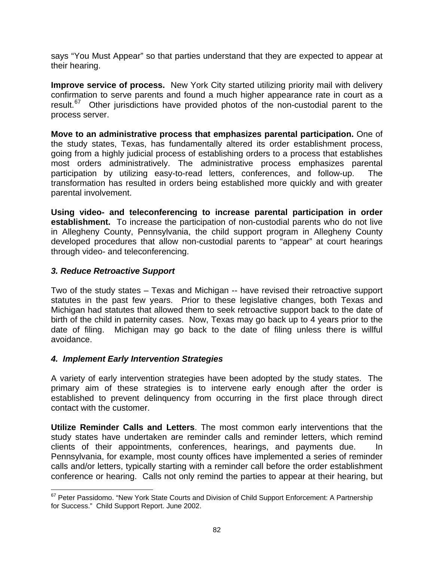says "You Must Appear" so that parties understand that they are expected to appear at their hearing.

**Improve service of process.** New York City started utilizing priority mail with delivery confirmation to serve parents and found a much higher appearance rate in court as a result.<sup>[67](#page-89-0)</sup> Other jurisdictions have provided photos of the non-custodial parent to the process server.

**Move to an administrative process that emphasizes parental participation.** One of the study states, Texas, has fundamentally altered its order establishment process, going from a highly judicial process of establishing orders to a process that establishes most orders administratively. The administrative process emphasizes parental participation by utilizing easy-to-read letters, conferences, and follow-up. The transformation has resulted in orders being established more quickly and with greater parental involvement.

**Using video- and teleconferencing to increase parental participation in order establishment.** To increase the participation of non-custodial parents who do not live in Allegheny County, Pennsylvania, the child support program in Allegheny County developed procedures that allow non-custodial parents to "appear" at court hearings through video- and teleconferencing.

# *3. Reduce Retroactive Support*

1

Two of the study states – Texas and Michigan -- have revised their retroactive support statutes in the past few years. Prior to these legislative changes, both Texas and Michigan had statutes that allowed them to seek retroactive support back to the date of birth of the child in paternity cases. Now, Texas may go back up to 4 years prior to the date of filing. Michigan may go back to the date of filing unless there is willful avoidance.

## *4. Implement Early Intervention Strategies*

A variety of early intervention strategies have been adopted by the study states. The primary aim of these strategies is to intervene early enough after the order is established to prevent delinquency from occurring in the first place through direct contact with the customer.

**Utilize Reminder Calls and Letters**. The most common early interventions that the study states have undertaken are reminder calls and reminder letters, which remind clients of their appointments, conferences, hearings, and payments due. In Pennsylvania, for example, most county offices have implemented a series of reminder calls and/or letters, typically starting with a reminder call before the order establishment conference or hearing. Calls not only remind the parties to appear at their hearing, but

<span id="page-89-0"></span> $67$  Peter Passidomo. "New York State Courts and Division of Child Support Enforcement: A Partnership for Success." Child Support Report. June 2002.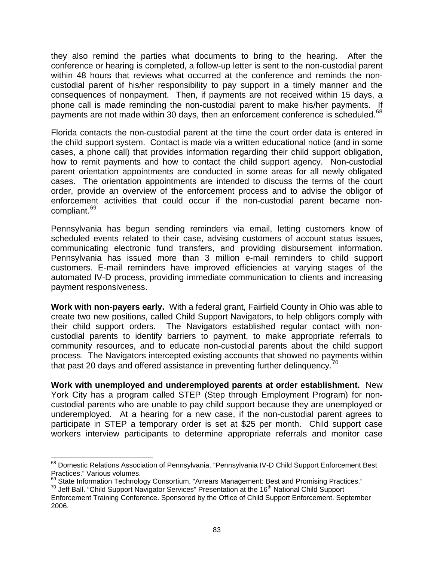they also remind the parties what documents to bring to the hearing. After the conference or hearing is completed, a follow-up letter is sent to the non-custodial parent within 48 hours that reviews what occurred at the conference and reminds the noncustodial parent of his/her responsibility to pay support in a timely manner and the consequences of nonpayment. Then, if payments are not received within 15 days, a phone call is made reminding the non-custodial parent to make his/her payments. If payments are not made within 30 days, then an enforcement conference is scheduled.<sup>[68](#page-90-0)</sup>

Florida contacts the non-custodial parent at the time the court order data is entered in the child support system. Contact is made via a written educational notice (and in some cases, a phone call) that provides information regarding their child support obligation, how to remit payments and how to contact the child support agency. Non-custodial parent orientation appointments are conducted in some areas for all newly obligated cases. The orientation appointments are intended to discuss the terms of the court order, provide an overview of the enforcement process and to advise the obligor of enforcement activities that could occur if the non-custodial parent became noncompliant.[69](#page-90-1)

Pennsylvania has begun sending reminders via email, letting customers know of scheduled events related to their case, advising customers of account status issues, communicating electronic fund transfers, and providing disbursement information. Pennsylvania has issued more than 3 million e-mail reminders to child support customers. E-mail reminders have improved efficiencies at varying stages of the automated IV-D process, providing immediate communication to clients and increasing payment responsiveness.

**Work with non-payers early.** With a federal grant, Fairfield County in Ohio was able to create two new positions, called Child Support Navigators, to help obligors comply with their child support orders. The Navigators established regular contact with noncustodial parents to identify barriers to payment, to make appropriate referrals to community resources, and to educate non-custodial parents about the child support process. The Navigators intercepted existing accounts that showed no payments within that past 20 days and offered assistance in preventing further delinquency. $70$ 

**Work with unemployed and underemployed parents at order establishment.** New York City has a program called STEP (Step through Employment Program) for noncustodial parents who are unable to pay child support because they are unemployed or underemployed. At a hearing for a new case, if the non-custodial parent agrees to participate in STEP a temporary order is set at \$25 per month. Child support case workers interview participants to determine appropriate referrals and monitor case

<span id="page-90-0"></span><sup>&</sup>lt;sup>68</sup> Domestic Relations Association of Pennsylvania. "Pennsylvania IV-D Child Support Enforcement Best Practices." Various volumes.

<span id="page-90-1"></span><sup>69</sup> State Information Technology Consortium. "Arrears Management: Best and Promising Practices."<br><sup>69</sup> State Information Technology Consortium. "Arrears Management: Best and Promising Practices."<br><sup>70</sup> Jeff Ball. "Child Suppo

<span id="page-90-2"></span>Enforcement Training Conference. Sponsored by the Office of Child Support Enforcement. September 2006.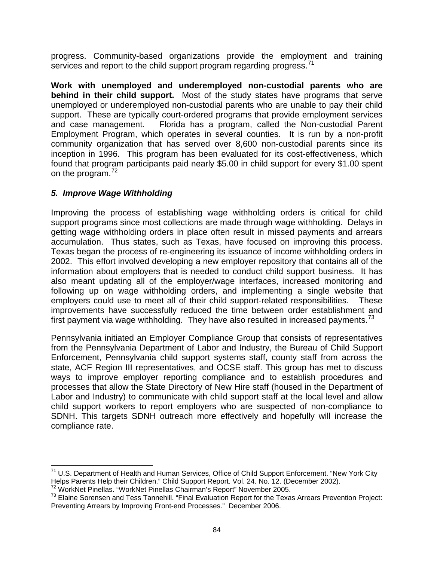progress. Community-based organizations provide the employment and training services and report to the child support program regarding progress.<sup>[71](#page-91-0)</sup>

**Work with unemployed and underemployed non-custodial parents who are behind in their child support.** Most of the study states have programs that serve unemployed or underemployed non-custodial parents who are unable to pay their child support. These are typically court-ordered programs that provide employment services and case management. Florida has a program, called the Non-custodial Parent Employment Program, which operates in several counties. It is run by a non-profit community organization that has served over 8,600 non-custodial parents since its inception in 1996. This program has been evaluated for its cost-effectiveness, which found that program participants paid nearly \$5.00 in child support for every \$1.00 spent on the program.<sup>[72](#page-91-1)</sup>

# *5. Improve Wage Withholding*

Improving the process of establishing wage withholding orders is critical for child support programs since most collections are made through wage withholding. Delays in getting wage withholding orders in place often result in missed payments and arrears accumulation. Thus states, such as Texas, have focused on improving this process. Texas began the process of re-engineering its issuance of income withholding orders in 2002. This effort involved developing a new employer repository that contains all of the information about employers that is needed to conduct child support business. It has also meant updating all of the employer/wage interfaces, increased monitoring and following up on wage withholding orders, and implementing a single website that employers could use to meet all of their child support-related responsibilities. These improvements have successfully reduced the time between order establishment and first payment via wage withholding. They have also resulted in increased payments.<sup>[73](#page-91-2)</sup>

Pennsylvania initiated an Employer Compliance Group that consists of representatives from the Pennsylvania Department of Labor and Industry, the Bureau of Child Support Enforcement, Pennsylvania child support systems staff, county staff from across the state, ACF Region III representatives, and OCSE staff. This group has met to discuss ways to improve employer reporting compliance and to establish procedures and processes that allow the State Directory of New Hire staff (housed in the Department of Labor and Industry) to communicate with child support staff at the local level and allow child support workers to report employers who are suspected of non-compliance to SDNH. This targets SDNH outreach more effectively and hopefully will increase the compliance rate.

<span id="page-91-0"></span> $\overline{a}$  $71$  U.S. Department of Health and Human Services, Office of Child Support Enforcement. "New York City Helps Parents Help their Children." Child Support Report. Vol. 24. No. 12. (December 2002).<br><sup>72</sup> WorkNet Pinellas. "WorkNet Pinellas Chairman's Report" November 2005.<br><sup>73</sup> Elaine Sorensen and Tess Tannehill. "Final Evaluat

<span id="page-91-1"></span>

<span id="page-91-2"></span>Preventing Arrears by Improving Front-end Processes." December 2006.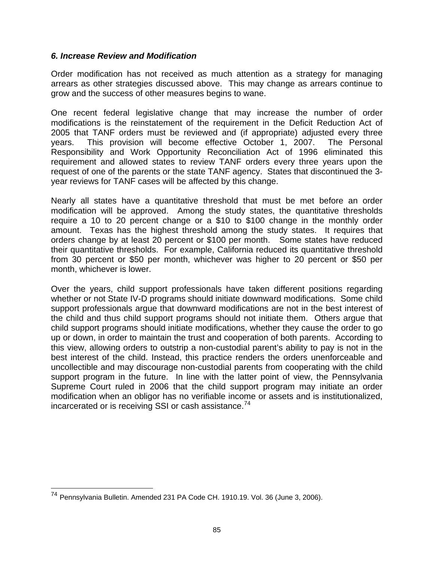## *6. Increase Review and Modification*

Order modification has not received as much attention as a strategy for managing arrears as other strategies discussed above. This may change as arrears continue to grow and the success of other measures begins to wane.

One recent federal legislative change that may increase the number of order modifications is the reinstatement of the requirement in the Deficit Reduction Act of 2005 that TANF orders must be reviewed and (if appropriate) adjusted every three years. This provision will become effective October 1, 2007. The Personal Responsibility and Work Opportunity Reconciliation Act of 1996 eliminated this requirement and allowed states to review TANF orders every three years upon the request of one of the parents or the state TANF agency. States that discontinued the 3 year reviews for TANF cases will be affected by this change.

Nearly all states have a quantitative threshold that must be met before an order modification will be approved. Among the study states, the quantitative thresholds require a 10 to 20 percent change or a \$10 to \$100 change in the monthly order amount. Texas has the highest threshold among the study states. It requires that orders change by at least 20 percent or \$100 per month. Some states have reduced their quantitative thresholds. For example, California reduced its quantitative threshold from 30 percent or \$50 per month, whichever was higher to 20 percent or \$50 per month, whichever is lower.

Over the years, child support professionals have taken different positions regarding whether or not State IV-D programs should initiate downward modifications. Some child support professionals argue that downward modifications are not in the best interest of the child and thus child support programs should not initiate them. Others argue that child support programs should initiate modifications, whether they cause the order to go up or down, in order to maintain the trust and cooperation of both parents. According to this view, allowing orders to outstrip a non-custodial parent's ability to pay is not in the best interest of the child. Instead, this practice renders the orders unenforceable and uncollectible and may discourage non-custodial parents from cooperating with the child support program in the future. In line with the latter point of view, the Pennsylvania Supreme Court ruled in 2006 that the child support program may initiate an order modification when an obligor has no verifiable income or assets and is institutionalized, incarcerated or is receiving SSI or cash assistance.<sup>[74](#page-92-0)</sup>

<span id="page-92-0"></span><sup>74</sup> Pennsylvania Bulletin. Amended 231 PA Code CH. 1910.19. Vol. 36 (June 3, 2006).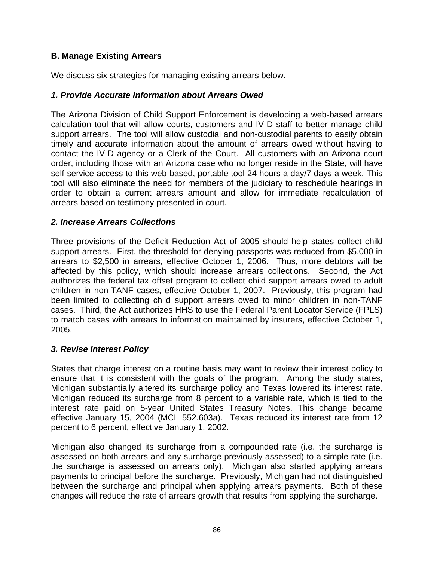# **B. Manage Existing Arrears**

We discuss six strategies for managing existing arrears below.

# *1. Provide Accurate Information about Arrears Owed*

The Arizona Division of Child Support Enforcement is developing a web-based arrears calculation tool that will allow courts, customers and IV-D staff to better manage child support arrears. The tool will allow custodial and non-custodial parents to easily obtain timely and accurate information about the amount of arrears owed without having to contact the IV-D agency or a Clerk of the Court. All customers with an Arizona court order, including those with an Arizona case who no longer reside in the State, will have self-service access to this web-based, portable tool 24 hours a day/7 days a week. This tool will also eliminate the need for members of the judiciary to reschedule hearings in order to obtain a current arrears amount and allow for immediate recalculation of arrears based on testimony presented in court.

# *2. Increase Arrears Collections*

Three provisions of the Deficit Reduction Act of 2005 should help states collect child support arrears. First, the threshold for denying passports was reduced from \$5,000 in arrears to \$2,500 in arrears, effective October 1, 2006. Thus, more debtors will be affected by this policy, which should increase arrears collections. Second, the Act authorizes the federal tax offset program to collect child support arrears owed to adult children in non-TANF cases, effective October 1, 2007. Previously, this program had been limited to collecting child support arrears owed to minor children in non-TANF cases. Third, the Act authorizes HHS to use the Federal Parent Locator Service (FPLS) to match cases with arrears to information maintained by insurers, effective October 1, 2005.

## *3. Revise Interest Policy*

States that charge interest on a routine basis may want to review their interest policy to ensure that it is consistent with the goals of the program. Among the study states, Michigan substantially altered its surcharge policy and Texas lowered its interest rate. Michigan reduced its surcharge from 8 percent to a variable rate, which is tied to the interest rate paid on 5-year United States Treasury Notes. This change became effective January 15, 2004 (MCL 552.603a). Texas reduced its interest rate from 12 percent to 6 percent, effective January 1, 2002.

Michigan also changed its surcharge from a compounded rate (i.e. the surcharge is assessed on both arrears and any surcharge previously assessed) to a simple rate (i.e. the surcharge is assessed on arrears only). Michigan also started applying arrears payments to principal before the surcharge. Previously, Michigan had not distinguished between the surcharge and principal when applying arrears payments. Both of these changes will reduce the rate of arrears growth that results from applying the surcharge.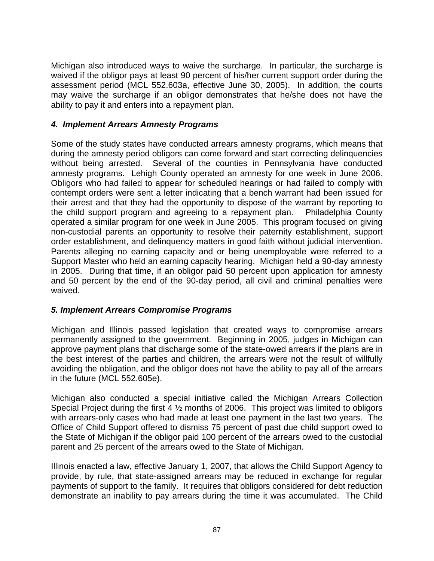Michigan also introduced ways to waive the surcharge. In particular, the surcharge is waived if the obligor pays at least 90 percent of his/her current support order during the assessment period (MCL 552.603a, effective June 30, 2005). In addition, the courts may waive the surcharge if an obligor demonstrates that he/she does not have the ability to pay it and enters into a repayment plan.

# *4. Implement Arrears Amnesty Programs*

Some of the study states have conducted arrears amnesty programs, which means that during the amnesty period obligors can come forward and start correcting delinquencies without being arrested. Several of the counties in Pennsylvania have conducted amnesty programs. Lehigh County operated an amnesty for one week in June 2006. Obligors who had failed to appear for scheduled hearings or had failed to comply with contempt orders were sent a letter indicating that a bench warrant had been issued for their arrest and that they had the opportunity to dispose of the warrant by reporting to the child support program and agreeing to a repayment plan. Philadelphia County operated a similar program for one week in June 2005. This program focused on giving non-custodial parents an opportunity to resolve their paternity establishment, support order establishment, and delinquency matters in good faith without judicial intervention. Parents alleging no earning capacity and or being unemployable were referred to a Support Master who held an earning capacity hearing. Michigan held a 90-day amnesty in 2005. During that time, if an obligor paid 50 percent upon application for amnesty and 50 percent by the end of the 90-day period, all civil and criminal penalties were waived.

## *5. Implement Arrears Compromise Programs*

Michigan and Illinois passed legislation that created ways to compromise arrears permanently assigned to the government. Beginning in 2005, judges in Michigan can approve payment plans that discharge some of the state-owed arrears if the plans are in the best interest of the parties and children, the arrears were not the result of willfully avoiding the obligation, and the obligor does not have the ability to pay all of the arrears in the future (MCL 552.605e).

Michigan also conducted a special initiative called the Michigan Arrears Collection Special Project during the first 4 ½ months of 2006. This project was limited to obligors with arrears-only cases who had made at least one payment in the last two years. The Office of Child Support offered to dismiss 75 percent of past due child support owed to the State of Michigan if the obligor paid 100 percent of the arrears owed to the custodial parent and 25 percent of the arrears owed to the State of Michigan.

Illinois enacted a law, effective January 1, 2007, that allows the Child Support Agency to provide, by rule, that state-assigned arrears may be reduced in exchange for regular payments of support to the family. It requires that obligors considered for debt reduction demonstrate an inability to pay arrears during the time it was accumulated. The Child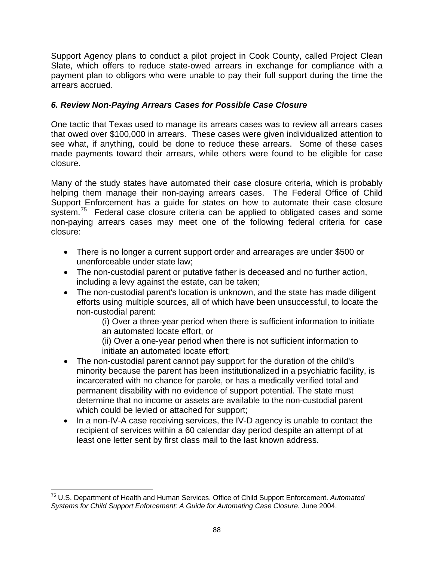Support Agency plans to conduct a pilot project in Cook County, called Project Clean Slate, which offers to reduce state-owed arrears in exchange for compliance with a payment plan to obligors who were unable to pay their full support during the time the arrears accrued.

# *6. Review Non-Paying Arrears Cases for Possible Case Closure*

One tactic that Texas used to manage its arrears cases was to review all arrears cases that owed over \$100,000 in arrears. These cases were given individualized attention to see what, if anything, could be done to reduce these arrears. Some of these cases made payments toward their arrears, while others were found to be eligible for case closure.

Many of the study states have automated their case closure criteria, which is probably helping them manage their non-paying arrears cases. The Federal Office of Child Support Enforcement has a guide for states on how to automate their case closure system.<sup>[75](#page-95-0)</sup> Federal case closure criteria can be applied to obligated cases and some non-paying arrears cases may meet one of the following federal criteria for case closure:

- There is no longer a current support order and arrearages are under \$500 or unenforceable under state law;
- The non-custodial parent or putative father is deceased and no further action, including a levy against the estate, can be taken;
- The non-custodial parent's location is unknown, and the state has made diligent efforts using multiple sources, all of which have been unsuccessful, to locate the non-custodial parent:

(i) Over a three-year period when there is sufficient information to initiate an automated locate effort, or

(ii) Over a one-year period when there is not sufficient information to initiate an automated locate effort;

- The non-custodial parent cannot pay support for the duration of the child's minority because the parent has been institutionalized in a psychiatric facility, is incarcerated with no chance for parole, or has a medically verified total and permanent disability with no evidence of support potential. The state must determine that no income or assets are available to the non-custodial parent which could be levied or attached for support;
- In a non-IV-A case receiving services, the IV-D agency is unable to contact the recipient of services within a 60 calendar day period despite an attempt of at least one letter sent by first class mail to the last known address.

<span id="page-95-0"></span><sup>75</sup> U.S. Department of Health and Human Services. Office of Child Support Enforcement. *Automated*  Systems for Child Support Enforcement: A Guide for Automating Case Closure. June 2004.